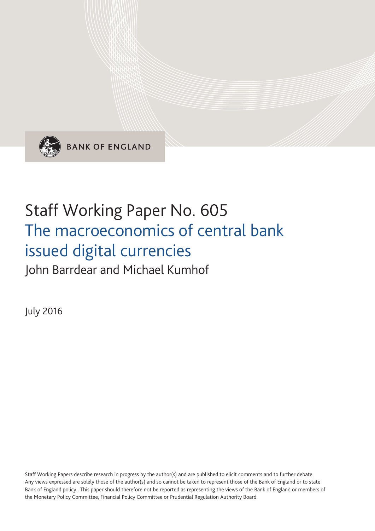

**BANK OF ENGLAND** 

# Staff Working Paper No. 605 The macroeconomics of central bank issued digital currencies John Barrdear and Michael Kumhof

July 2016

Staff Working Papers describe research in progress by the author(s) and are published to elicit comments and to further debate. Any views expressed are solely those of the author(s) and so cannot be taken to represent those of the Bank of England or to state Bank of England policy. This paper should therefore not be reported as representing the views of the Bank of England or members of the Monetary Policy Committee, Financial Policy Committee or Prudential Regulation Authority Board.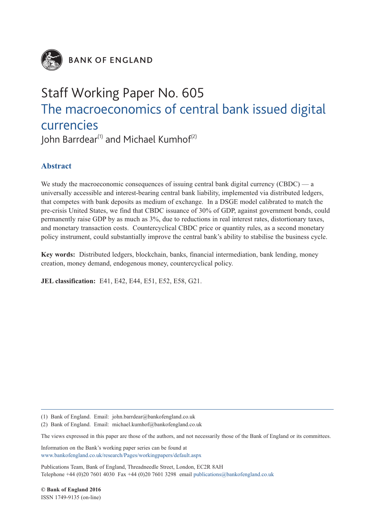

**BANK OF ENGLAND** 

# Staff Working Paper No. 605 The macroeconomics of central bank issued digital currencies

John Barrdear<sup>(1)</sup> and Michael Kumhof<sup>(2)</sup>

# **Abstract**

We study the macroeconomic consequences of issuing central bank digital currency (CBDC) — a universally accessible and interest-bearing central bank liability, implemented via distributed ledgers, that competes with bank deposits as medium of exchange. In a DSGE model calibrated to match the pre-crisis United States, we find that CBDC issuance of 30% of GDP, against government bonds, could permanently raise GDP by as much as 3%, due to reductions in real interest rates, distortionary taxes, and monetary transaction costs. Countercyclical CBDC price or quantity rules, as a second monetary policy instrument, could substantially improve the central bank's ability to stabilise the business cycle.

**Key words:** Distributed ledgers, blockchain, banks, financial intermediation, bank lending, money creation, money demand, endogenous money, countercyclical policy.

**JEL classification:** E41, E42, E44, E51, E52, E58, G21.

The views expressed in this paper are those of the authors, and not necessarily those of the Bank of England or its committees.

Information on the Bank's working paper series can be found at www.bankofengland.co.uk/research/Pages/workingpapers/default.aspx

Publications Team, Bank of England, Threadneedle Street, London, EC2R 8AH Telephone  $+44$  (0)20 7601 4030 Fax  $+44$  (0)20 7601 3298 email publications @bankofengland.co.uk

<sup>(1)</sup> Bank of England. Email: john.barrdear@bankofengland.co.uk

<sup>(2)</sup> Bank of England. Email: michael.kumhof@bankofengland.co.uk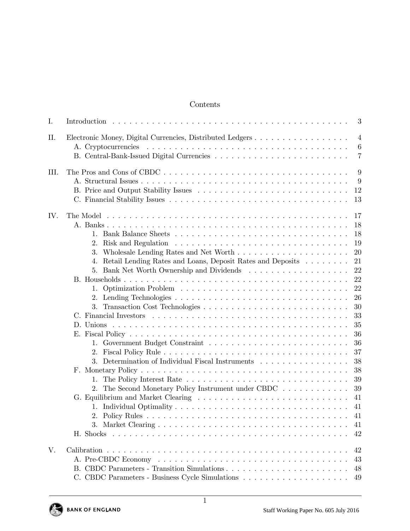### Contents

| I.   | 3                                                                                                                                                                                                                                                                                                                                                                         |
|------|---------------------------------------------------------------------------------------------------------------------------------------------------------------------------------------------------------------------------------------------------------------------------------------------------------------------------------------------------------------------------|
| П.   | $\overline{4}$<br>Electronic Money, Digital Currencies, Distributed Ledgers<br>A. Cryptocurrencies<br>$\,6\,$<br>$\overline{7}$                                                                                                                                                                                                                                           |
| III. | 9<br>9<br>12<br>13                                                                                                                                                                                                                                                                                                                                                        |
| IV.  | 17<br>18<br>18<br>19<br>2.<br>20<br>3.<br>21<br>Retail Lending Rates and Loans, Deposit Rates and Deposits<br>4.<br>22<br>22<br>22<br>26<br>2.<br>30<br>3.<br>33<br>35<br>36<br>36<br>37<br>2.<br>38<br>3. Determination of Individual Fiscal Instruments<br>38<br>39<br>1.<br>The Second Monetary Policy Instrument under CBDC<br>39<br>2.<br>41<br>41<br>2.<br>41<br>42 |
| V.   | 42<br>43<br>48<br>49                                                                                                                                                                                                                                                                                                                                                      |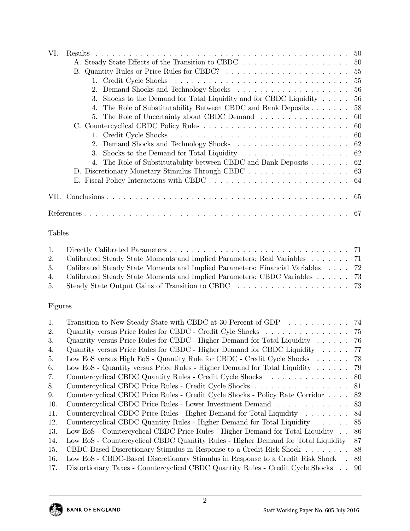| VI. |                                                                                                  |
|-----|--------------------------------------------------------------------------------------------------|
|     | 50                                                                                               |
|     | 55                                                                                               |
|     | 55                                                                                               |
|     | 56<br>2. Demand Shocks and Technology Shocks                                                     |
|     | 3. Shocks to the Demand for Total Liquidity and for CBDC Liquidity $\dots$ .<br>56               |
|     | 4. The Role of Substitutability Between CBDC and Bank Deposits<br>-58                            |
|     | 5. The Role of Uncertainty about CBDC Demand 60                                                  |
|     |                                                                                                  |
|     |                                                                                                  |
|     |                                                                                                  |
|     | 3. Shocks to the Demand for Total Liquidity $\dots \dots \dots \dots \dots \dots \dots \dots$ 62 |
|     | 4. The Role of Substitutability between CBDC and Bank Deposits 62                                |
|     |                                                                                                  |
|     |                                                                                                  |
|     |                                                                                                  |
|     |                                                                                                  |
|     |                                                                                                  |

### Tables

| 2. Calibrated Steady State Moments and Implied Parameters: Real Variables 71      |  |
|-----------------------------------------------------------------------------------|--|
| 3. Calibrated Steady State Moments and Implied Parameters: Financial Variables 72 |  |
| 4. Calibrated Steady State Moments and Implied Parameters: CBDC Variables 73      |  |
|                                                                                   |  |

## Figures

| Transition to New Steady State with CBDC at 30 Percent of GDP                            | -74 |
|------------------------------------------------------------------------------------------|-----|
| Quantity versus Price Rules for CBDC - Credit Cyle Shocks 75                             |     |
| Quantity versus Price Rules for CBDC - Higher Demand for Total Liquidity $\dots$ .       | 76  |
| Quantity versus Price Rules for CBDC - Higher Demand for CBDC Liquidity                  | 77  |
| Low EoS versus High EoS - Quantity Rule for CBDC - Credit Cycle Shocks 78                |     |
| Low EoS - Quantity versus Price Rules - Higher Demand for Total Liquidity $\dots$ .      | 79  |
| Countercyclical CBDC Quantity Rules - Credit Cycle Shocks 80                             |     |
| Countercyclical CBDC Price Rules - Credit Cycle Shocks 81                                |     |
| Countercyclical CBDC Price Rules - Credit Cycle Shocks - Policy Rate Corridor 82         |     |
| Countercyclical CBDC Price Rules - Lower Investment Demand 83                            |     |
| Countercyclical CBDC Price Rules - Higher Demand for Total Liquidity  84                 |     |
| Countercyclical CBDC Quantity Rules - Higher Demand for Total Liquidity                  | 85  |
| Low EoS - Countercyclical CBDC Price Rules - Higher Demand for Total Liquidity           | -86 |
| Low EoS - Countercyclical CBDC Quantity Rules - Higher Demand for Total Liquidity        | 87  |
| CBDC-Based Discretionary Stimulus in Response to a Credit Risk Shock                     | 88  |
| Low EoS - CBDC-Based Discretionary Stimulus in Response to a Credit Risk Shock<br>$\sim$ | 89  |
| Distortionary Taxes - Countercyclical CBDC Quantity Rules - Credit Cycle Shocks          | 90  |
|                                                                                          |     |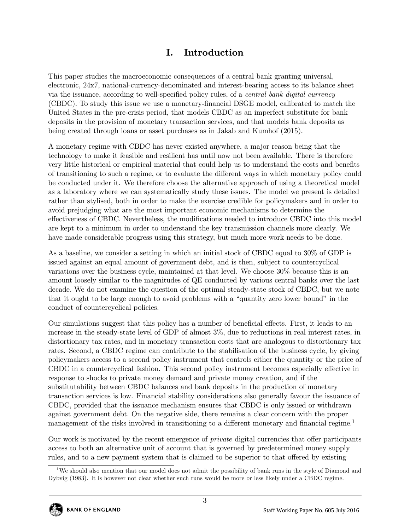# I. Introduction

This paper studies the macroeconomic consequences of a central bank granting universal, electronic, 24x7, national-currency-denominated and interest-bearing access to its balance sheet via the issuance, according to well-specified policy rules, of a central bank digital currency (CBDC). To study this issue we use a monetary-financial DSGE model, calibrated to match the United States in the pre-crisis period, that models CBDC as an imperfect substitute for bank deposits in the provision of monetary transaction services, and that models bank deposits as being created through loans or asset purchases as in Jakab and Kumhof (2015).

A monetary regime with CBDC has never existed anywhere, a major reason being that the technology to make it feasible and resilient has until now not been available. There is therefore very little historical or empirical material that could help us to understand the costs and benefits of transitioning to such a regime, or to evaluate the different ways in which monetary policy could be conducted under it. We therefore choose the alternative approach of using a theoretical model as a laboratory where we can systematically study these issues. The model we present is detailed rather than stylised, both in order to make the exercise credible for policymakers and in order to avoid prejudging what are the most important economic mechanisms to determine the effectiveness of CBDC. Nevertheless, the modifications needed to introduce CBDC into this model are kept to a minimum in order to understand the key transmission channels more clearly. We have made considerable progress using this strategy, but much more work needs to be done.

As a baseline, we consider a setting in which an initial stock of CBDC equal to 30% of GDP is issued against an equal amount of government debt, and is then, subject to countercyclical variations over the business cycle, maintained at that level. We choose 30% because this is an amount loosely similar to the magnitudes of QE conducted by various central banks over the last decade. We do not examine the question of the optimal steady-state stock of CBDC, but we note that it ought to be large enough to avoid problems with a "quantity zero lower bound" in the conduct of countercyclical policies.

Our simulations suggest that this policy has a number of beneficial effects. First, it leads to an increase in the steady-state level of GDP of almost 3%, due to reductions in real interest rates, in distortionary tax rates, and in monetary transaction costs that are analogous to distortionary tax rates. Second, a CBDC regime can contribute to the stabilisation of the business cycle, by giving policymakers access to a second policy instrument that controls either the quantity or the price of CBDC in a countercyclical fashion. This second policy instrument becomes especially effective in response to shocks to private money demand and private money creation, and if the substitutability between CBDC balances and bank deposits in the production of monetary transaction services is low. Financial stability considerations also generally favour the issuance of CBDC, provided that the issuance mechanism ensures that CBDC is only issued or withdrawn against government debt. On the negative side, there remains a clear concern with the proper management of the risks involved in transitioning to a different monetary and financial regime.<sup>1</sup>

Our work is motivated by the recent emergence of private digital currencies that offer participants access to both an alternative unit of account that is governed by predetermined money supply rules, and to a new payment system that is claimed to be superior to that offered by existing

<sup>&</sup>lt;sup>1</sup>We should also mention that our model does not admit the possibility of bank runs in the style of Diamond and Dybvig (1983). It is however not clear whether such runs would be more or less likely under a CBDC regime.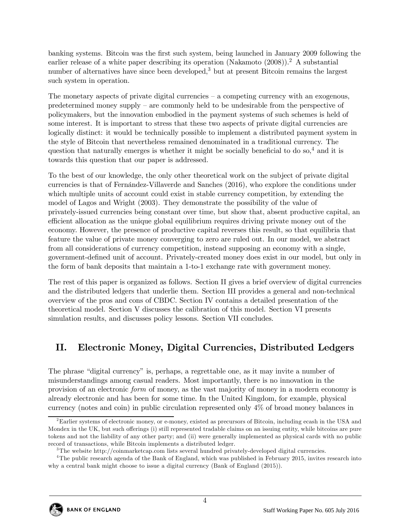banking systems. Bitcoin was the first such system, being launched in January 2009 following the earlier release of a white paper describing its operation (Nakamoto (2008)).<sup>2</sup> A substantial number of alternatives have since been developed,<sup>3</sup> but at present Bitcoin remains the largest such system in operation.

The monetary aspects of private digital currencies  $-$  a competing currency with an exogenous, predetermined money supply — are commonly held to be undesirable from the perspective of policymakers, but the innovation embodied in the payment systems of such schemes is held of some interest. It is important to stress that these two aspects of private digital currencies are logically distinct: it would be technically possible to implement a distributed payment system in the style of Bitcoin that nevertheless remained denominated in a traditional currency. The question that naturally emerges is whether it might be socially beneficial to do so,<sup>4</sup> and it is towards this question that our paper is addressed.

To the best of our knowledge, the only other theoretical work on the subject of private digital currencies is that of Fernández-Villaverde and Sanches (2016), who explore the conditions under which multiple units of account could exist in stable currency competition, by extending the model of Lagos and Wright (2003). They demonstrate the possibility of the value of privately-issued currencies being constant over time, but show that, absent productive capital, an efficient allocation as the unique global equilibrium requires driving private money out of the economy. However, the presence of productive capital reverses this result, so that equilibria that feature the value of private money converging to zero are ruled out. In our model, we abstract from all considerations of currency competition, instead supposing an economy with a single, government-defined unit of account. Privately-created money does exist in our model, but only in the form of bank deposits that maintain a 1-to-1 exchange rate with government money.

The rest of this paper is organized as follows. Section II gives a brief overview of digital currencies and the distributed ledgers that underlie them. Section III provides a general and non-technical overview of the pros and cons of CBDC. Section IV contains a detailed presentation of the theoretical model. Section V discusses the calibration of this model. Section VI presents simulation results, and discusses policy lessons. Section VII concludes.

# II. Electronic Money, Digital Currencies, Distributed Ledgers

The phrase "digital currency" is, perhaps, a regrettable one, as it may invite a number of misunderstandings among casual readers. Most importantly, there is no innovation in the provision of an electronic form of money, as the vast majority of money in a modern economy is already electronic and has been for some time. In the United Kingdom, for example, physical currency (notes and coin) in public circulation represented only 4% of broad money balances in

<sup>2</sup>Earlier systems of electronic money, or e-money, existed as precursors of Bitcoin, including ecash in the USA and Mondex in the UK, but such offerings (i) still represented tradable claims on an issuing entity, while bitcoins are pure tokens and not the liability of any other party; and (ii) were generally implemented as physical cards with no public record of transactions, while Bitcoin implements a distributed ledger.

<sup>&</sup>lt;sup>3</sup>The website http://coinmarketcap.com lists several hundred privately-developed digital currencies.

<sup>&</sup>lt;sup>4</sup>The public research agenda of the Bank of England, which was published in February 2015, invites research into why a central bank might choose to issue a digital currency (Bank of England (2015)).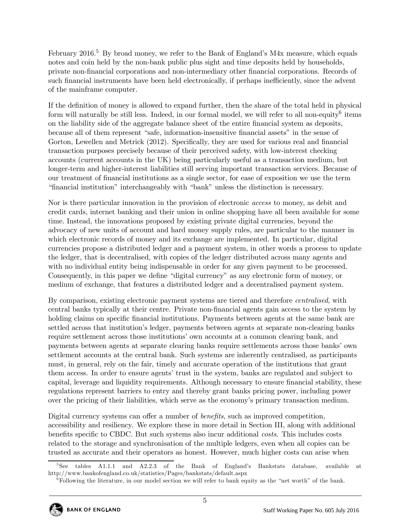February 2016.<sup>5</sup> By broad money, we refer to the Bank of England's M4x measure, which equals notes and coin held by the non-bank public plus sight and time deposits held by households, private non-financial corporations and non-intermediary other financial corporations. Records of such financial instruments have been held electronically, if perhaps inefficiently, since the advent of the mainframe computer.

If the definition of money is allowed to expand further, then the share of the total held in physical form will naturally be still less. Indeed, in our formal model, we will refer to all non-equity<sup>6</sup> items on the liability side of the aggregate balance sheet of the entire financial system as deposits, because all of them represent "safe, information-insensitive financial assets" in the sense of Gorton, Lewellen and Metrick (2012). Specifically, they are used for various real and financial transaction purposes precisely because of their perceived safety, with low-interest checking accounts (current accounts in the UK) being particularly useful as a transaction medium, but longer-term and higher-interest liabilities still serving important transaction services. Because of our treatment of financial institutions as a single sector, for ease of exposition we use the term "financial institution" interchangeably with "bank" unless the distinction is necessary.

Nor is there particular innovation in the provision of electronic access to money, as debit and credit cards, internet banking and their union in online shopping have all been available for some time. Instead, the innovations proposed by existing private digital currencies, beyond the advocacy of new units of account and hard money supply rules, are particular to the manner in which electronic records of money and its exchange are implemented. In particular, digital currencies propose a distributed ledger and a payment system, in other words a process to update the ledger, that is decentralised, with copies of the ledger distributed across many agents and with no individual entity being indispensable in order for any given payment to be processed. Consequently, in this paper we define "digital currency" as any electronic form of money, or medium of exchange, that features a distributed ledger and a decentralised payment system.

By comparison, existing electronic payment systems are tiered and therefore *centralised*, with central banks typically at their centre. Private non-financial agents gain access to the system by holding claims on specific financial institutions. Payments between agents at the same bank are settled across that institution's ledger, payments between agents at separate non-clearing banks require settlement across those institutions' own accounts at a common clearing bank, and payments between agents at separate clearing banks require settlements across those banks' own settlement accounts at the central bank. Such systems are inherently centralised, as participants must, in general, rely on the fair, timely and accurate operation of the institutions that grant them access. In order to ensure agents' trust in the system, banks are regulated and subject to capital, leverage and liquidity requirements. Although necessary to ensure financial stability, these regulations represent barriers to entry and thereby grant banks pricing power, including power over the pricing of their liabilities, which serve as the economy's primary transaction medium.

Digital currency systems can offer a number of benefits, such as improved competition, accessibility and resiliency. We explore these in more detail in Section III, along with additional benefits specific to CBDC. But such systems also incur additional costs. This includes costs related to the storage and synchronisation of the multiple ledgers, even when all copies can be trusted as accurate and their operators as honest. However, much higher costs can arise when

 $5$ See tables A1.1.1 and A2.2.3 of the Bank of England's Bankstats database, available at http://www.bankofengland.co.uk/statistics/Pages/bankstats/default.aspx

<sup>&</sup>lt;sup>6</sup>Following the literature, in our model section we will refer to bank equity as the "net worth" of the bank.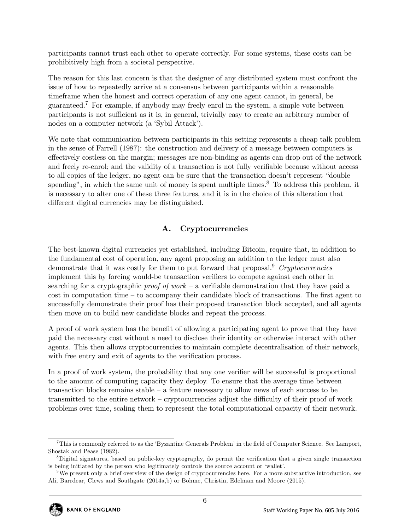participants cannot trust each other to operate correctly. For some systems, these costs can be prohibitively high from a societal perspective.

The reason for this last concern is that the designer of any distributed system must confront the issue of how to repeatedly arrive at a consensus between participants within a reasonable timeframe when the honest and correct operation of any one agent cannot, in general, be guaranteed.<sup>7</sup> For example, if anybody may freely enrol in the system, a simple vote between participants is not sufficient as it is, in general, trivially easy to create an arbitrary number of nodes on a computer network (a 'Sybil Attack').

We note that communication between participants in this setting represents a cheap talk problem in the sense of Farrell (1987): the construction and delivery of a message between computers is effectively costless on the margin; messages are non-binding as agents can drop out of the network and freely re-enrol; and the validity of a transaction is not fully verifiable because without access to all copies of the ledger, no agent can be sure that the transaction doesn't represent "double spending", in which the same unit of money is spent multiple times. $8$  To address this problem, it is necessary to alter one of these three features, and it is in the choice of this alteration that different digital currencies may be distinguished.

### A. Cryptocurrencies

The best-known digital currencies yet established, including Bitcoin, require that, in addition to the fundamental cost of operation, any agent proposing an addition to the ledger must also demonstrate that it was costly for them to put forward that proposal.<sup>9</sup> Cryptocurrencies implement this by forcing would-be transaction verifiers to compete against each other in searching for a cryptographic *proof of work* – a verifiable demonstration that they have paid a cost in computation time — to accompany their candidate block of transactions. The first agent to successfully demonstrate their proof has their proposed transaction block accepted, and all agents then move on to build new candidate blocks and repeat the process.

A proof of work system has the benefit of allowing a participating agent to prove that they have paid the necessary cost without a need to disclose their identity or otherwise interact with other agents. This then allows cryptocurrencies to maintain complete decentralisation of their network, with free entry and exit of agents to the verification process.

In a proof of work system, the probability that any one verifier will be successful is proportional to the amount of computing capacity they deploy. To ensure that the average time between transaction blocks remains stable — a feature necessary to allow news of each success to be transmitted to the entire network — cryptocurrencies adjust the difficulty of their proof of work problems over time, scaling them to represent the total computational capacity of their network.

<sup>7</sup>This is commonly referred to as the 'Byzantine Generals Problem' in the field of Computer Science. See Lamport, Shostak and Pease (1982).

<sup>8</sup>Digital signatures, based on public-key cryptography, do permit the verification that a given single transaction is being initiated by the person who legitimately controls the source account or 'wallet'.

<sup>&</sup>lt;sup>9</sup>We present only a brief overview of the design of cryptocurrencies here. For a more substantive introduction, see Ali, Barrdear, Clews and Southgate (2014a,b) or Bohme, Christin, Edelman and Moore (2015).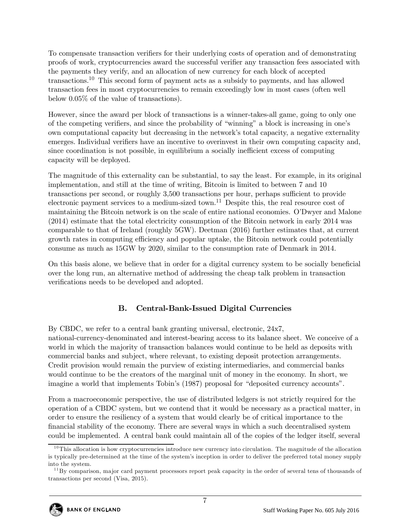To compensate transaction verifiers for their underlying costs of operation and of demonstrating proofs of work, cryptocurrencies award the successful verifier any transaction fees associated with the payments they verify, and an allocation of new currency for each block of accepted transactions.<sup>10</sup> This second form of payment acts as a subsidy to payments, and has allowed transaction fees in most cryptocurrencies to remain exceedingly low in most cases (often well below 0.05% of the value of transactions).

However, since the award per block of transactions is a winner-takes-all game, going to only one of the competing verifiers, and since the probability of "winning" a block is increasing in one's own computational capacity but decreasing in the network's total capacity, a negative externality emerges. Individual verifiers have an incentive to overinvest in their own computing capacity and, since coordination is not possible, in equilibrium a socially inefficient excess of computing capacity will be deployed.

The magnitude of this externality can be substantial, to say the least. For example, in its original implementation, and still at the time of writing, Bitcoin is limited to between 7 and 10 transactions per second, or roughly 3,500 transactions per hour, perhaps sufficient to provide electronic payment services to a medium-sized town.<sup>11</sup> Despite this, the real resource cost of maintaining the Bitcoin network is on the scale of entire national economies. O'Dwyer and Malone (2014) estimate that the total electricity consumption of the Bitcoin network in early 2014 was comparable to that of Ireland (roughly 5GW). Deetman (2016) further estimates that, at current growth rates in computing efficiency and popular uptake, the Bitcoin network could potentially consume as much as 15GW by 2020, similar to the consumption rate of Denmark in 2014.

On this basis alone, we believe that in order for a digital currency system to be socially beneficial over the long run, an alternative method of addressing the cheap talk problem in transaction verifications needs to be developed and adopted.

### B. Central-Bank-Issued Digital Currencies

By CBDC, we refer to a central bank granting universal, electronic, 24x7, national-currency-denominated and interest-bearing access to its balance sheet. We conceive of a world in which the majority of transaction balances would continue to be held as deposits with commercial banks and subject, where relevant, to existing deposit protection arrangements. Credit provision would remain the purview of existing intermediaries, and commercial banks would continue to be the creators of the marginal unit of money in the economy. In short, we imagine a world that implements Tobin's (1987) proposal for "deposited currency accounts".

From a macroeconomic perspective, the use of distributed ledgers is not strictly required for the operation of a CBDC system, but we contend that it would be necessary as a practical matter, in order to ensure the resiliency of a system that would clearly be of critical importance to the financial stability of the economy. There are several ways in which a such decentralised system could be implemented. A central bank could maintain all of the copies of the ledger itself, several

 $10$ This allocation is how cryptocurrencies introduce new currency into circulation. The magnitude of the allocation is typically pre-determined at the time of the system's inception in order to deliver the preferred total money supply into the system.

 $11_{\rm By}$  comparison, major card payment processors report peak capacity in the order of several tens of thousands of transactions per second (Visa, 2015).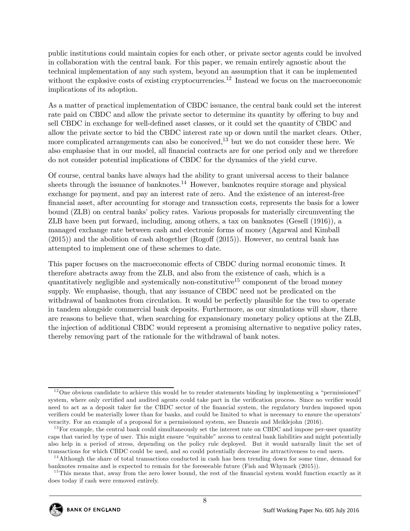public institutions could maintain copies for each other, or private sector agents could be involved in collaboration with the central bank. For this paper, we remain entirely agnostic about the technical implementation of any such system, beyond an assumption that it can be implemented without the explosive costs of existing cryptocurrencies.<sup>12</sup> Instead we focus on the macroeconomic implications of its adoption.

As a matter of practical implementation of CBDC issuance, the central bank could set the interest rate paid on CBDC and allow the private sector to determine its quantity by offering to buy and sell CBDC in exchange for well-defined asset classes, or it could set the quantity of CBDC and allow the private sector to bid the CBDC interest rate up or down until the market clears. Other, more complicated arrangements can also be conceived, $13$  but we do not consider these here. We also emphasise that in our model, all financial contracts are for one period only and we therefore do not consider potential implications of CBDC for the dynamics of the yield curve.

Of course, central banks have always had the ability to grant universal access to their balance sheets through the issuance of banknotes.<sup>14</sup> However, banknotes require storage and physical exchange for payment, and pay an interest rate of zero. And the existence of an interest-free financial asset, after accounting for storage and transaction costs, represents the basis for a lower bound (ZLB) on central banks' policy rates. Various proposals for materially circumventing the ZLB have been put forward, including, among others, a tax on banknotes (Gesell (1916)), a managed exchange rate between cash and electronic forms of money (Agarwal and Kimball (2015)) and the abolition of cash altogether (Rogoff (2015)). However, no central bank has attempted to implement one of these schemes to date.

This paper focuses on the macroeconomic effects of CBDC during normal economic times. It therefore abstracts away from the ZLB, and also from the existence of cash, which is a quantitatively negligible and systemically non-constitutive<sup>15</sup> component of the broad money supply. We emphasise, though, that any issuance of CBDC need not be predicated on the withdrawal of banknotes from circulation. It would be perfectly plausible for the two to operate in tandem alongside commercial bank deposits. Furthermore, as our simulations will show, there are reasons to believe that, when searching for expansionary monetary policy options at the ZLB, the injection of additional CBDC would represent a promising alternative to negative policy rates, thereby removing part of the rationale for the withdrawal of bank notes.

 $12$ One obvious candidate to achieve this would be to render statements binding by implementing a "permissioned" system, where only certified and audited agents could take part in the verification process. Since no verifier would need to act as a deposit taker for the CBDC sector of the financial system, the regulatory burden imposed upon verifiers could be materially lower than for banks, and could be limited to what is necessary to ensure the operators' veracity. For an example of a proposal for a permissioned system, see Danezis and Meiklejohn (2016).

 $13$  For example, the central bank could simultaneously set the interest rate on CBDC and impose per-user quantity caps that varied by type of user. This might ensure "equitable" access to central bank liabilities and might potentially also help in a period of stress, depending on the policy rule deployed. But it would naturally limit the set of transactions for which CBDC could be used, and so could potentially decrease its attractiveness to end users.

 $14$ Although the share of total transactions conducted in cash has been trending down for some time, demand for banknotes remains and is expected to remain for the foreseeable future (Fish and Whymark (2015)).

 $15$ This means that, away from the zero lower bound, the rest of the financial system would function exactly as it does today if cash were removed entirely.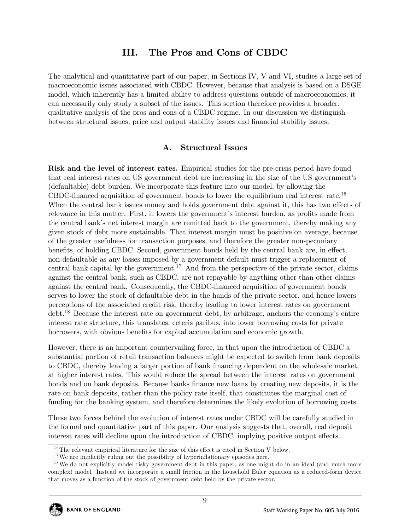# III. The Pros and Cons of CBDC

The analytical and quantitative part of our paper, in Sections IV, V and VI, studies a large set of macroeconomic issues associated with CBDC. However, because that analysis is based on a DSGE model, which inherently has a limited ability to address questions outside of macroeconomics, it can necessarily only study a subset of the issues. This section therefore provides a broader, qualitative analysis of the pros and cons of a CBDC regime. In our discussion we distinguish between structural issues, price and output stability issues and financial stability issues.

### A. Structural Issues

Risk and the level of interest rates. Empirical studies for the pre-crisis period have found that real interest rates on US government debt are increasing in the size of the US government's (defaultable) debt burden. We incorporate this feature into our model, by allowing the CBDC-financed acquisition of government bonds to lower the equilibrium real interest rate.<sup>16</sup> When the central bank issues money and holds government debt against it, this has two effects of relevance in this matter. First, it lowers the government's interest burden, as profits made from the central bank's net interest margin are remitted back to the government, thereby making any given stock of debt more sustainable. That interest margin must be positive on average, because of the greater usefulness for transaction purposes, and therefore the greater non-pecuniary benefits, of holding CBDC. Second, government bonds held by the central bank are, in effect, non-defaultable as any losses imposed by a government default must trigger a replacement of central bank capital by the government.<sup>17</sup> And from the perspective of the private sector, claims against the central bank, such as CBDC, are not repayable by anything other than other claims against the central bank. Consequently, the CBDC-financed acquisition of government bonds serves to lower the stock of defaultable debt in the hands of the private sector, and hence lowers perceptions of the associated credit risk, thereby leading to lower interest rates on government debt.<sup>18</sup> Because the interest rate on government debt, by arbitrage, anchors the economy's entire interest rate structure, this translates, ceteris paribus, into lower borrowing costs for private borrowers, with obvious benefits for capital accumulation and economic growth.

However, there is an important countervailing force, in that upon the introduction of CBDC a substantial portion of retail transaction balances might be expected to switch from bank deposits to CBDC, thereby leaving a larger portion of bank financing dependent on the wholesale market, at higher interest rates. This would reduce the spread between the interest rates on government bonds and on bank deposits. Because banks finance new loans by creating new deposits, it is the rate on bank deposits, rather than the policy rate itself, that constitutes the marginal cost of funding for the banking system, and therefore determines the likely evolution of borrowing costs.

These two forces behind the evolution of interest rates under CBDC will be carefully studied in the formal and quantitative part of this paper. Our analysis suggests that, overall, real deposit interest rates will decline upon the introduction of CBDC, implying positive output effects.

 $16$ The relevant empirical literature for the size of this effect is cited in Section V below.

 $17$  We are implicitly ruling out the possibility of hyperinflationary episodes here.

<sup>&</sup>lt;sup>18</sup>We do not explicitly model risky government debt in this paper, as one might do in an ideal (and much more complex) model. Instead we incorporate a small friction in the household Euler equation as a reduced-form device that moves as a function of the stock of government debt held by the private sector.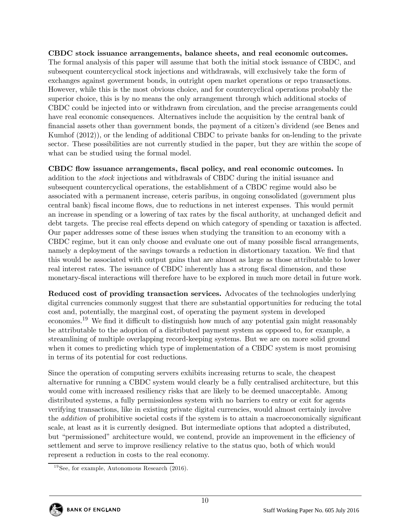CBDC stock issuance arrangements, balance sheets, and real economic outcomes. The formal analysis of this paper will assume that both the initial stock issuance of CBDC, and subsequent countercyclical stock injections and withdrawals, will exclusively take the form of exchanges against government bonds, in outright open market operations or repo transactions. However, while this is the most obvious choice, and for countercyclical operations probably the superior choice, this is by no means the only arrangement through which additional stocks of CBDC could be injected into or withdrawn from circulation, and the precise arrangements could have real economic consequences. Alternatives include the acquisition by the central bank of financial assets other than government bonds, the payment of a citizen's dividend (see Benes and Kumhof (2012)), or the lending of additional CBDC to private banks for on-lending to the private sector. These possibilities are not currently studied in the paper, but they are within the scope of what can be studied using the formal model.

CBDC flow issuance arrangements, fiscal policy, and real economic outcomes. In addition to the stock injections and withdrawals of CBDC during the initial issuance and subsequent countercyclical operations, the establishment of a CBDC regime would also be associated with a permanent increase, ceteris paribus, in ongoing consolidated (government plus central bank) fiscal income flows, due to reductions in net interest expenses. This would permit an increase in spending or a lowering of tax rates by the fiscal authority, at unchanged deficit and debt targets. The precise real effects depend on which category of spending or taxation is affected. Our paper addresses some of these issues when studying the transition to an economy with a CBDC regime, but it can only choose and evaluate one out of many possible fiscal arrangements, namely a deployment of the savings towards a reduction in distortionary taxation. We find that this would be associated with output gains that are almost as large as those attributable to lower real interest rates. The issuance of CBDC inherently has a strong fiscal dimension, and these monetary-fiscal interactions will therefore have to be explored in much more detail in future work.

Reduced cost of providing transaction services. Advocates of the technologies underlying digital currencies commonly suggest that there are substantial opportunities for reducing the total cost and, potentially, the marginal cost, of operating the payment system in developed economies.<sup>19</sup> We find it difficult to distinguish how much of any potential gain might reasonably be attributable to the adoption of a distributed payment system as opposed to, for example, a streamlining of multiple overlapping record-keeping systems. But we are on more solid ground when it comes to predicting which type of implementation of a CBDC system is most promising in terms of its potential for cost reductions.

Since the operation of computing servers exhibits increasing returns to scale, the cheapest alternative for running a CBDC system would clearly be a fully centralised architecture, but this would come with increased resiliency risks that are likely to be deemed unacceptable. Among distributed systems, a fully permissionless system with no barriers to entry or exit for agents verifying transactions, like in existing private digital currencies, would almost certainly involve the addition of prohibitive societal costs if the system is to attain a macroeconomically significant scale, at least as it is currently designed. But intermediate options that adopted a distributed, but "permissioned" architecture would, we contend, provide an improvement in the efficiency of settlement and serve to improve resiliency relative to the status quo, both of which would represent a reduction in costs to the real economy.

 $19$  See, for example, Autonomous Research (2016).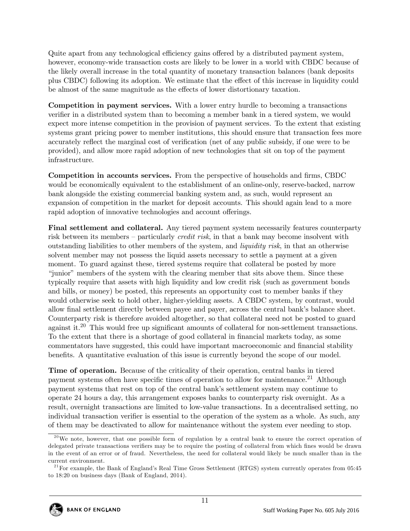Quite apart from any technological efficiency gains offered by a distributed payment system, however, economy-wide transaction costs are likely to be lower in a world with CBDC because of the likely overall increase in the total quantity of monetary transaction balances (bank deposits plus CBDC) following its adoption. We estimate that the effect of this increase in liquidity could be almost of the same magnitude as the effects of lower distortionary taxation.

Competition in payment services. With a lower entry hurdle to becoming a transactions verifier in a distributed system than to becoming a member bank in a tiered system, we would expect more intense competition in the provision of payment services. To the extent that existing systems grant pricing power to member institutions, this should ensure that transaction fees more accurately reflect the marginal cost of verification (net of any public subsidy, if one were to be provided), and allow more rapid adoption of new technologies that sit on top of the payment infrastructure.

Competition in accounts services. From the perspective of households and firms, CBDC would be economically equivalent to the establishment of an online-only, reserve-backed, narrow bank alongside the existing commercial banking system and, as such, would represent an expansion of competition in the market for deposit accounts. This should again lead to a more rapid adoption of innovative technologies and account offerings.

Final settlement and collateral. Any tiered payment system necessarily features counterparty risk between its members – particularly *credit risk*, in that a bank may become insolvent with outstanding liabilities to other members of the system, and liquidity risk, in that an otherwise solvent member may not possess the liquid assets necessary to settle a payment at a given moment. To guard against these, tiered systems require that collateral be posted by more "junior" members of the system with the clearing member that sits above them. Since these typically require that assets with high liquidity and low credit risk (such as government bonds and bills, or money) be posted, this represents an opportunity cost to member banks if they would otherwise seek to hold other, higher-yielding assets. A CBDC system, by contrast, would allow final settlement directly between payee and payer, across the central bank's balance sheet. Counterparty risk is therefore avoided altogether, so that collateral need not be posted to guard against it.<sup>20</sup> This would free up significant amounts of collateral for non-settlement transactions. To the extent that there is a shortage of good collateral in financial markets today, as some commentators have suggested, this could have important macroeconomic and financial stability benefits. A quantitative evaluation of this issue is currently beyond the scope of our model.

Time of operation. Because of the criticality of their operation, central banks in tiered payment systems often have specific times of operation to allow for maintenance.<sup>21</sup> Although payment systems that rest on top of the central bank's settlement system may continue to operate 24 hours a day, this arrangement exposes banks to counterparty risk overnight. As a result, overnight transactions are limited to low-value transactions. In a decentralised setting, no individual transaction verifier is essential to the operation of the system as a whole. As such, any of them may be deactivated to allow for maintenance without the system ever needing to stop.

<sup>&</sup>lt;sup>20</sup>We note, however, that one possible form of regulation by a central bank to ensure the correct operation of delegated private transactions verifiers may be to require the posting of collateral from which fines would be drawn in the event of an error or of fraud. Nevertheless, the need for collateral would likely be much smaller than in the current environment.

 $^{21}$  For example, the Bank of England's Real Time Gross Settlement (RTGS) system currently operates from 05:45 to 18:20 on business days (Bank of England, 2014).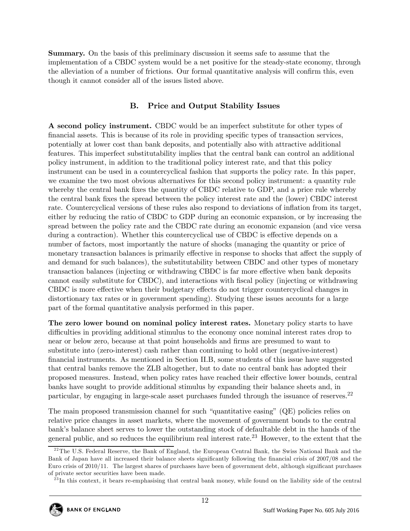Summary. On the basis of this preliminary discussion it seems safe to assume that the implementation of a CBDC system would be a net positive for the steady-state economy, through the alleviation of a number of frictions. Our formal quantitative analysis will confirm this, even though it cannot consider all of the issues listed above.

### B. Price and Output Stability Issues

A second policy instrument. CBDC would be an imperfect substitute for other types of financial assets. This is because of its role in providing specific types of transaction services, potentially at lower cost than bank deposits, and potentially also with attractive additional features. This imperfect substitutability implies that the central bank can control an additional policy instrument, in addition to the traditional policy interest rate, and that this policy instrument can be used in a countercyclical fashion that supports the policy rate. In this paper, we examine the two most obvious alternatives for this second policy instrument: a quantity rule whereby the central bank fixes the quantity of CBDC relative to GDP, and a price rule whereby the central bank fixes the spread between the policy interest rate and the (lower) CBDC interest rate. Countercyclical versions of these rules also respond to deviations of inflation from its target, either by reducing the ratio of CBDC to GDP during an economic expansion, or by increasing the spread between the policy rate and the CBDC rate during an economic expansion (and vice versa during a contraction). Whether this countercyclical use of CBDC is effective depends on a number of factors, most importantly the nature of shocks (managing the quantity or price of monetary transaction balances is primarily effective in response to shocks that affect the supply of and demand for such balances), the substitutability between CBDC and other types of monetary transaction balances (injecting or withdrawing CBDC is far more effective when bank deposits cannot easily substitute for CBDC), and interactions with fiscal policy (injecting or withdrawing CBDC is more effective when their budgetary effects do not trigger countercyclical changes in distortionary tax rates or in government spending). Studying these issues accounts for a large part of the formal quantitative analysis performed in this paper.

The zero lower bound on nominal policy interest rates. Monetary policy starts to have difficulties in providing additional stimulus to the economy once nominal interest rates drop to near or below zero, because at that point households and firms are presumed to want to substitute into (zero-interest) cash rather than continuing to hold other (negative-interest) financial instruments. As mentioned in Section II.B, some students of this issue have suggested that central banks remove the ZLB altogether, but to date no central bank has adopted their proposed measures. Instead, when policy rates have reached their effective lower bounds, central banks have sought to provide additional stimulus by expanding their balance sheets and, in particular, by engaging in large-scale asset purchases funded through the issuance of reserves.<sup>22</sup>

The main proposed transmission channel for such "quantitative easing" (QE) policies relies on relative price changes in asset markets, where the movement of government bonds to the central bank's balance sheet serves to lower the outstanding stock of defaultable debt in the hands of the general public, and so reduces the equilibrium real interest rate.<sup>23</sup> However, to the extent that the

 $^{22}$ The U.S. Federal Reserve, the Bank of England, the European Central Bank, the Swiss National Bank and the Bank of Japan have all increased their balance sheets significantly following the financial crisis of 2007/08 and the Euro crisis of 2010/11. The largest shares of purchases have been of government debt, although significant purchases of private sector securities have been made.

 $^{23}$ In this context, it bears re-emphasising that central bank money, while found on the liability side of the central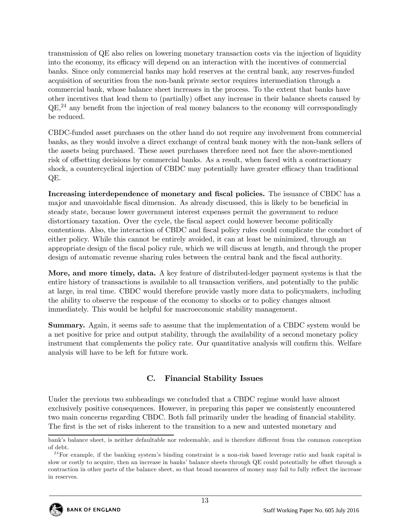transmission of QE also relies on lowering monetary transaction costs via the injection of liquidity into the economy, its efficacy will depend on an interaction with the incentives of commercial banks. Since only commercial banks may hold reserves at the central bank, any reserves-funded acquisition of securities from the non-bank private sector requires intermediation through a commercial bank, whose balance sheet increases in the process. To the extent that banks have other incentives that lead them to (partially) offset any increase in their balance sheets caused by  $QE<sup>24</sup>$  any benefit from the injection of real money balances to the economy will correspondingly be reduced.

CBDC-funded asset purchases on the other hand do not require any involvement from commercial banks, as they would involve a direct exchange of central bank money with the non-bank sellers of the assets being purchased. These asset purchases therefore need not face the above-mentioned risk of offsetting decisions by commercial banks. As a result, when faced with a contractionary shock, a countercyclical injection of CBDC may potentially have greater efficacy than traditional QE.

Increasing interdependence of monetary and fiscal policies. The issuance of CBDC has a major and unavoidable fiscal dimension. As already discussed, this is likely to be beneficial in steady state, because lower government interest expenses permit the government to reduce distortionary taxation. Over the cycle, the fiscal aspect could however become politically contentious. Also, the interaction of CBDC and fiscal policy rules could complicate the conduct of either policy. While this cannot be entirely avoided, it can at least be minimized, through an appropriate design of the fiscal policy rule, which we will discuss at length, and through the proper design of automatic revenue sharing rules between the central bank and the fiscal authority.

More, and more timely, data. A key feature of distributed-ledger payment systems is that the entire history of transactions is available to all transaction verifiers, and potentially to the public at large, in real time. CBDC would therefore provide vastly more data to policymakers, including the ability to observe the response of the economy to shocks or to policy changes almost immediately. This would be helpful for macroeconomic stability management.

Summary. Again, it seems safe to assume that the implementation of a CBDC system would be a net positive for price and output stability, through the availability of a second monetary policy instrument that complements the policy rate. Our quantitative analysis will confirm this. Welfare analysis will have to be left for future work.

## C. Financial Stability Issues

Under the previous two subheadings we concluded that a CBDC regime would have almost exclusively positive consequences. However, in preparing this paper we consistently encountered two main concerns regarding CBDC. Both fall primarily under the heading of financial stability. The first is the set of risks inherent to the transition to a new and untested monetary and

bank's balance sheet, is neither defaultable nor redeemable, and is therefore different from the common conception of debt.

 $24$  For example, if the banking system's binding constraint is a non-risk based leverage ratio and bank capital is slow or costly to acquire, then an increase in banks' balance sheets through QE could potentially be offset through a contraction in other parts of the balance sheet, so that broad measures of money may fail to fully reflect the increase in reserves.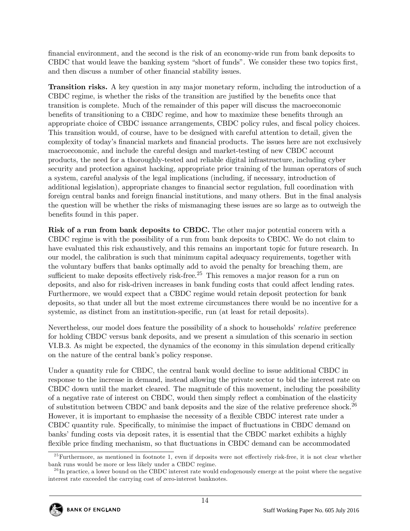financial environment, and the second is the risk of an economy-wide run from bank deposits to CBDC that would leave the banking system "short of funds". We consider these two topics first, and then discuss a number of other financial stability issues.

Transition risks. A key question in any major monetary reform, including the introduction of a CBDC regime, is whether the risks of the transition are justified by the benefits once that transition is complete. Much of the remainder of this paper will discuss the macroeconomic benefits of transitioning to a CBDC regime, and how to maximize these benefits through an appropriate choice of CBDC issuance arrangements, CBDC policy rules, and fiscal policy choices. This transition would, of course, have to be designed with careful attention to detail, given the complexity of today's financial markets and financial products. The issues here are not exclusively macroeconomic, and include the careful design and market-testing of new CBDC account products, the need for a thoroughly-tested and reliable digital infrastructure, including cyber security and protection against hacking, appropriate prior training of the human operators of such a system, careful analysis of the legal implications (including, if necessary, introduction of additional legislation), appropriate changes to financial sector regulation, full coordination with foreign central banks and foreign financial institutions, and many others. But in the final analysis the question will be whether the risks of mismanaging these issues are so large as to outweigh the benefits found in this paper.

Risk of a run from bank deposits to CBDC. The other major potential concern with a CBDC regime is with the possibility of a run from bank deposits to CBDC. We do not claim to have evaluated this risk exhaustively, and this remains an important topic for future research. In our model, the calibration is such that minimum capital adequacy requirements, together with the voluntary buffers that banks optimally add to avoid the penalty for breaching them, are sufficient to make deposits effectively risk-free.<sup>25</sup> This removes a major reason for a run on deposits, and also for risk-driven increases in bank funding costs that could affect lending rates. Furthermore, we would expect that a CBDC regime would retain deposit protection for bank deposits, so that under all but the most extreme circumstances there would be no incentive for a systemic, as distinct from an institution-specific, run (at least for retail deposits).

Nevertheless, our model does feature the possibility of a shock to households' relative preference for holding CBDC versus bank deposits, and we present a simulation of this scenario in section VI.B.3. As might be expected, the dynamics of the economy in this simulation depend critically on the nature of the central bank's policy response.

Under a quantity rule for CBDC, the central bank would decline to issue additional CBDC in response to the increase in demand, instead allowing the private sector to bid the interest rate on CBDC down until the market cleared. The magnitude of this movement, including the possibility of a negative rate of interest on CBDC, would then simply reflect a combination of the elasticity of substitution between CBDC and bank deposits and the size of the relative preference shock.<sup>26</sup> However, it is important to emphasise the necessity of a flexible CBDC interest rate under a CBDC quantity rule. Specifically, to minimise the impact of fluctuations in CBDC demand on banks' funding costs via deposit rates, it is essential that the CBDC market exhibits a highly flexible price finding mechanism, so that fluctuations in CBDC demand can be accommodated

 $^{25}$ Furthermore, as mentioned in footnote 1, even if deposits were not effectively risk-free, it is not clear whether bank runs would be more or less likely under a CBDC regime.

 $^{26}$ In practice, a lower bound on the CBDC interest rate would endogenously emerge at the point where the negative interest rate exceeded the carrying cost of zero-interest banknotes.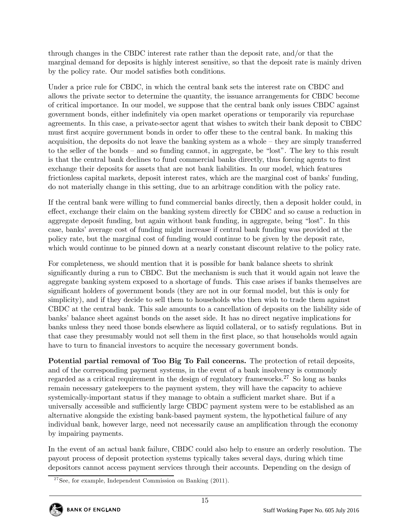through changes in the CBDC interest rate rather than the deposit rate, and/or that the marginal demand for deposits is highly interest sensitive, so that the deposit rate is mainly driven by the policy rate. Our model satisfies both conditions.

Under a price rule for CBDC, in which the central bank sets the interest rate on CBDC and allows the private sector to determine the quantity, the issuance arrangements for CBDC become of critical importance. In our model, we suppose that the central bank only issues CBDC against government bonds, either indefinitely via open market operations or temporarily via repurchase agreements. In this case, a private-sector agent that wishes to switch their bank deposit to CBDC must first acquire government bonds in order to offer these to the central bank. In making this acquisition, the deposits do not leave the banking system as a whole — they are simply transferred to the seller of the bonds — and so funding cannot, in aggregate, be "lost". The key to this result is that the central bank declines to fund commercial banks directly, thus forcing agents to first exchange their deposits for assets that are not bank liabilities. In our model, which features frictionless capital markets, deposit interest rates, which are the marginal cost of banks' funding, do not materially change in this setting, due to an arbitrage condition with the policy rate.

If the central bank were willing to fund commercial banks directly, then a deposit holder could, in effect, exchange their claim on the banking system directly for CBDC and so cause a reduction in aggregate deposit funding, but again without bank funding, in aggregate, being "lost". In this case, banks' average cost of funding might increase if central bank funding was provided at the policy rate, but the marginal cost of funding would continue to be given by the deposit rate, which would continue to be pinned down at a nearly constant discount relative to the policy rate.

For completeness, we should mention that it is possible for bank balance sheets to shrink significantly during a run to CBDC. But the mechanism is such that it would again not leave the aggregate banking system exposed to a shortage of funds. This case arises if banks themselves are significant holders of government bonds (they are not in our formal model, but this is only for simplicity), and if they decide to sell them to households who then wish to trade them against CBDC at the central bank. This sale amounts to a cancellation of deposits on the liability side of banks' balance sheet against bonds on the asset side. It has no direct negative implications for banks unless they need those bonds elsewhere as liquid collateral, or to satisfy regulations. But in that case they presumably would not sell them in the first place, so that households would again have to turn to financial investors to acquire the necessary government bonds.

Potential partial removal of Too Big To Fail concerns. The protection of retail deposits, and of the corresponding payment systems, in the event of a bank insolvency is commonly regarded as a critical requirement in the design of regulatory frameworks.<sup>27</sup> So long as banks remain necessary gatekeepers to the payment system, they will have the capacity to achieve systemically-important status if they manage to obtain a sufficient market share. But if a universally accessible and sufficiently large CBDC payment system were to be established as an alternative alongside the existing bank-based payment system, the hypothetical failure of any individual bank, however large, need not necessarily cause an amplification through the economy by impairing payments.

In the event of an actual bank failure, CBDC could also help to ensure an orderly resolution. The payout process of deposit protection systems typically takes several days, during which time depositors cannot access payment services through their accounts. Depending on the design of

 $27$  See, for example, Independent Commission on Banking (2011).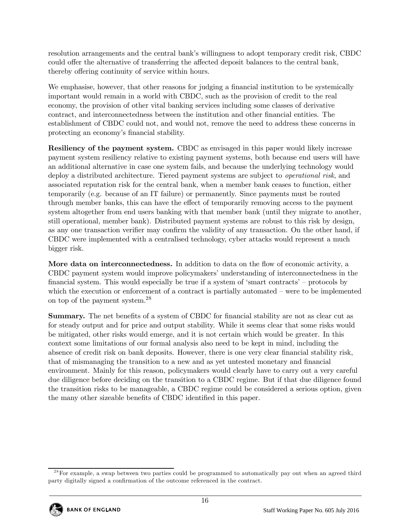resolution arrangements and the central bank's willingness to adopt temporary credit risk, CBDC could offer the alternative of transferring the affected deposit balances to the central bank, thereby offering continuity of service within hours.

We emphasise, however, that other reasons for judging a financial institution to be systemically important would remain in a world with CBDC, such as the provision of credit to the real economy, the provision of other vital banking services including some classes of derivative contract, and interconnectedness between the institution and other financial entities. The establishment of CBDC could not, and would not, remove the need to address these concerns in protecting an economy's financial stability.

Resiliency of the payment system. CBDC as envisaged in this paper would likely increase payment system resiliency relative to existing payment systems, both because end users will have an additional alternative in case one system fails, and because the underlying technology would deploy a distributed architecture. Tiered payment systems are subject to *operational risk*, and associated reputation risk for the central bank, when a member bank ceases to function, either temporarily (e.g. because of an IT failure) or permanently. Since payments must be routed through member banks, this can have the effect of temporarily removing access to the payment system altogether from end users banking with that member bank (until they migrate to another, still operational, member bank). Distributed payment systems are robust to this risk by design, as any one transaction verifier may confirm the validity of any transaction. On the other hand, if CBDC were implemented with a centralised technology, cyber attacks would represent a much bigger risk.

More data on interconnectedness. In addition to data on the flow of economic activity, a CBDC payment system would improve policymakers' understanding of interconnectedness in the financial system. This would especially be true if a system of 'smart contracts' — protocols by which the execution or enforcement of a contract is partially automated – were to be implemented on top of the payment system.<sup>28</sup>

Summary. The net benefits of a system of CBDC for financial stability are not as clear cut as for steady output and for price and output stability. While it seems clear that some risks would be mitigated, other risks would emerge, and it is not certain which would be greater. In this context some limitations of our formal analysis also need to be kept in mind, including the absence of credit risk on bank deposits. However, there is one very clear financial stability risk, that of mismanaging the transition to a new and as yet untested monetary and financial environment. Mainly for this reason, policymakers would clearly have to carry out a very careful due diligence before deciding on the transition to a CBDC regime. But if that due diligence found the transition risks to be manageable, a CBDC regime could be considered a serious option, given the many other sizeable benefits of CBDC identified in this paper.

 $2<sup>28</sup>$  For example, a swap between two parties could be programmed to automatically pay out when an agreed third party digitally signed a confirmation of the outcome referenced in the contract.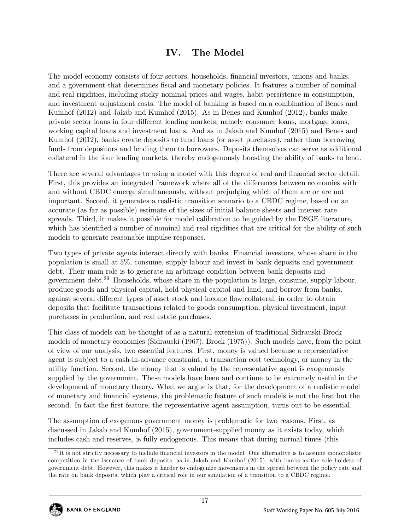# IV. The Model

The model economy consists of four sectors, households, financial investors, unions and banks, and a government that determines fiscal and monetary policies. It features a number of nominal and real rigidities, including sticky nominal prices and wages, habit persistence in consumption, and investment adjustment costs. The model of banking is based on a combination of Benes and Kumhof (2012) and Jakab and Kumhof (2015). As in Benes and Kumhof (2012), banks make private sector loans in four different lending markets, namely consumer loans, mortgage loans, working capital loans and investment loans. And as in Jakab and Kumhof (2015) and Benes and Kumhof (2012), banks create deposits to fund loans (or asset purchases), rather than borrowing funds from depositors and lending them to borrowers. Deposits themselves can serve as additional collateral in the four lending markets, thereby endogenously boosting the ability of banks to lend.

There are several advantages to using a model with this degree of real and financial sector detail. First, this provides an integrated framework where all of the differences between economies with and without CBDC emerge simultaneously, without prejudging which of them are or are not important. Second, it generates a realistic transition scenario to a CBDC regime, based on an accurate (as far as possible) estimate of the sizes of initial balance sheets and interest rate spreads. Third, it makes it possible for model calibration to be guided by the DSGE literature, which has identified a number of nominal and real rigidities that are critical for the ability of such models to generate reasonable impulse responses.

Two types of private agents interact directly with banks. Financial investors, whose share in the population is small at 5%, consume, supply labour and invest in bank deposits and government debt. Their main role is to generate an arbitrage condition between bank deposits and government debt.<sup>29</sup> Households, whose share in the population is large, consume, supply labour, produce goods and physical capital, hold physical capital and land, and borrow from banks, against several different types of asset stock and income flow collateral, in order to obtain deposits that facilitate transactions related to goods consumption, physical investment, input purchases in production, and real estate purchases.

This class of models can be thought of as a natural extension of traditional Sidrauski-Brock models of monetary economies (Sidrauski (1967), Brock (1975)). Such models have, from the point of view of our analysis, two essential features. First, money is valued because a representative agent is subject to a cash-in-advance constraint, a transaction cost technology, or money in the utility function. Second, the money that is valued by the representative agent is exogenously supplied by the government. These models have been and continue to be extremely useful in the development of monetary theory. What we argue is that, for the development of a realistic model of monetary and financial systems, the problematic feature of such models is not the first but the second. In fact the first feature, the representative agent assumption, turns out to be essential.

The assumption of exogenous government money is problematic for two reasons. First, as discussed in Jakab and Kumhof (2015), government-supplied money as it exists today, which includes cash and reserves, is fully endogenous. This means that during normal times (this

 $29$ It is not strictly necessary to include financial investors in the model. One alternative is to assume monopolistic competition in the issuance of bank deposits, as in Jakab and Kumhof (2015), with banks as the sole holders of government debt. However, this makes it harder to endogenize movements in the spread between the policy rate and the rate on bank deposits, which play a critical role in our simulation of a transition to a CBDC regime.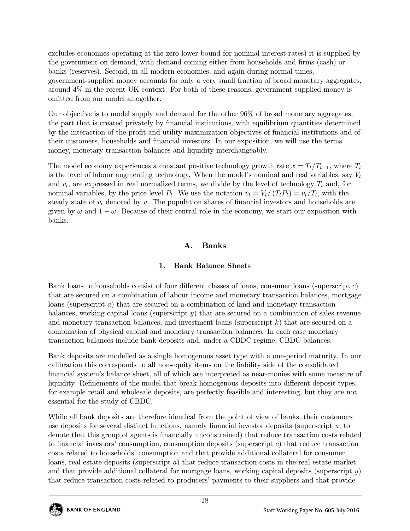excludes economies operating at the zero lower bound for nominal interest rates) it is supplied by the government on demand, with demand coming either from households and firms (cash) or banks (reserves). Second, in all modern economies, and again during normal times, government-supplied money accounts for only a very small fraction of broad monetary aggregates, around 4% in the recent UK context. For both of these reasons, government-supplied money is omitted from our model altogether.

Our objective is to model supply and demand for the other 96% of broad monetary aggregates, the part that is created privately by financial institutions, with equilibrium quantities determined by the interaction of the profit and utility maximization objectives of financial institutions and of their customers, households and financial investors. In our exposition, we will use the terms money, monetary transaction balances and liquidity interchangeably.

The model economy experiences a constant positive technology growth rate  $x = T_t/T_{t-1}$ , where  $T_t$ is the level of labour augmenting technology. When the model's nominal and real variables, say  $V_t$ and  $v_t$ , are expressed in real normalized terms, we divide by the level of technology  $T_t$  and, for nominal variables, by the price level  $P_t$ . We use the notation  $\check{v}_t = V_t/(T_t P_t) = v_t/T_t$ , with the steady state of  $\check{v}_t$  denoted by  $\bar{v}$ . The population shares of financial investors and households are given by  $\omega$  and  $1 - \omega$ . Because of their central role in the economy, we start our exposition with banks.

### A. Banks

### 1. Bank Balance Sheets

Bank loans to households consist of four different classes of loans, consumer loans (superscript c) that are secured on a combination of labour income and monetary transaction balances, mortgage loans (superscript a) that are secured on a combination of land and monetary transaction balances, working capital loans (superscript y) that are secured on a combination of sales revenue and monetary transaction balances, and investment loans (superscript  $k$ ) that are secured on a combination of physical capital and monetary transaction balances. In each case monetary transaction balances include bank deposits and, under a CBDC regime, CBDC balances.

Bank deposits are modelled as a single homogenous asset type with a one-period maturity. In our calibration this corresponds to all non-equity items on the liability side of the consolidated financial system's balance sheet, all of which are interpreted as near-monies with some measure of liquidity. Refinements of the model that break homogenous deposits into different deposit types, for example retail and wholesale deposits, are perfectly feasible and interesting, but they are not essential for the study of CBDC.

While all bank deposits are therefore identical from the point of view of banks, their customers use deposits for several distinct functions, namely financial investor deposits (superscript u, to denote that this group of agents is financially unconstrained) that reduce transaction costs related to financial investors' consumption, consumption deposits (superscript  $c$ ) that reduce transaction costs related to households' consumption and that provide additional collateral for consumer loans, real estate deposits (superscript a) that reduce transaction costs in the real estate market and that provide additional collateral for mortgage loans, working capital deposits (superscript  $y$ ) that reduce transaction costs related to producers' payments to their suppliers and that provide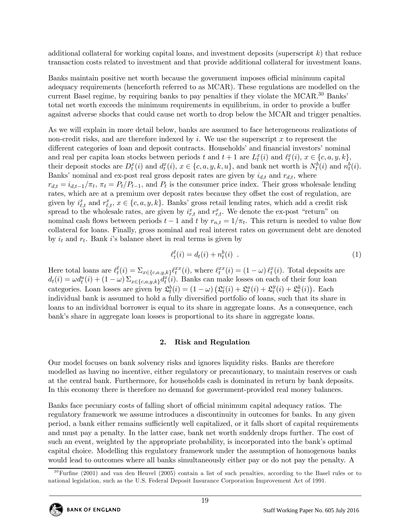additional collateral for working capital loans, and investment deposits (superscript  $k$ ) that reduce transaction costs related to investment and that provide additional collateral for investment loans.

Banks maintain positive net worth because the government imposes official minimum capital adequacy requirements (henceforth referred to as MCAR). These regulations are modelled on the current Basel regime, by requiring banks to pay penalties if they violate the MCAR.<sup>30</sup> Banks' total net worth exceeds the minimum requirements in equilibrium, in order to provide a buffer against adverse shocks that could cause net worth to drop below the MCAR and trigger penalties.

As we will explain in more detail below, banks are assumed to face heterogeneous realizations of non-credit risks, and are therefore indexed by  $i$ . We use the superscript  $x$  to represent the different categories of loan and deposit contracts. Households' and financial investors' nominal and real per capita loan stocks between periods t and  $t + 1$  are  $L_t^x(i)$  and  $\ell_t^x(i)$ ,  $x \in \{c, a, y, k\}$ , their deposit stocks are  $D_t^x(i)$  and  $d_t^x(i)$ ,  $x \in \{c, a, y, k, u\}$ , and bank net worth is  $N_t^b(i)$  and  $n_t^b(i)$ . Banks' nominal and ex-post real gross deposit rates are given by  $i_{d,t}$  and  $r_{d,t}$ , where  $r_{d,t} = i_{d,t-1}/\pi_t$ ,  $\pi_t = P_t/P_{t-1}$ , and  $P_t$  is the consumer price index. Their gross wholesale lending rates, which are at a premium over deposit rates because they offset the cost of regulation, are given by  $i_{\ell,t}^x$  and  $r_{\ell,t}^x$ ,  $x \in \{c, a, y, k\}$ . Banks' gross retail lending rates, which add a credit risk spread to the wholesale rates, are given by  $i_{r,t}^x$  and  $r_{r,t}^x$ . We denote the ex-post "return" on nominal cash flows between periods  $t-1$  and t by  $r_{n,t} = 1/\pi_t$ . This return is needed to value flow collateral for loans. Finally, gross nominal and real interest rates on government debt are denoted by  $i_t$  and  $r_t$ . Bank i's balance sheet in real terms is given by

$$
\ell_t^{\ell}(i) = d_t(i) + n_t^b(i) \tag{1}
$$

Here total loans are  $\ell_t^{\ell}(i) = \sum_{x \in \{c,a,y,k\}} \ell_t^{xx}(i)$ , where  $\ell_t^{xx}(i) = (1 - \omega) \ell_t^{x}(i)$ . Total deposits are  $d_t(i) = \omega d_t^u(i) + (1 - \omega) \sum_{x \in \{c, a, y, k\}} d_t^x(i)$ . Banks can make losses on each of their four loan categories. Loan losses are given by  $\mathfrak{L}_t^b(i) = (1 - \omega) \left( \mathfrak{L}_t^c(i) + \mathfrak{L}_t^a(i) + \mathfrak{L}_t^y(i) \right)$  $\mathcal{L}_t^y(i) + \mathcal{L}_t^k(i)$ ). Each individual bank is assumed to hold a fully diversified portfolio of loans, such that its share in loans to an individual borrower is equal to its share in aggregate loans. As a consequence, each bank's share in aggregate loan losses is proportional to its share in aggregate loans.

#### 2. Risk and Regulation

Our model focuses on bank solvency risks and ignores liquidity risks. Banks are therefore modelled as having no incentive, either regulatory or precautionary, to maintain reserves or cash at the central bank. Furthermore, for households cash is dominated in return by bank deposits. In this economy there is therefore no demand for government-provided real money balances.

Banks face pecuniary costs of falling short of official minimum capital adequacy ratios. The regulatory framework we assume introduces a discontinuity in outcomes for banks. In any given period, a bank either remains sufficiently well capitalized, or it falls short of capital requirements and must pay a penalty. In the latter case, bank net worth suddenly drops further. The cost of such an event, weighted by the appropriate probability, is incorporated into the bank's optimal capital choice. Modelling this regulatory framework under the assumption of homogenous banks would lead to outcomes where all banks simultaneously either pay or do not pay the penalty. A

 $30$ Furfine (2001) and van den Heuvel (2005) contain a list of such penalties, according to the Basel rules or to national legislation, such as the U.S. Federal Deposit Insurance Corporation Improvement Act of 1991.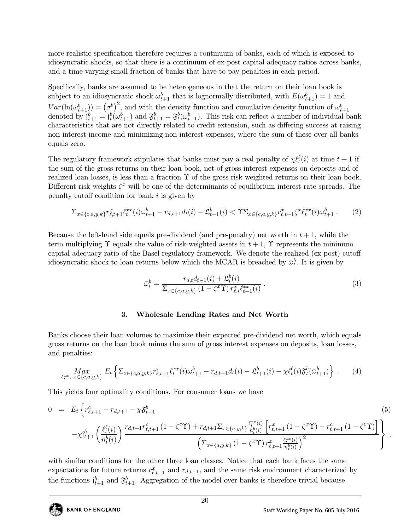more realistic specification therefore requires a continuum of banks, each of which is exposed to idiosyncratic shocks, so that there is a continuum of ex-post capital adequacy ratios across banks, and a time-varying small fraction of banks that have to pay penalties in each period.

Specifically, banks are assumed to be heterogeneous in that the return on their loan book is subject to an idiosyncratic shock  $\omega_{t+1}^b$  that is lognormally distributed, with  $E(\omega_{t+1}^b) = 1$  and  $Var(\ln(\omega_{t+1}^b)) = (\sigma^b)^2$ , and with the density function and cumulative density function of  $\omega_{t+1}^b$ denoted by  $\mathfrak{f}_{t+1}^b = \mathfrak{f}_t^b(\omega_{t+1}^b)$  and  $\mathfrak{F}_{t+1}^b = \mathfrak{F}_t^b(\omega_{t+1}^b)$ . This risk can reflect a number of individual bank characteristics that are not directly related to credit extension, such as differing success at raising non-interest income and minimizing non-interest expenses, where the sum of these over all banks equals zero.

The regulatory framework stipulates that banks must pay a real penalty of  $\chi \ell_t^{\ell}(i)$  at time  $t+1$  if the sum of the gross returns on their loan book, net of gross interest expenses on deposits and of realized loan losses, is less than a fraction Υ of the gross risk-weighted returns on their loan book. Different risk-weights  $\zeta^x$  will be one of the determinants of equilibrium interest rate spreads. The penalty cutoff condition for bank  $i$  is given by

$$
\sum_{x \in \{c,a,y,k\}} r^x_{\ell,t+1} \ell_t^{xx}(i) \omega_{t+1}^b - r_{d,t+1} d_t(i) - \mathfrak{L}_{t+1}^b(i) < \Upsilon \sum_{x \in \{c,a,y,k\}} r^x_{\ell,t+1} \zeta^x \ell_t^{xx}(i) \omega_{t+1}^b \,. \tag{2}
$$

Because the left-hand side equals pre-dividend (and pre-penalty) net worth in  $t + 1$ , while the term multiplying  $\Upsilon$  equals the value of risk-weighted assets in  $t + 1$ ,  $\Upsilon$  represents the minimum capital adequacy ratio of the Basel regulatory framework. We denote the realized (ex-post) cutoff idiosyncratic shock to loan returns below which the MCAR is breached by  $\bar{\omega}_t^b$ . It is given by

$$
\bar{\omega}_t^b = \frac{r_{d,t}d_{t-1}(i) + \mathfrak{L}_t^b(i)}{\sum_{x \in \{c,a,y,k\}} (1 - \zeta^x \Upsilon) r_{\ell,t}^x \ell_{t-1}^{xx}(i)} .
$$
\n(3)

#### 3. Wholesale Lending Rates and Net Worth

Banks choose their loan volumes to maximize their expected pre-dividend net worth, which equals gross returns on the loan book minus the sum of gross interest expenses on deposits, loan losses, and penalties:

$$
\max_{\ell_t^{xx}, \ x \in \{c,a,y,k\}} E_t \left\{ \sum_{x \in \{c,a,y,k\}} r_{\ell,t+1}^x \ell_t^{xx}(i) \omega_{t+1}^b - r_{d,t+1} d_t(i) - \mathfrak{L}_{t+1}^b(i) - \chi \ell_t^\ell(i) \mathfrak{F}_t^b(\bar{\omega}_{t+1}^b) \right\} \ . \tag{4}
$$

This yields four optimality conditions. For consumer loans we have

$$
0 = E_t \left\{ r_{\ell,t+1}^c - r_{d,t+1} - \chi \mathfrak{F}_{t+1}^b \right\}
$$
\n
$$
- \chi f_{t+1}^b \left( \frac{\ell_t^{\ell}(i)}{n_t^b(i)} \right) \frac{r_{d,t+1} r_{\ell,t+1}^c (1 - \zeta^c \Upsilon) + r_{d,t+1} \Sigma_{x \in \{a,y,k\}} \frac{\ell_t^{xx}(i)}{n_t^b(i)} \left[ r_{\ell,t+1}^x (1 - \zeta^x \Upsilon) - r_{\ell,t+1}^c (1 - \zeta^c \Upsilon) \right]}{\left( \Sigma_{x \in \{a,y,k\}} (1 - \zeta^x \Upsilon) r_{\ell,t+1}^x \frac{\ell_t^{xx}(i)}{n_t^b(i)} \right)^2},
$$
\n
$$
(5)
$$
\n
$$
(5)
$$

with similar conditions for the other three loan classes. Notice that each bank faces the same expectations for future returns  $r_{\ell,t+1}^x$  and  $r_{d,t+1}$ , and the same risk environment characterized by the functions  $\mathfrak{f}^b_{t+1}$  and  $\mathfrak{F}^b_{t+1}$ . Aggregation of the model over banks is therefore trivial because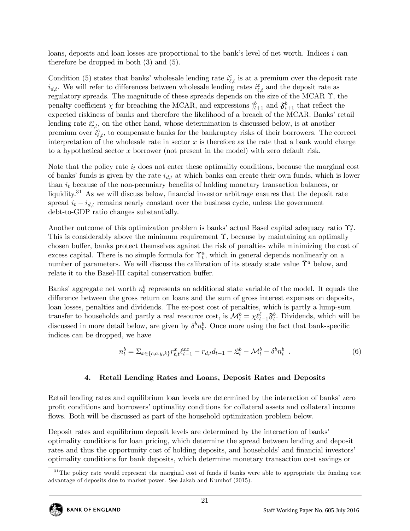loans, deposits and loan losses are proportional to the bank's level of net worth. Indices i can therefore be dropped in both (3) and (5).

Condition (5) states that banks' wholesale lending rate  $i_{\ell,t}^c$  is at a premium over the deposit rate  $i_{d,t}$ . We will refer to differences between wholesale lending rates  $i_{\ell,t}^x$  and the deposit rate as regulatory spreads. The magnitude of these spreads depends on the size of the MCAR Υ, the penalty coefficient  $\chi$  for breaching the MCAR, and expressions  $\mathfrak{f}^b_{t+1}$  and  $\mathfrak{F}^b_{t+1}$  that reflect the expected riskiness of banks and therefore the likelihood of a breach of the MCAR. Banks' retail lending rate  $i_{r,t}^c$ , on the other hand, whose determination is discussed below, is at another premium over  $i_{\ell,t}^c$ , to compensate banks for the bankruptcy risks of their borrowers. The correct interpretation of the wholesale rate in sector  $x$  is therefore as the rate that a bank would charge to a hypothetical sector  $x$  borrower (not present in the model) with zero default risk.

Note that the policy rate  $i_t$  does not enter these optimality conditions, because the marginal cost of banks' funds is given by the rate  $i_{d,t}$  at which banks can create their own funds, which is lower than  $i_t$  because of the non-pecuniary benefits of holding monetary transaction balances, or liquidity.<sup>31</sup> As we will discuss below, financial investor arbitrage ensures that the deposit rate spread  $i_t - i_{d,t}$  remains nearly constant over the business cycle, unless the government debt-to-GDP ratio changes substantially.

Another outcome of this optimization problem is banks' actual Basel capital adequacy ratio  $\Upsilon_t^a$ . This is considerably above the minimum requirement  $\Upsilon$ , because by maintaining an optimally chosen buffer, banks protect themselves against the risk of penalties while minimizing the cost of excess capital. There is no simple formula for  $\Upsilon_t^a$ , which in general depends nonlinearly on a number of parameters. We will discuss the calibration of its steady state value  $\Upsilon^a$  below, and relate it to the Basel-III capital conservation buffer.

Banks' aggregate net worth  $n_t^b$  represents an additional state variable of the model. It equals the difference between the gross return on loans and the sum of gross interest expenses on deposits, loan losses, penalties and dividends. The ex-post cost of penalties, which is partly a lump-sum transfer to households and partly a real resource cost, is  $\mathcal{M}_t^b = \chi \ell_{t-1}^{\ell} \mathfrak{F}_t^b$ . Dividends, which will be discussed in more detail below, are given by  $\delta^b n_t^b$ . Once more using the fact that bank-specific indices can be dropped, we have

$$
n_t^b = \sum_{x \in \{c, a, y, k\}} r_{\ell, t}^x \ell_{t-1}^{xx} - r_{d, t} d_{t-1} - \mathfrak{L}_t^b - \mathcal{M}_t^b - \delta^b n_t^b \tag{6}
$$

### 4. Retail Lending Rates and Loans, Deposit Rates and Deposits

Retail lending rates and equilibrium loan levels are determined by the interaction of banks' zero profit conditions and borrowers' optimality conditions for collateral assets and collateral income flows. Both will be discussed as part of the household optimization problem below.

Deposit rates and equilibrium deposit levels are determined by the interaction of banks' optimality conditions for loan pricing, which determine the spread between lending and deposit rates and thus the opportunity cost of holding deposits, and households' and financial investors' optimality conditions for bank deposits, which determine monetary transaction cost savings or

 $31$ The policy rate would represent the marginal cost of funds if banks were able to appropriate the funding cost advantage of deposits due to market power. See Jakab and Kumhof (2015).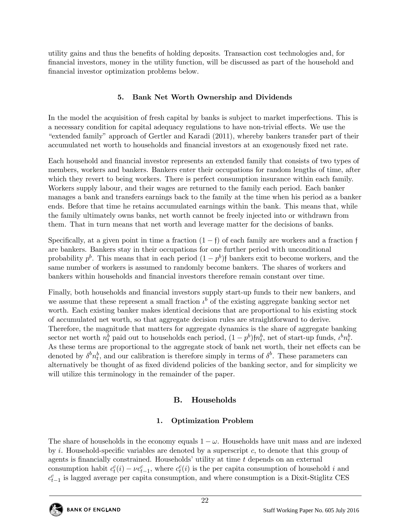utility gains and thus the benefits of holding deposits. Transaction cost technologies and, for financial investors, money in the utility function, will be discussed as part of the household and financial investor optimization problems below.

#### 5. Bank Net Worth Ownership and Dividends

In the model the acquisition of fresh capital by banks is subject to market imperfections. This is a necessary condition for capital adequacy regulations to have non-trivial effects. We use the "extended family" approach of Gertler and Karadi (2011), whereby bankers transfer part of their accumulated net worth to households and financial investors at an exogenously fixed net rate.

Each household and financial investor represents an extended family that consists of two types of members, workers and bankers. Bankers enter their occupations for random lengths of time, after which they revert to being workers. There is perfect consumption insurance within each family. Workers supply labour, and their wages are returned to the family each period. Each banker manages a bank and transfers earnings back to the family at the time when his period as a banker ends. Before that time he retains accumulated earnings within the bank. This means that, while the family ultimately owns banks, net worth cannot be freely injected into or withdrawn from them. That in turn means that net worth and leverage matter for the decisions of banks.

Specifically, at a given point in time a fraction  $(1 - f)$  of each family are workers and a fraction f are bankers. Bankers stay in their occupations for one further period with unconditional probability  $p^b$ . This means that in each period  $(1-p^b)$  bankers exit to become workers, and the same number of workers is assumed to randomly become bankers. The shares of workers and bankers within households and financial investors therefore remain constant over time.

Finally, both households and financial investors supply start-up funds to their new bankers, and we assume that these represent a small fraction  $\iota^b$  of the existing aggregate banking sector net worth. Each existing banker makes identical decisions that are proportional to his existing stock of accumulated net worth, so that aggregate decision rules are straightforward to derive. Therefore, the magnitude that matters for aggregate dynamics is the share of aggregate banking sector net worth  $n_t^b$  paid out to households each period,  $(1-p^b)$ f $n_t^b$ , net of start-up funds,  $\iota^b n_t^b$ . As these terms are proportional to the aggregate stock of bank net worth, their net effects can be denoted by  $\delta^b n_t^b$ , and our calibration is therefore simply in terms of  $\delta^b$ . These parameters can alternatively be thought of as fixed dividend policies of the banking sector, and for simplicity we will utilize this terminology in the remainder of the paper.

### B. Households

### 1. Optimization Problem

The share of households in the economy equals  $1 - \omega$ . Households have unit mass and are indexed by i. Household-specific variables are denoted by a superscript c, to denote that this group of agents is financially constrained. Households' utility at time t depends on an external consumption habit  $c_t^c(i) - \nu c_{t-1}^c$ , where  $c_t^c(i)$  is the per capita consumption of household i and  $c_{t-1}^c$  is lagged average per capita consumption, and where consumption is a Dixit-Stiglitz CES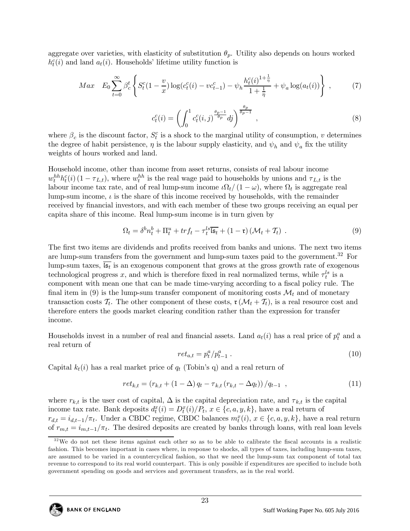aggregate over varieties, with elasticity of substitution  $\theta_p$ . Utility also depends on hours worked  $h_t^c(i)$  and land  $a_t(i)$ . Households' lifetime utility function is

$$
Max \t E_0 \sum_{t=0}^{\infty} \beta_c^t \left\{ S_t^c (1 - \frac{v}{x}) \log(c_t^c(i) - v c_{t-1}^c) - \psi_h \frac{h_t^c(i)^{1 + \frac{1}{\eta}}}{1 + \frac{1}{\eta}} + \psi_a \log(a_t(i)) \right\} ,\t(7)
$$

$$
c_t^c(i) = \left(\int_0^1 c_t^c(i,j)^{\frac{\theta_p - 1}{\theta_p}} dj\right)^{\frac{\theta_p}{\theta_p - 1}}, \qquad (8)
$$

where  $\beta_c$  is the discount factor,  $S_t^c$  is a shock to the marginal utility of consumption, v determines the degree of habit persistence,  $\eta$  is the labour supply elasticity, and  $\psi_h$  and  $\psi_a$  fix the utility weights of hours worked and land.

Household income, other than income from asset returns, consists of real labour income  $w_t^{hh}h_t^c(i)$   $(1 - \tau_{L,t})$ , where  $w_t^{hh}$  is the real wage paid to households by unions and  $\tau_{L,t}$  is the labour income tax rate, and of real lump-sum income  $\iota\Omega_t/(1-\omega)$ , where  $\Omega_t$  is aggregate real lump-sum income,  $\iota$  is the share of this income received by households, with the remainder received by financial investors, and with each member of these two groups receiving an equal per capita share of this income. Real lump-sum income is in turn given by

$$
\Omega_t = \delta^b n_t^b + \Pi_t^u + tr f_t - \tau_t^{ls} \overline{\mathfrak{ls}_t} + (1 - \mathfrak{r}) \left( \mathcal{M}_t + \mathcal{T}_t \right) . \tag{9}
$$

The first two items are dividends and profits received from banks and unions. The next two items are lump-sum transfers from the government and lump-sum taxes paid to the government.<sup>32</sup> For lump-sum taxes,  $I_{\mathfrak{s}_t}$  is an exogenous component that grows at the gross growth rate of exogenous technological progress x, and which is therefore fixed in real normalized terms, while  $\tau_t^{ls}$  is a component with mean one that can be made time-varying according to a fiscal policy rule. The final item in (9) is the lump-sum transfer component of monitoring costs  $\mathcal{M}_t$  and of monetary transaction costs  $\mathcal{T}_t$ . The other component of these costs,  $\mathfrak{r}(\mathcal{M}_t + \mathcal{T}_t)$ , is a real resource cost and therefore enters the goods market clearing condition rather than the expression for transfer income.

Households invest in a number of real and financial assets. Land  $a_t(i)$  has a real price of  $p_t^a$  and a real return of

$$
ret_{a,t} = p_t^a / p_{t-1}^a . \t\t(10)
$$

Capital  $k_t(i)$  has a real market price of  $q_t$  (Tobin's q) and a real return of

$$
ret_{k,t} = (r_{k,t} + (1 - \Delta) q_t - \tau_{k,t} (r_{k,t} - \Delta q_t)) / q_{t-1} , \qquad (11)
$$

where  $r_{k,t}$  is the user cost of capital,  $\Delta$  is the capital depreciation rate, and  $\tau_{k,t}$  is the capital income tax rate. Bank deposits  $d_t^x(i) = D_t^x(i)/P_t$ ,  $x \in \{c, a, y, k\}$ , have a real return of  $r_{d,t} = i_{d,t-1}/\pi_t$ . Under a CBDC regime, CBDC balances  $m_t^x(i)$ ,  $x \in \{c, a, y, k\}$ , have a real return of  $r_{m,t} = i_{m,t-1}/\pi_t$ . The desired deposits are created by banks through loans, with real loan levels

 $32\,\text{We}$  do not net these items against each other so as to be able to calibrate the fiscal accounts in a realistic fashion. This becomes important in cases where, in response to shocks, all types of taxes, including lump-sum taxes, are assumed to be varied in a countercyclical fashion, so that we need the lump-sum tax component of total tax revenue to correspond to its real world counterpart. This is only possible if expenditures are specified to include both government spending on goods and services and government transfers, as in the real world.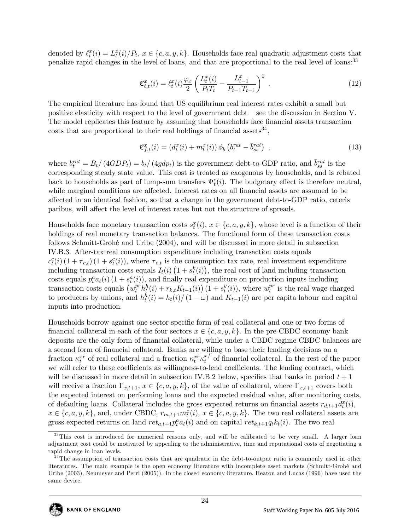denoted by  $\ell_t^x(i) = L_t^x(i)/P_t, x \in \{c, a, y, k\}$ . Households face real quadratic adjustment costs that penalize rapid changes in the level of loans, and that are proportional to the real level of loans:<sup>33</sup>

$$
\mathfrak{C}_{\ell,t}^x(i) = \ell_t^x(i) \frac{\varphi_x}{2} \left( \frac{L_t^x(i)}{P_t T_t} - \frac{L_{t-1}^x}{P_{t-1} T_{t-1}} \right)^2 \,. \tag{12}
$$

The empirical literature has found that US equilibrium real interest rates exhibit a small but positive elasticity with respect to the level of government debt — see the discussion in Section V. The model replicates this feature by assuming that households face financial assets transaction costs that are proportional to their real holdings of financial assets<sup>34</sup>,

$$
\mathfrak{C}_{f,t}^x(i) = \left(d_t^x(i) + m_t^x(i)\right)\phi_b\left(b_t^{rat} - \bar{b}_{ss}^{rat}\right) \,,\tag{13}
$$

where  $b_t^{rat} = B_t/(4GDP_t) = b_t/(4gdp_t)$  is the government debt-to-GDP ratio, and  $\bar{b}_{ss}^{rat}$  is the corresponding steady state value. This cost is treated as exogenous by households, and is rebated back to households as part of lump-sum transfers  $\Psi_t^c(i)$ . The budgetary effect is therefore neutral, while marginal conditions are affected. Interest rates on all financial assets are assumed to be affected in an identical fashion, so that a change in the government debt-to-GDP ratio, ceteris paribus, will affect the level of interest rates but not the structure of spreads.

Households face monetary transaction costs  $s_t^x(i)$ ,  $x \in \{c, a, y, k\}$ , whose level is a function of their holdings of real monetary transaction balances. The functional form of these transaction costs follows Schmitt-Grohé and Uribe (2004), and will be discussed in more detail in subsection IV.B.3. After-tax real consumption expenditure including transaction costs equals  $c_t^c(i)$   $(1 + \tau_{c,t})$   $(1 + s_t^c(i))$ , where  $\tau_{c,t}$  is the consumption tax rate, real investment expenditure including transaction costs equals  $I_t(i)$   $(1 + s_t^k(i))$ , the real cost of land including transaction costs equals  $p_t^a a_t(i) (1 + s_t^a(i))$ , and finally real expenditure on production inputs including transaction costs equals  $\left(w_t^{pr}h_t^h(i) + r_{k,t}K_{t-1}(i)\right)(1 + s_t^y)$  $_t^y(i)$ , where  $w_t^{pr}$  $t^{pr}$  is the real wage charged to producers by unions, and  $h_t^h(i) = h_t(i)/(1 - \omega)$  and  $K_{t-1}(i)$  are per capita labour and capital inputs into production.

Households borrow against one sector-specific form of real collateral and one or two forms of financial collateral in each of the four sectors  $x \in \{c, a, y, k\}$ . In the pre-CBDC economy bank deposits are the only form of financial collateral, while under a CBDC regime CBDC balances are a second form of financial collateral. Banks are willing to base their lending decisions on a fraction  $\kappa_t^{xr}$  of real collateral and a fraction  $\kappa_t^{xr}\kappa_t^{xf}$  $t_t^{x_j}$  of financial collateral. In the rest of the paper we will refer to these coefficients as willingness-to-lend coefficients. The lending contract, which will be discussed in more detail in subsection IV.B.2 below, specifies that banks in period  $t + 1$ will receive a fraction  $\Gamma_{x,t+1}, x \in \{c, a, y, k\}$ , of the value of collateral, where  $\Gamma_{x,t+1}$  covers both the expected interest on performing loans and the expected residual value, after monitoring costs, of defaulting loans. Collateral includes the gross expected returns on financial assets  $r_{d,t+1}d_t^x(i)$ ,  $x \in \{c, a, y, k\}$ , and, under CBDC,  $r_{m,t+1} m_t^x(i)$ ,  $x \in \{c, a, y, k\}$ . The two real collateral assets are gross expected returns on land  $ret_{a,t+1}p_t^a a_t(i)$  and on capital  $ret_{k,t+1}q_t k_t(i)$ . The two real

<sup>&</sup>lt;sup>33</sup>This cost is introduced for numerical reasons only, and will be calibrated to be very small. A larger loan adjustment cost could be motivated by appealing to the administrative, time and reputational costs of negotiating a rapid change in loan levels.

<sup>&</sup>lt;sup>34</sup>The assumption of transaction costs that are quadratic in the debt-to-output ratio is commonly used in other literatures. The main example is the open economy literature with incomplete asset markets (Schmitt-Grohé and Uribe (2003), Neumeyer and Perri (2005)). In the closed economy literature, Heaton and Lucas (1996) have used the same device.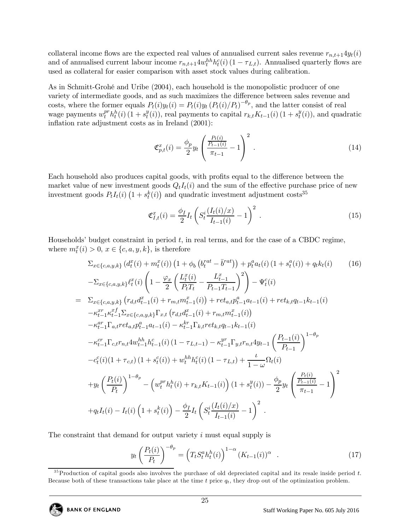collateral income flows are the expected real values of annualised current sales revenue  $r_{n,t+1}4y_t(i)$ and of annualised current labour income  $r_{n,t+1} 4 w_t^{hh} h_t^c(i) (1 - \tau_{L,t})$ . Annualised quarterly flows are used as collateral for easier comparison with asset stock values during calibration.

As in Schmitt-Grohé and Uribe (2004), each household is the monopolistic producer of one variety of intermediate goods, and as such maximizes the difference between sales revenue and costs, where the former equals  $P_t(i)y_t(i) = P_t(i)y_t (P_t(i)/P_t)^{-\theta_p}$ , and the latter consist of real wage payments  $w_t^{pr} h_t^h(i)$   $(1 + s_t^y)$  $t(t)$ , real payments to capital  $r_{k,t}K_{t-1}(i)$   $(1 + s_t^y)$  $_t^y(i)$ , and quadratic inflation rate adjustment costs as in Ireland (2001):

$$
\mathfrak{C}_{p,t}^x(i) = \frac{\phi_p}{2} y_t \left( \frac{P_{t}(i)}{P_{t-1}(i)} - 1 \right)^2 \tag{14}
$$

Each household also produces capital goods, with profits equal to the difference between the market value of new investment goods  $Q_tI_t(i)$  and the sum of the effective purchase price of new investment goods  $P_tI_t(i)$   $(1 + s_t^k(i))$  and quadratic investment adjustment costs<sup>35</sup>

$$
\mathfrak{C}_{I,t}^x(i) = \frac{\phi_I}{2} I_t \left( S_t^i \frac{(I_t(i)/x)}{I_{t-1}(i)} - 1 \right)^2 \,. \tag{15}
$$

Households' budget constraint in period t, in real terms, and for the case of a CBDC regime, where  $m_t^x(i) > 0, x \in \{c, a, y, k\}$ , is therefore

$$
\Sigma_{x \in \{c,a,y,k\}} (d_t^x(i) + m_t^x(i)) (1 + \phi_b (b_t^{rat} - \bar{b}^{rat})) + p_t^a a_t(i) (1 + s_t^a(i)) + q_t k_t(i)
$$
(16)  
\n
$$
- \Sigma_{x \in \{c,a,y,k\}} \ell_t^x(i) \left( 1 - \frac{\varphi_x}{2} \left( \frac{L_t^x(i)}{P_t T_t} - \frac{L_{t-1}^x}{P_{t-1} T_{t-1}} \right)^2 \right) - \Psi_t^c(i)
$$
  
\n
$$
= \Sigma_{x \in \{c,a,y,k\}} (r_{d,t} d_{t-1}^x(i) + r_{m,t} m_{t-1}^x(i)) + r \epsilon t_{a,t} p_{t-1}^a a_{t-1}(i) + r \epsilon t_{k,t} q_{t-1} k_{t-1}(i)
$$
  
\n
$$
- \kappa_{t-1}^x \kappa_{t-1}^x \Sigma_{x \in \{c,a,y,k\}} \Gamma_{x,t} (r_{d,t} d_{t-1}^x(i) + r_{m,t} m_{t-1}^x(i))
$$
  
\n
$$
- \kappa_{t-1}^a \Gamma_{a,t} r \epsilon t_{a,t} p_{t-1}^a a_{t-1}(i) - \kappa_{t-1}^k \Gamma_{k,t} r \epsilon t_{k,t} q_{t-1} k_{t-1}(i)
$$
  
\n
$$
- \kappa_{t-1}^c \Gamma_{c,t} r_{n,t} 4 w_{t-1}^{hh} h_{t-1}^c(i) (1 - \tau_{L,t-1}) - \kappa_{t-1}^y \Gamma_{y,t} r_{n,t} 4 y_{t-1} \left( \frac{P_{t-1}(i)}{P_{t-1}} \right)^{1-\theta_p}
$$
  
\n
$$
- c_t^c(i) (1 + \tau_{c,t}) (1 + s_t^c(i)) + w_t^{hh} h_t^c(i) (1 - \tau_{L,t}) + \frac{\iota}{1 - \omega} \Omega_t(i)
$$
  
\n
$$
+ y_t \left( \frac{P_t(i)}{P_t} \right)^{1-\theta_p} - \left( w_t^{pr} h_t^h(i) + r_{k,t} K_{t-1}(i) \right) (1 + s_t^y(i)) - \frac{\phi_p}{2} y_t \left( \frac{\frac
$$

The constraint that demand for output variety i must equal supply is

$$
y_t \left(\frac{P_t(i)}{P_t}\right)^{-\theta_p} = \left(T_t S_t^a h_t^h(i)\right)^{1-\alpha} \left(K_{t-1}(i)\right)^{\alpha} \quad . \tag{17}
$$

 $35$ Production of capital goods also involves the purchase of old depreciated capital and its resale inside period t. Because both of these transactions take place at the time t price  $q_t$ , they drop out of the optimization problem.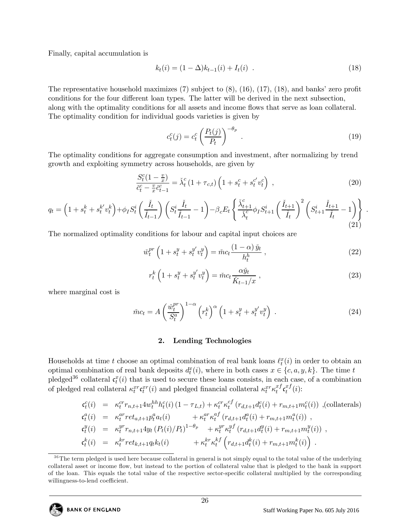Finally, capital accumulation is

$$
k_t(i) = (1 - \Delta)k_{t-1}(i) + I_t(i) \tag{18}
$$

The representative household maximizes (7) subject to (8), (16), (17), (18), and banks' zero profit conditions for the four different loan types. The latter will be derived in the next subsection, along with the optimality conditions for all assets and income flows that serve as loan collateral. The optimality condition for individual goods varieties is given by

$$
c_t^c(j) = c_t^c \left(\frac{P_t(j)}{P_t}\right)^{-\theta_p} . \tag{19}
$$

The optimality conditions for aggregate consumption and investment, after normalizing by trend growth and exploiting symmetry across households, are given by

$$
\frac{S_t^c(1-\frac{v}{x})}{\tilde{c}_t^c - \frac{v}{x}\tilde{c}_{t-1}^c} = \tilde{\lambda}_t^c(1+\tau_{c,t})\left(1 + s_t^c + s_t^{c'}v_t^c\right) ,\qquad (20)
$$

$$
q_t = \left(1 + s_t^k + s_t^{k'} v_t^k\right) + \phi_I S_t^i \left(\frac{\check{I}_t}{\check{I}_{t-1}}\right) \left(S_t^i \frac{\check{I}_t}{\check{I}_{t-1}} - 1\right) - \beta_c E_t \left\{\frac{\check{\lambda}_{t+1}^c}{\check{\lambda}_t^c} \phi_I S_{t+1}^i \left(\frac{\check{I}_{t+1}}{\check{I}_t}\right)^2 \left(S_{t+1}^i \frac{\check{I}_{t+1}}{\check{I}_t} - 1\right)\right\} \tag{21}
$$

The normalized optimality conditions for labour and capital input choices are

$$
\tilde{w}_t^{pr} \left( 1 + s_t^y + s_t^{y'} v_t^y \right) = \tilde{m} c_t \frac{\left( 1 - \alpha \right) \tilde{y}_t}{h_t^h} \,, \tag{22}
$$

$$
r_t^k \left( 1 + s_t^y + s_t^{y'} v_t^y \right) = \check{m}c_t \frac{\alpha \check{y}_t}{\check{K}_{t-1}/x} , \qquad (23)
$$

where marginal cost is

$$
\tilde{m}c_t = A \left(\frac{\tilde{w}_t^{pr}}{S_t^a}\right)^{1-\alpha} \left(r_t^k\right)^{\alpha} \left(1 + s_t^y + s_t^{y'} v_t^y\right) \,. \tag{24}
$$

#### 2. Lending Technologies

Households at time t choose an optimal combination of real bank loans  $\ell_t^x(i)$  in order to obtain an optimal combination of real bank deposits  $d_t^x(i)$ , where in both cases  $x \in \{c, a, y, k\}$ . The time t pledged<sup>36</sup> collateral  $\mathfrak{c}_t^x(i)$  that is used to secure these loans consists, in each case, of a combination of pledged real collateral  $\kappa_t^{xr}\mathfrak{c}_t^{xr}(i)$  and pledged financial collateral  $\kappa_t^{xr}\kappa_t^{xf}$  $_{t}^{xf}$ c $_{t}^{xf}$  $_{t}^{x_{J}}(i):$ 

$$
\begin{array}{rcl}\n\mathbf{c}_{t}^{c}(i) & = & \kappa_{t}^{cr}r_{n,t+1}4w_{t}^{hh}h_{t}^{c}(i)\left(1-\tau_{L,t}\right) + \kappa_{t}^{cr}\kappa_{t}^{cf}\left(r_{d,t+1}d_{t}^{c}(i) + r_{m,t+1}m_{t}^{c}(i)\right) \text{ ,}\n\text{(collaterals)} \\
\mathbf{c}_{t}^{a}(i) & = & \kappa_{t}^{ar}rct_{a,t+1}p_{t}^{a}a_{t}(i) + \kappa_{t}^{ar}\kappa_{t}^{af}\left(r_{d,t+1}d_{t}^{a}(i) + r_{m,t+1}m_{t}^{a}(i)\right) \text{ ,} \\
\mathbf{c}_{t}^{y}(i) & = & \kappa_{t}^{yr}r_{n,t+1}4y_{t}\left(P_{t}(i)/P_{t}\right)^{1-\theta_{p}} + \kappa_{t}^{yr}\kappa_{t}^{gf}\left(r_{d,t+1}d_{t}^{y}(i) + r_{m,t+1}m_{t}^{y}(i)\right) \text{ ,} \\
\mathbf{c}_{t}^{k}(i) & = & \kappa_{t}^{kr}rct_{k,t+1}q_{t}k_{t}(i) + \kappa_{t}^{kr}\kappa_{t}^{kf}\left(r_{d,t+1}d_{t}^{k}(i) + r_{m,t+1}m_{t}^{k}(i)\right) \text{ .}\n\end{array}
$$

 $36$ The term pledged is used here because collateral in general is not simply equal to the total value of the underlying collateral asset or income flow, but instead to the portion of collateral value that is pledged to the bank in support of the loan. This equals the total value of the respective sector-specific collateral multiplied by the corresponding willingness-to-lend coefficient.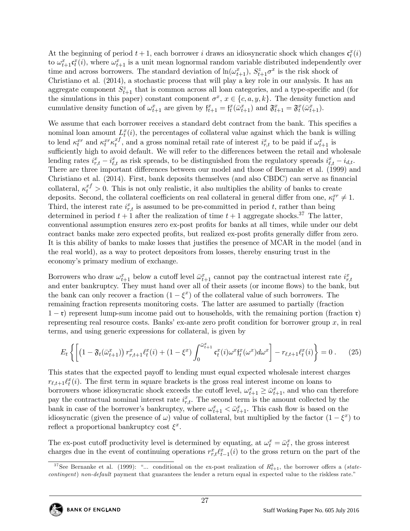At the beginning of period  $t + 1$ , each borrower i draws an idiosyncratic shock which changes  $\mathfrak{c}_t^x(i)$ to  $\omega_{t+1}^x \mathfrak{c}_t^x(i)$ , where  $\omega_{t+1}^x$  is a unit mean lognormal random variable distributed independently over time and across borrowers. The standard deviation of  $\ln(\omega_{t+1}^x)$ ,  $S_{t+1}^z \sigma^x$  is the risk shock of Christiano et al. (2014), a stochastic process that will play a key role in our analysis. It has an aggregate component  $S_{t+1}^z$  that is common across all loan categories, and a type-specific and (for the simulations in this paper) constant component  $\sigma^x$ ,  $x \in \{c, a, y, k\}$ . The density function and cumulative density function of  $\omega_{t+1}^x$  are given by  $f_{t+1}^x = f_t^x(\bar{\omega}_{t+1}^x)$  and  $\mathfrak{F}_{t+1}^x = \mathfrak{F}_t^x(\bar{\omega}_{t+1}^x)$ .

We assume that each borrower receives a standard debt contract from the bank. This specifies a nominal loan amount  $L_t^x(i)$ , the percentages of collateral value against which the bank is willing to lend  $\kappa_t^{xr}$  and  $\kappa_t^{xr}\kappa_t^{xf}$  $x_t^{tf}$ , and a gross nominal retail rate of interest  $i_{r,t}^x$  to be paid if  $\omega_{t+1}^x$  is sufficiently high to avoid default. We will refer to the differences between the retail and wholesale lending rates  $i_{r,t}^x - i_{\ell,t}^x$  as risk spreads, to be distinguished from the regulatory spreads  $i_{\ell,t}^x - i_{d,t}$ . There are three important differences between our model and those of Bernanke et al. (1999) and Christiano et al. (2014). First, bank deposits themselves (and also CBDC) can serve as financial collateral,  $\kappa_t^{xf} > 0$ . This is not only realistic, it also multiplies the ability of banks to create deposits. Second, the collateral coefficients on real collateral in general differ from one,  $\kappa_t^{xr} \neq 1$ . Third, the interest rate  $i_{r,t}^x$  is assumed to be pre-committed in period t, rather than being determined in period  $t + 1$  after the realization of time  $t + 1$  aggregate shocks.<sup>37</sup> The latter, conventional assumption ensures zero ex-post profits for banks at all times, while under our debt contract banks make zero expected profits, but realized ex-post profits generally differ from zero. It is this ability of banks to make losses that justifies the presence of MCAR in the model (and in the real world), as a way to protect depositors from losses, thereby ensuring trust in the economy's primary medium of exchange.

Borrowers who draw  $\omega_{t+1}^x$  below a cutoff level  $\bar{\omega}_{t+1}^x$  cannot pay the contractual interest rate  $i_{r,t}^x$ and enter bankruptcy. They must hand over all of their assets (or income flows) to the bank, but the bank can only recover a fraction  $(1 - \xi^x)$  of the collateral value of such borrowers. The remaining fraction represents monitoring costs. The latter are assumed to partially (fraction  $1 - \mathfrak{r}$ ) represent lump-sum income paid out to households, with the remaining portion (fraction  $\mathfrak{r}$ ) representing real resource costs. Banks' ex-ante zero profit condition for borrower group  $x$ , in real terms, and using generic expressions for collateral, is given by

$$
E_t\left\{ \left[ \left(1 - \mathfrak{F}_t(\bar{\omega}_{t+1}^x) \right) r_{r,t+1}^x \ell_t^x(i) + (1 - \xi^x) \int_0^{\bar{\omega}_{t+1}^x} \mathfrak{c}_t^x(i) \omega^x f_t^x(\omega^x) d\omega^x \right] - r_{\ell,t+1} \ell_t^x(i) \right\} = 0 \ . \tag{25}
$$

This states that the expected payoff to lending must equal expected wholesale interest charges  $r_{\ell,t+1}\ell_t^x(i)$ . The first term in square brackets is the gross real interest income on loans to borrowers whose idiosyncratic shock exceeds the cutoff level,  $\omega_{t+1}^x \geq \bar{\omega}_{t+1}^x$ , and who can therefore pay the contractual nominal interest rate  $i_{r,t}^x$ . The second term is the amount collected by the bank in case of the borrower's bankruptcy, where  $\omega_{t+1}^x < \bar{\omega}_{t+1}^x$ . This cash flow is based on the idiosyncratic (given the presence of  $\omega$ ) value of collateral, but multiplied by the factor  $(1 - \xi^x)$  to reflect a proportional bankruptcy cost  $\xi^x$ .

The ex-post cutoff productivity level is determined by equating, at  $\omega_t^x = \bar{\omega}_t^x$ , the gross interest charges due in the event of continuing operations  $r_{r,t}^x \ell_{t-1}^x(i)$  to the gross return on the part of the

<sup>&</sup>lt;sup>37</sup>See Bernanke et al. (1999): "... conditional on the ex-post realization of  $R_{t+1}^k$ , the borrower offers a (*state*contingent) non-default payment that guarantees the lender a return equal in expected value to the riskless rate."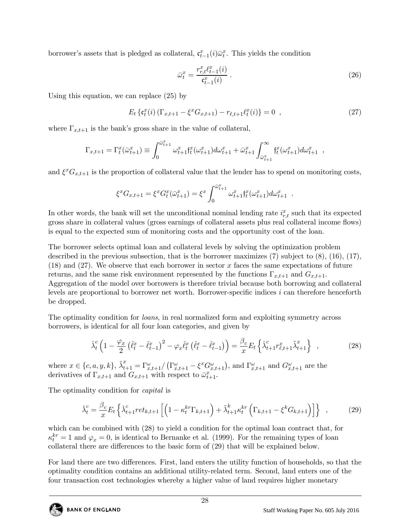borrower's assets that is pledged as collateral,  $\mathfrak{c}_{t-1}^x(i)\bar{\omega}_t^x$ . This yields the condition

$$
\bar{\omega}_t^x = \frac{r_{r,t}^x \ell_{t-1}^x(i)}{\mathfrak{c}_{t-1}^x(i)} \,. \tag{26}
$$

Using this equation, we can replace (25) by

$$
E_t \left\{ \mathfrak{c}_t^x(i) \left( \Gamma_{x,t+1} - \xi^x G_{x,t+1} \right) - r_{\ell,t+1} \ell_t^x(i) \right\} = 0 \quad , \tag{27}
$$

where  $\Gamma_{x,t+1}$  is the bank's gross share in the value of collateral,

$$
\Gamma_{x,t+1} = \Gamma_t^x(\bar{\omega}_{t+1}^x) \equiv \int_0^{\bar{\omega}_{t+1}^x} \omega_{t+1}^x f_t^x(\omega_{t+1}^x) d\omega_{t+1}^x + \bar{\omega}_{t+1}^x \int_{\bar{\omega}_{t+1}^x}^{\infty} f_t^x(\omega_{t+1}^x) d\omega_{t+1}^x,
$$

and  $\xi^x G_{x,t+1}$  is the proportion of collateral value that the lender has to spend on monitoring costs,

$$
\xi^x G_{x,t+1} = \xi^x G_t^x (\bar{\omega}_{t+1}^x) = \xi^x \int_0^{\bar{\omega}_{t+1}^x} \omega_{t+1}^x f_t^x (\omega_{t+1}^x) d\omega_{t+1}^x.
$$

In other words, the bank will set the unconditional nominal lending rate  $i_{r,t}^x$  such that its expected gross share in collateral values (gross earnings of collateral assets plus real collateral income flows) is equal to the expected sum of monitoring costs and the opportunity cost of the loan.

The borrower selects optimal loan and collateral levels by solving the optimization problem described in the previous subsection, that is the borrower maximizes  $(7)$  subject to  $(8)$ ,  $(16)$ ,  $(17)$ ,  $(18)$  and  $(27)$ . We observe that each borrower in sector x faces the same expectations of future returns, and the same risk environment represented by the functions  $\Gamma_{x,t+1}$  and  $G_{x,t+1}$ . Aggregation of the model over borrowers is therefore trivial because both borrowing and collateral levels are proportional to borrower net worth. Borrower-specific indices  $i$  can therefore henceforth be dropped.

The optimality condition for loans, in real normalized form and exploiting symmetry across borrowers, is identical for all four loan categories, and given by

$$
\check{\lambda}_t^c \left(1 - \frac{\varphi_x}{2} \left(\check{\ell}_t^x - \check{\ell}_{t-1}^x\right)^2 - \varphi_x \check{\ell}_t^x \left(\check{\ell}_t^x - \check{\ell}_{t-1}^x\right)\right) = \frac{\beta_c}{x} E_t \left\{\check{\lambda}_{t+1}^c r_{\ell,t+1}^x \tilde{\lambda}_{t+1}^x\right\} ,\qquad (28)
$$

where  $x \in \{c, a, y, k\}$ ,  $\tilde{\lambda}_{t+1}^x = \Gamma_{x,t+1}^{\omega}/(\Gamma_{x,t+1}^{\omega} - \xi^x G_{x,t+1}^{\omega})$ , and  $\Gamma_{x,t+1}^{\omega}$  and  $G_{x,t+1}^{\omega}$  are the derivatives of  $\Gamma_{x,t+1}$  and  $G_{x,t+1}$  with respect to  $\bar{\omega}_{t+1}^x$ .

The optimality condition for capital is

$$
\tilde{\lambda}_t^c = \frac{\beta_c}{x} E_t \left\{ \tilde{\lambda}_{t+1}^c r e t_{k,t+1} \left[ \left( 1 - \kappa_t^{kr} \Gamma_{k,t+1} \right) + \tilde{\lambda}_{t+1}^k \kappa_t^{kr} \left( \Gamma_{k,t+1} - \xi^k G_{k,t+1} \right) \right] \right\} ,
$$
 (29)

which can be combined with  $(28)$  to yield a condition for the optimal loan contract that, for  $\kappa_t^{kr} = 1$  and  $\varphi_x = 0$ , is identical to Bernanke et al. (1999). For the remaining types of loan collateral there are differences to the basic form of (29) that will be explained below.

For land there are two differences. First, land enters the utility function of households, so that the optimality condition contains an additional utility-related term. Second, land enters one of the four transaction cost technologies whereby a higher value of land requires higher monetary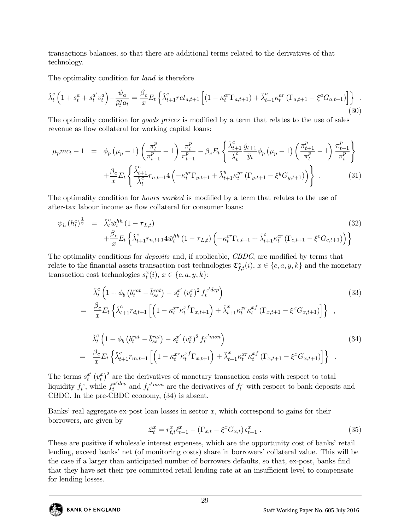transactions balances, so that there are additional terms related to the derivatives of that technology.

The optimality condition for *land* is therefore

$$
\tilde{\lambda}_{t}^{c} \left( 1 + s_{t}^{a} + s_{t}^{a'} v_{t}^{a} \right) - \frac{\psi_{a}}{\check{p}_{t}^{a} a_{t}} = \frac{\beta_{c}}{x} E_{t} \left\{ \check{\lambda}_{t+1}^{c} ret_{a,t+1} \left[ (1 - \kappa_{t}^{a} \Gamma_{a,t+1}) + \tilde{\lambda}_{t+1}^{a} \kappa_{t}^{a} \left( \Gamma_{a,t+1} - \xi^{a} G_{a,t+1} \right) \right] \right\} \tag{30}
$$

The optimality condition for *goods prices* is modified by a term that relates to the use of sales revenue as flow collateral for working capital loans:

$$
\mu_p mc_t - 1 = \phi_p \left( \mu_p - 1 \right) \left( \frac{\pi_t^p}{\pi_{t-1}^p} - 1 \right) \frac{\pi_t^p}{\pi_{t-1}^p} - \beta_c E_t \left\{ \frac{\tilde{\lambda}_{t+1}^c}{\tilde{\lambda}_t^c} \frac{\tilde{y}_{t+1}}{\tilde{y}_t} \phi_p \left( \mu_p - 1 \right) \left( \frac{\pi_{t+1}^p}{\pi_t^p} - 1 \right) \frac{\pi_{t+1}^p}{\pi_t^p} \right\} + \frac{\beta_c}{x} E_t \left\{ \frac{\tilde{\lambda}_{t+1}^c}{\tilde{\lambda}_t^c} r_{n,t+1} 4 \left( -\kappa_t^{yr} \Gamma_{y,t+1} + \tilde{\lambda}_{t+1}^y \kappa_t^{yr} \left( \Gamma_{y,t+1} - \xi^y G_{y,t+1} \right) \right) \right\}.
$$
 (31)

The optimality condition for *hours worked* is modified by a term that relates to the use of after-tax labour income as flow collateral for consumer loans:

$$
\psi_h (h_t^c)^{\frac{1}{\eta}} = \tilde{\lambda}_t^c \tilde{w}_t^{hh} (1 - \tau_{L,t}) \qquad (32)
$$
\n
$$
+ \frac{\beta_c}{x} E_t \left\{ \tilde{\lambda}_{t+1}^c r_{n,t+1} 4 \tilde{w}_t^{hh} (1 - \tau_{L,t}) \left( -\kappa_t^{cr} \Gamma_{c,t+1} + \tilde{\lambda}_{t+1}^c \kappa_t^{cr} (\Gamma_{c,t+1} - \xi^c G_{c,t+1}) \right) \right\}
$$

The optimality conditions for *deposits* and, if applicable, *CBDC*, are modified by terms that relate to the financial assets transaction cost technologies  $\mathfrak{C}_{f,t}^x(i)$ ,  $x \in \{c, a, y, k\}$  and the monetary transaction cost technologies  $s_t^x(i)$ ,  $x \in \{c, a, y, k\}$ :

$$
\tilde{\lambda}_{t}^{c} \left( 1 + \phi_{b} \left( b_{t}^{rat} - \bar{b}_{ss}^{rat} \right) - s_{t}^{x'} \left( v_{t}^{x} \right)^{2} f_{t}^{x'dep} \right)
$$
\n
$$
= \frac{\beta_{c}}{x} E_{t} \left\{ \tilde{\lambda}_{t+1}^{c} r_{d,t+1} \left[ \left( 1 - \kappa_{t}^{xr} \kappa_{t}^{xf} \Gamma_{x,t+1} \right) + \tilde{\lambda}_{t+1}^{x} \kappa_{t}^{xr} \kappa_{t}^{xf} \left( \Gamma_{x,t+1} - \xi^{x} G_{x,t+1} \right) \right] \right\} ,
$$
\n
$$
\tilde{\lambda}_{t}^{c} \left( 1 + \phi_{b} \left( b_{t}^{rat} - \bar{b}_{ss}^{rat} \right) - s_{t}^{x'} \left( v_{t}^{x} \right)^{2} f_{t}^{x'mon} \right)
$$
\n
$$
= \frac{\beta_{c}}{x} E_{t} \left\{ \tilde{\lambda}_{t+1}^{c} r_{m,t+1} \left[ \left( 1 - \kappa_{t}^{xr} \kappa_{t}^{xf} \Gamma_{x,t+1} \right) + \tilde{\lambda}_{t+1}^{x} \kappa_{t}^{xr} \kappa_{t}^{xf} \left( \Gamma_{x,t+1} - \xi^{x} G_{x,t+1} \right) \right] \right\} .
$$
\n(34)

The terms  $s_t^{x'}$  $x'(v_t^x)^2$  are the derivatives of monetary transaction costs with respect to total liquidity  $f_t^x$ , while  $f_t^{x'dep}$  $x'$ <sup>dep</sup> and  $f_t^{x'mon}$  are the derivatives of  $f_t^x$  with respect to bank deposits and CBDC. In the pre-CBDC economy, (34) is absent.

Banks' real aggregate ex-post loan losses in sector x, which correspond to gains for their borrowers, are given by

$$
\mathfrak{L}_t^x = r_{\ell,t}^x \ell_{t-1}^x - (\Gamma_{x,t} - \xi^x G_{x,t}) \mathfrak{c}_{t-1}^x . \tag{35}
$$

These are positive if wholesale interest expenses, which are the opportunity cost of banks' retail lending, exceed banks' net (of monitoring costs) share in borrowers' collateral value. This will be the case if a larger than anticipated number of borrowers defaults, so that, ex-post, banks find that they have set their pre-committed retail lending rate at an insufficient level to compensate for lending losses.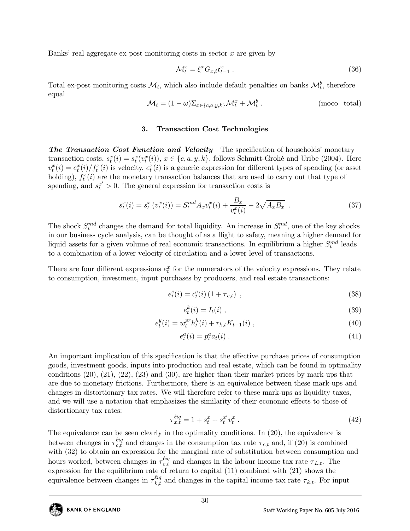Banks' real aggregate ex-post monitoring costs in sector  $x$  are given by

$$
\mathcal{M}_t^x = \xi^x G_{x,t} \mathfrak{c}_{t-1}^x \ . \tag{36}
$$

Total ex-post monitoring costs  $\mathcal{M}_t$ , which also include default penalties on banks  $\mathcal{M}_t^b$ , therefore equal

$$
\mathcal{M}_t = (1 - \omega) \sum_{x \in \{c, a, y, k\}} \mathcal{M}_t^x + \mathcal{M}_t^b.
$$
 (moco\_total)

#### 3. Transaction Cost Technologies

**The Transaction Cost Function and Velocity** The specification of households' monetary transaction costs,  $s_t^x(i) = s_t^x(v_t^x(i))$ ,  $x \in \{c, a, y, k\}$ , follows Schmitt-Grohé and Uribe (2004). Here  $v_t^x(i) = e_t^x(i) / f_t^x(i)$  is velocity,  $e_t^x(i)$  is a generic expression for different types of spending (or asset holding),  $f_t^x(i)$  are the monetary transaction balances that are used to carry out that type of spending, and  $s_t^{x'} > 0$ . The general expression for transaction costs is

$$
s_t^x(i) = s_t^x(v_t^x(i)) = S_t^{md} A_x v_t^x(i) + \frac{B_x}{v_t^x(i)} - 2\sqrt{A_x B_x} \tag{37}
$$

The shock  $S_t^{md}$  changes the demand for total liquidity. An increase in  $S_t^{md}$ , one of the key shocks in our business cycle analysis, can be thought of as a flight to safety, meaning a higher demand for liquid assets for a given volume of real economic transactions. In equilibrium a higher  $S_t^{md}$  leads to a combination of a lower velocity of circulation and a lower level of transactions.

There are four different expressions  $e_t^x$  for the numerators of the velocity expressions. They relate to consumption, investment, input purchases by producers, and real estate transactions:

$$
e_t^c(i) = c_t^c(i) \left(1 + \tau_{c,t}\right) \,,\tag{38}
$$

$$
e_t^k(i) = I_t(i) \t\t(39)
$$

$$
e_t^y(i) = w_t^{pr} h_t^h(i) + r_{k,t} K_{t-1}(i) , \qquad (40)
$$

$$
e_t^a(i) = p_t^a a_t(i) \tag{41}
$$

An important implication of this specification is that the effective purchase prices of consumption goods, investment goods, inputs into production and real estate, which can be found in optimality conditions (20), (21), (22), (23) and (30), are higher than their market prices by mark-ups that are due to monetary frictions. Furthermore, there is an equivalence between these mark-ups and changes in distortionary tax rates. We will therefore refer to these mark-ups as liquidity taxes, and we will use a notation that emphasizes the similarity of their economic effects to those of distortionary tax rates:

$$
\tau_{x,t}^{liq} = 1 + s_t^x + s_t^{x'} v_t^x \ . \tag{42}
$$

The equivalence can be seen clearly in the optimality conditions. In (20), the equivalence is between changes in  $\tau_{c,t}^{liq}$  and changes in the consumption tax rate  $\tau_{c,t}$  and, if (20) is combined with  $(32)$  to obtain an expression for the marginal rate of substitution between consumption and hours worked, between changes in  $\tau_{c,t}^{liq}$  and changes in the labour income tax rate  $\tau_{L,t}$ . The expression for the equilibrium rate of return to capital (11) combined with (21) shows the equivalence between changes in  $\tau_{k,t}^{\ell iq}$  and changes in the capital income tax rate  $\tau_{k,t}$ . For input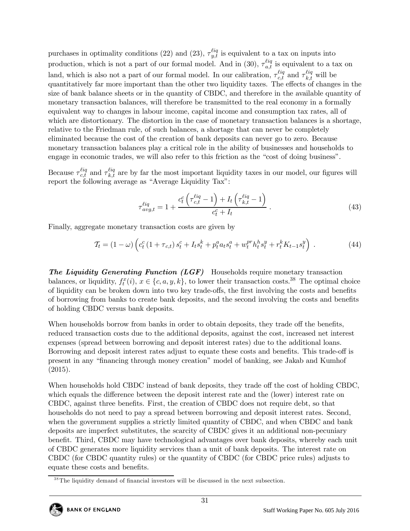purchases in optimality conditions (22) and (23),  $\tau_{y,t}^{liq}$  is equivalent to a tax on inputs into production, which is not a part of our formal model. And in (30),  $\tau_{a,t}^{liq}$  is equivalent to a tax on land, which is also not a part of our formal model. In our calibration,  $\tau_{c,t}^{liq}$  and  $\tau_{k,t}^{liq}$  will be quantitatively far more important than the other two liquidity taxes. The effects of changes in the size of bank balance sheets or in the quantity of CBDC, and therefore in the available quantity of monetary transaction balances, will therefore be transmitted to the real economy in a formally equivalent way to changes in labour income, capital income and consumption tax rates, all of which are distortionary. The distortion in the case of monetary transaction balances is a shortage, relative to the Friedman rule, of such balances, a shortage that can never be completely eliminated because the cost of the creation of bank deposits can never go to zero. Because monetary transaction balances play a critical role in the ability of businesses and households to engage in economic trades, we will also refer to this friction as the "cost of doing business".

Because  $\tau_{c,t}^{liq}$  and  $\tau_{k,t}^{liq}$  are by far the most important liquidity taxes in our model, our figures will report the following average as "Average Liquidity Tax":

$$
\tau_{avg,t}^{\ell iq} = 1 + \frac{c_t^c \left(\tau_{c,t}^{\ell iq} - 1\right) + I_t \left(\tau_{k,t}^{\ell iq} - 1\right)}{c_t^c + I_t} \,. \tag{43}
$$

Finally, aggregate monetary transaction costs are given by

$$
\mathcal{T}_t = (1 - \omega) \left( c_t^c \left( 1 + \tau_{c,t} \right) s_t^c + I_t s_t^k + p_t^a a_t s_t^a + w_t^{pr} h_t^h s_t^y + r_t^k K_{t-1} s_t^y \right) \,. \tag{44}
$$

The Liquidity Generating Function (LGF) Households require monetary transaction balances, or liquidity,  $f_t^x(i)$ ,  $x \in \{c, a, y, k\}$ , to lower their transaction costs.<sup>38</sup> The optimal choice of liquidity can be broken down into two key trade-offs, the first involving the costs and benefits of borrowing from banks to create bank deposits, and the second involving the costs and benefits of holding CBDC versus bank deposits.

When households borrow from banks in order to obtain deposits, they trade off the benefits, reduced transaction costs due to the additional deposits, against the cost, increased net interest expenses (spread between borrowing and deposit interest rates) due to the additional loans. Borrowing and deposit interest rates adjust to equate these costs and benefits. This trade-off is present in any "financing through money creation" model of banking, see Jakab and Kumhof (2015).

When households hold CBDC instead of bank deposits, they trade off the cost of holding CBDC, which equals the difference between the deposit interest rate and the (lower) interest rate on CBDC, against three benefits. First, the creation of CBDC does not require debt, so that households do not need to pay a spread between borrowing and deposit interest rates. Second, when the government supplies a strictly limited quantity of CBDC, and when CBDC and bank deposits are imperfect substitutes, the scarcity of CBDC gives it an additional non-pecuniary benefit. Third, CBDC may have technological advantages over bank deposits, whereby each unit of CBDC generates more liquidity services than a unit of bank deposits. The interest rate on CBDC (for CBDC quantity rules) or the quantity of CBDC (for CBDC price rules) adjusts to equate these costs and benefits.

 $38$ The liquidity demand of financial investors will be discussed in the next subsection.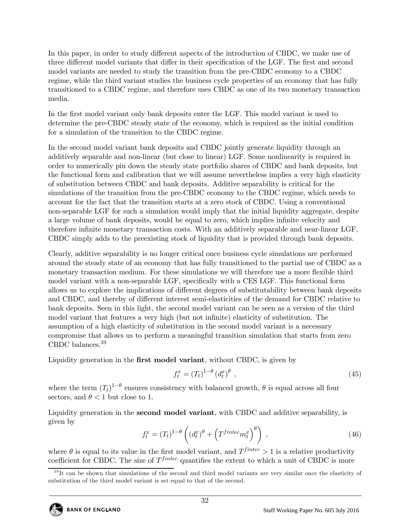In this paper, in order to study different aspects of the introduction of CBDC, we make use of three different model variants that differ in their specification of the LGF. The first and second model variants are needed to study the transition from the pre-CBDC economy to a CBDC regime, while the third variant studies the business cycle properties of an economy that has fully transitioned to a CBDC regime, and therefore uses CBDC as one of its two monetary transaction media.

In the first model variant only bank deposits enter the LGF. This model variant is used to determine the pre-CBDC steady state of the economy, which is required as the initial condition for a simulation of the transition to the CBDC regime.

In the second model variant bank deposits and CBDC jointly generate liquidity through an additively separable and non-linear (but close to linear) LGF. Some nonlinearity is required in order to numerically pin down the steady state portfolio shares of CBDC and bank deposits, but the functional form and calibration that we will assume nevertheless implies a very high elasticity of substitution between CBDC and bank deposits. Additive separability is critical for the simulations of the transition from the pre-CBDC economy to the CBDC regime, which needs to account for the fact that the transition starts at a zero stock of CBDC. Using a conventional non-separable LGF for such a simulation would imply that the initial liquidity aggregate, despite a large volume of bank deposits, would be equal to zero, which implies infinite velocity and therefore infinite monetary transaction costs. With an additively separable and near-linear LGF, CBDC simply adds to the preexisting stock of liquidity that is provided through bank deposits.

Clearly, additive separability is no longer critical once business cycle simulations are performed around the steady state of an economy that has fully transitioned to the partial use of CBDC as a monetary transaction medium. For these simulations we will therefore use a more flexible third model variant with a non-separable LGF, specifically with a CES LGF. This functional form allows us to explore the implications of different degrees of substitutability between bank deposits and CBDC, and thereby of different interest semi-elasticities of the demand for CBDC relative to bank deposits. Seen in this light, the second model variant can be seen as a version of the third model variant that features a very high (but not infinite) elasticity of substitution. The assumption of a high elasticity of substitution in the second model variant is a necessary compromise that allows us to perform a meaningful transition simulation that starts from zero CBDC balances.<sup>39</sup>

Liquidity generation in the first model variant, without CBDC, is given by

$$
f_t^x = (T_t)^{1-\theta} (d_t^x)^\theta \t\t(45)
$$

where the term  $(T_t)^{1-\theta}$  ensures consistency with balanced growth,  $\theta$  is equal across all four sectors, and  $\theta < 1$  but close to 1.

Liquidity generation in the second model variant, with CBDC and additive separability, is given by

$$
f_t^x = (T_t)^{1-\theta} \left( (d_t^x)^\theta + \left( T^{finter} m_t^x \right)^\theta \right) , \qquad (46)
$$

where  $\theta$  is equal to its value in the first model variant, and  $T^{finter} > 1$  is a relative productivity coefficient for CBDC. The size of  $T^{finite}$  quantifies the extent to which a unit of CBDC is more

 $39$ It can be shown that simulations of the second and third model variants are very similar once the elasticity of substitution of the third model variant is set equal to that of the second.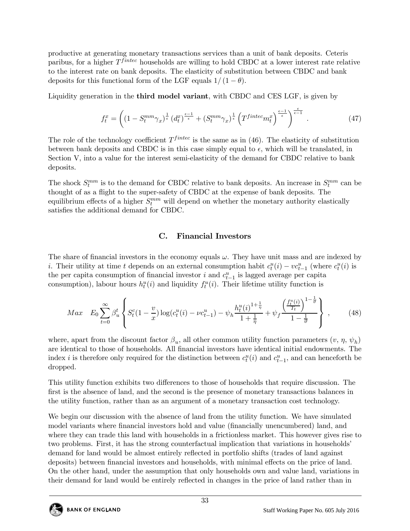productive at generating monetary transactions services than a unit of bank deposits. Ceteris paribus, for a higher  $T^{finitec}$  households are willing to hold CBDC at a lower interest rate relative to the interest rate on bank deposits. The elasticity of substitution between CBDC and bank deposits for this functional form of the LGF equals  $1/(1 - \theta)$ .

Liquidity generation in the third model variant, with CBDC and CES LGF, is given by

$$
f_t^x = \left( \left( 1 - S_t^{mm} \gamma_x \right)^{\frac{1}{\epsilon}} \left( d_t^x \right)^{\frac{\epsilon - 1}{\epsilon}} + \left( S_t^{mm} \gamma_x \right)^{\frac{1}{\epsilon}} \left( T^{finite} m_t^x \right)^{\frac{\epsilon - 1}{\epsilon}} \right)^{\frac{\epsilon}{\epsilon - 1}} . \tag{47}
$$

The role of the technology coefficient  $T^{finter}$  is the same as in (46). The elasticity of substitution between bank deposits and CBDC is in this case simply equal to  $\epsilon$ , which will be translated, in Section V, into a value for the interest semi-elasticity of the demand for CBDC relative to bank deposits.

The shock  $S_t^{mm}$  is to the demand for CBDC relative to bank deposits. An increase in  $S_t^{mm}$  can be thought of as a flight to the super-safety of CBDC at the expense of bank deposits. The equilibrium effects of a higher  $S_t^{mm}$  will depend on whether the monetary authority elastically satisfies the additional demand for CBDC.

### C. Financial Investors

The share of financial investors in the economy equals  $\omega$ . They have unit mass and are indexed by *i*. Their utility at time t depends on an external consumption habit  $c_t^u(i) - v c_{t-1}^u$  (where  $c_t^u(i)$  is the per capita consumption of financial investor i and  $c_{t-1}^u$  is lagged average per capita consumption), labour hours  $h_t^u(i)$  and liquidity  $f_t^u(i)$ . Their lifetime utility function is

$$
Max \t E_0 \sum_{t=0}^{\infty} \beta_u^t \left\{ S_t^c (1 - \frac{v}{x}) \log(c_t^u(i) - \nu c_{t-1}^u) - \psi_h \frac{h_t^u(i)^{1 + \frac{1}{\eta}}}{1 + \frac{1}{\eta}} + \psi_f \frac{\left(\frac{f_t^u(i)}{T_t}\right)^{1 - \frac{1}{\vartheta}}}{1 - \frac{1}{\vartheta}} \right\},
$$
(48)

where, apart from the discount factor  $\beta_u$ , all other common utility function parameters  $(v, \eta, \psi_h)$ are identical to those of households. All financial investors have identical initial endowments. The index *i* is therefore only required for the distinction between  $c_t^u(i)$  and  $c_{t-1}^u$ , and can henceforth be dropped.

This utility function exhibits two differences to those of households that require discussion. The first is the absence of land, and the second is the presence of monetary transactions balances in the utility function, rather than as an argument of a monetary transaction cost technology.

We begin our discussion with the absence of land from the utility function. We have simulated model variants where financial investors hold and value (financially unencumbered) land, and where they can trade this land with households in a frictionless market. This however gives rise to two problems. First, it has the strong counterfactual implication that variations in households' demand for land would be almost entirely reflected in portfolio shifts (trades of land against deposits) between financial investors and households, with minimal effects on the price of land. On the other hand, under the assumption that only households own and value land, variations in their demand for land would be entirely reflected in changes in the price of land rather than in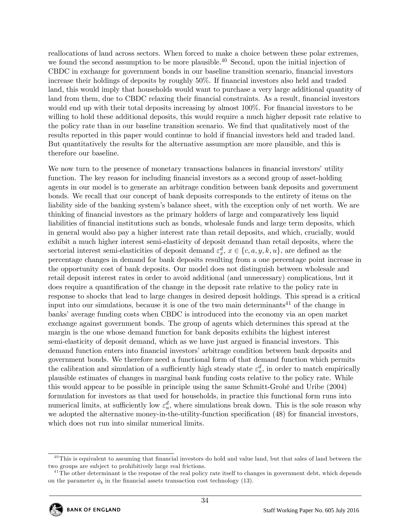reallocations of land across sectors. When forced to make a choice between these polar extremes, we found the second assumption to be more plausible.<sup>40</sup> Second, upon the initial injection of CBDC in exchange for government bonds in our baseline transition scenario, financial investors increase their holdings of deposits by roughly 50%. If financial investors also held and traded land, this would imply that households would want to purchase a very large additional quantity of land from them, due to CBDC relaxing their financial constraints. As a result, financial investors would end up with their total deposits increasing by almost 100%. For financial investors to be willing to hold these additional deposits, this would require a much higher deposit rate relative to the policy rate than in our baseline transition scenario. We find that qualitatively most of the results reported in this paper would continue to hold if financial investors held and traded land. But quantitatively the results for the alternative assumption are more plausible, and this is therefore our baseline.

We now turn to the presence of monetary transactions balances in financial investors' utility function. The key reason for including financial investors as a second group of asset-holding agents in our model is to generate an arbitrage condition between bank deposits and government bonds. We recall that our concept of bank deposits corresponds to the entirety of items on the liability side of the banking system's balance sheet, with the exception only of net worth. We are thinking of financial investors as the primary holders of large and comparatively less liquid liabilities of financial institutions such as bonds, wholesale funds and large term deposits, which in general would also pay a higher interest rate than retail deposits, and which, crucially, would exhibit a much higher interest semi-elasticity of deposit demand than retail deposits, where the sectorial interest semi-elasticities of deposit demand  $\varepsilon_x^d$ ,  $x \in \{c, a, y, k, u\}$ , are defined as the percentage changes in demand for bank deposits resulting from a one percentage point increase in the opportunity cost of bank deposits. Our model does not distinguish between wholesale and retail deposit interest rates in order to avoid additional (and unnecessary) complications, but it does require a quantification of the change in the deposit rate relative to the policy rate in response to shocks that lead to large changes in desired deposit holdings. This spread is a critical input into our simulations, because it is one of the two main determinants<sup>41</sup> of the change in banks' average funding costs when CBDC is introduced into the economy via an open market exchange against government bonds. The group of agents which determines this spread at the margin is the one whose demand function for bank deposits exhibits the highest interest semi-elasticity of deposit demand, which as we have just argued is financial investors. This demand function enters into financial investors' arbitrage condition between bank deposits and government bonds. We therefore need a functional form of that demand function which permits the calibration and simulation of a sufficiently high steady state  $\varepsilon_u^d$ , in order to match empirically plausible estimates of changes in marginal bank funding costs relative to the policy rate. While this would appear to be possible in principle using the same Schmitt-Grohé and Uribe (2004) formulation for investors as that used for households, in practice this functional form runs into numerical limits, at sufficiently low  $\varepsilon_u^d$ , where simulations break down. This is the sole reason why we adopted the alternative money-in-the-utility-function specification (48) for financial investors, which does not run into similar numerical limits.

 $^{40}$ This is equivalent to assuming that financial investors do hold and value land, but that sales of land between the two groups are subject to prohibitively large real frictions.

 $^{41}$ The other determinant is the response of the real policy rate itself to changes in government debt, which depends on the parameter  $\phi_b$  in the financial assets transaction cost technology (13).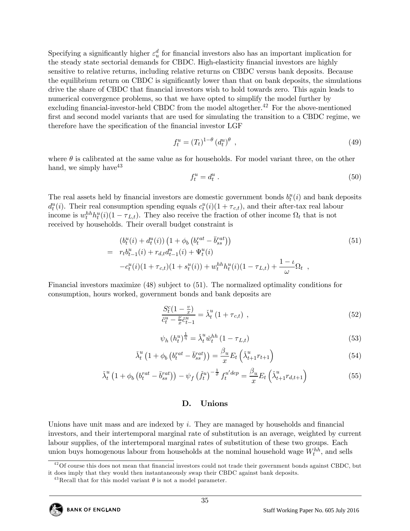Specifying a significantly higher  $\varepsilon_u^d$  for financial investors also has an important implication for the steady state sectorial demands for CBDC. High-elasticity financial investors are highly sensitive to relative returns, including relative returns on CBDC versus bank deposits. Because the equilibrium return on CBDC is significantly lower than that on bank deposits, the simulations drive the share of CBDC that financial investors wish to hold towards zero. This again leads to numerical convergence problems, so that we have opted to simplify the model further by excluding financial-investor-held CBDC from the model altogether.<sup>42</sup> For the above-mentioned first and second model variants that are used for simulating the transition to a CBDC regime, we therefore have the specification of the financial investor LGF

$$
f_t^u = (T_t)^{1-\theta} (d_t^u)^{\theta} , \qquad (49)
$$

where  $\theta$  is calibrated at the same value as for households. For model variant three, on the other hand, we simply have  $43$ 

$$
f_t^u = d_t^u \,. \tag{50}
$$

The real assets held by financial investors are domestic government bonds  $b_t^u(i)$  and bank deposits  $d_t^u(i)$ . Their real consumption spending equals  $c_t^u(i)(1 + \tau_{c,t})$ , and their after-tax real labour income is  $w_t^{hh}h_t^u(i)(1 - \tau_{L,t})$ . They also receive the fraction of other income  $\Omega_t$  that is not received by households. Their overall budget constraint is

$$
(51)
$$
\n
$$
= r_{t}b_{t-1}^{u}(i) + d_{t}^{u}(i) \left(1 + \phi_{b}\left(b_{t}^{rat} - \bar{b}_{ss}^{rat}\right)\right)
$$
\n
$$
= r_{t}b_{t-1}^{u}(i) + r_{d,t}d_{t-1}^{u}(i) + \Psi_{t}^{u}(i)
$$
\n
$$
-c_{t}^{u}(i)(1 + \tau_{c,t})(1 + s_{t}^{u}(i)) + w_{t}^{hh}h_{t}^{u}(i)(1 - \tau_{L,t}) + \frac{1 - \iota}{\omega}\Omega_{t},
$$
\n
$$
(51)
$$

Financial investors maximize (48) subject to (51). The normalized optimality conditions for consumption, hours worked, government bonds and bank deposits are

$$
\frac{S_t^c (1 - \frac{v}{x})}{\check{c}_t^u - \frac{\nu}{x} \check{c}_{t-1}^u} = \check{\lambda}_t^u (1 + \tau_{c,t}), \qquad (52)
$$

$$
\psi_h \left( h_t^u \right)^{\frac{1}{\eta}} = \tilde{\lambda}_t^u \check{w}_t^{hh} \left( 1 - \tau_{L,t} \right) \tag{53}
$$

$$
\check{\lambda}_t^u \left( 1 + \phi_b \left( b_t^{rat} - \bar{b}_{ss}^{rat} \right) \right) = \frac{\beta_u}{x} E_t \left( \check{\lambda}_{t+1}^u r_{t+1} \right) \tag{54}
$$

$$
\tilde{\lambda}_t^u \left(1 + \phi_b \left(b_t^{rat} - \bar{b}_{ss}^{rat}\right)\right) - \psi_f \left(\check{f}_t^u\right)^{-\frac{1}{\vartheta}} f_t^{u'dep} = \frac{\beta_u}{x} E_t \left(\check{\lambda}_{t+1}^u r_{d,t+1}\right) \tag{55}
$$

#### D. Unions

Unions have unit mass and are indexed by i. They are managed by households and financial investors, and their intertemporal marginal rate of substitution is an average, weighted by current labour supplies, of the intertemporal marginal rates of substitution of these two groups. Each union buys homogenous labour from households at the nominal household wage  $W_t^{hh}$ , and sells

 $^{42}$ Of course this does not mean that financial investors could not trade their government bonds against CBDC, but it does imply that they would then instantaneously swap their CBDC against bank deposits.

<sup>&</sup>lt;sup>43</sup> Recall that for this model variant  $\theta$  is not a model parameter.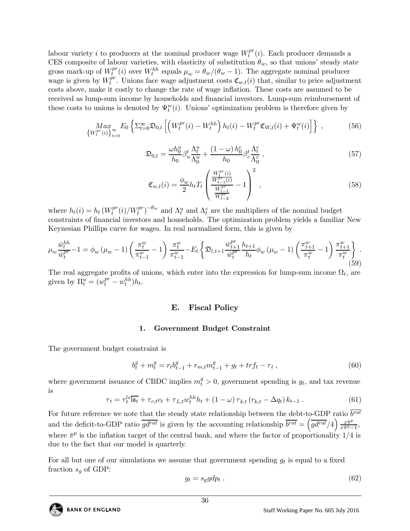labour variety *i* to producers at the nominal producer wage  $W_t^{pr}$  $t_t^{pr}(i)$ . Each producer demands a CES composite of labour varieties, with elasticity of substitution  $\theta_w$ , so that unions' steady state gross mark-up of  $W_t^{pr}$  $t_t^{pr}(i)$  over  $W_t^{hh}$  equals  $\mu_w = \theta_w/(\theta_w - 1)$ . The aggregate nominal producer wage is given by  $W_t^{pr}$  $t^{pr}$ . Unions face wage adjustment costs  $\mathfrak{C}_{w,t}(i)$  that, similar to price adjustment costs above, make it costly to change the rate of wage inflation. These costs are assumed to be received as lump-sum income by households and financial investors. Lump-sum reimbursement of these costs to unions is denoted by  $\Psi_t^w(i)$ . Unions' optimization problem is therefore given by

$$
\underset{\{W_t^{pr}(i)\}_{t=0}^{\infty}}{\text{Max}} E_0 \left\{ \Sigma_{t=0}^{\infty} \mathfrak{D}_{0,t} \left[ \left( W_t^{pr}(i) - W_t^{hh} \right) h_t(i) - W_t^{pr} \mathfrak{C}_{W,t}(i) + \Psi_t^w(i) \right] \right\} ,\tag{56}
$$

$$
\mathfrak{D}_{0,t} = \frac{\omega h_0^u}{h_0} \beta_u^t \frac{\Lambda_t^u}{\Lambda_0^u} + \frac{(1-\omega) h_0^c}{h_0} \beta_c^t \frac{\Lambda_t^c}{\Lambda_0^c},\tag{57}
$$

$$
\mathfrak{C}_{w,t}(i) = \frac{\phi_w}{2} h_t T_t \left( \frac{\frac{W_t^{pr}(i)}{W_{t-1}^{pr}(i)}}{\frac{W_t^{pr}}{W_{t-2}^{pr}}} - 1 \right)^2 , \qquad (58)
$$

where  $h_t(i) = h_t (W_t^{pr})$  $t_t^{pr}(i)/W_t^{pr})^{-\theta_w}$  and  $\Lambda_t^u$  and  $\Lambda_t^c$  are the multipliers of the nominal budget constraints of financial investors and households. The optimization problem yields a familiar New Keynesian Phillips curve for wages. In real normalized form, this is given by

$$
\mu_{w} \frac{\check{w}_{t}^{hh}}{\check{w}_{t}^{pr}} - 1 = \phi_{w} \left( \mu_{w} - 1 \right) \left( \frac{\pi_{t}^{w}}{\pi_{t-1}^{w}} - 1 \right) \frac{\pi_{t}^{w}}{\pi_{t-1}^{w}} - E_{t} \left\{ \mathfrak{D}_{t,t+1} \frac{\check{w}_{t+1}^{pr}}{\check{w}_{t}^{pr}} \frac{h_{t+1}}{h_{t}} \phi_{w} \left( \mu_{w} - 1 \right) \left( \frac{\pi_{t+1}^{w}}{\pi_{t}^{w}} - 1 \right) \frac{\pi_{t+1}^{w}}{\pi_{t}^{w}} \right\}.
$$
\n
$$
(59)
$$

The real aggregate profits of unions, which enter into the expression for lump-sum income  $\Omega_t$ , are given by  $\Pi_t^u = (w_t^{pr} - w_t^{hh})h_t$ .

#### E. Fiscal Policy

#### 1. Government Budget Constraint

The government budget constraint is

**BANK OF ENGLAND** 

$$
b_t^g + m_t^g = r_t b_{t-1}^g + r_{m,t} m_{t-1}^g + g_t + tr f_t - \tau_t , \qquad (60)
$$

where government issuance of CBDC implies  $m_t^g > 0$ , government spending is  $g_t$ , and tax revenue is

$$
\tau_t = \tau_t^{ls}\overline{\mathfrak{u}}_t + \tau_{c,t}c_t + \tau_{L,t}w_t^{hh}h_t + (1 - \omega)\tau_{k,t}\left(r_{k,t} - \Delta q_t\right)k_{t-1}.
$$
\n
$$
(61)
$$

For future reference we note that the steady state relationship between the debt-to-GDP ratio  $\overline{b^{rat}}$ and the deficit-to-GDP ratio  $\overline{g}d^{rat}$  is given by the accounting relationship  $\overline{b^{rat}} = \left(\overline{g}d^{rat}/4\right)\frac{x\overline{\pi}^p}{x\overline{\pi}^p}$  $\frac{x\bar{\pi}^p}{x\bar{\pi}^p-1},$ where  $\bar{\pi}^p$  is the inflation target of the central bank, and where the factor of proportionality  $1/4$  is due to the fact that our model is quarterly.

36

For all but one of our simulations we assume that government spending  $g_t$  is equal to a fixed fraction  $s<sub>q</sub>$  of GDP:

$$
g_t = s_g g dp_t \tag{62}
$$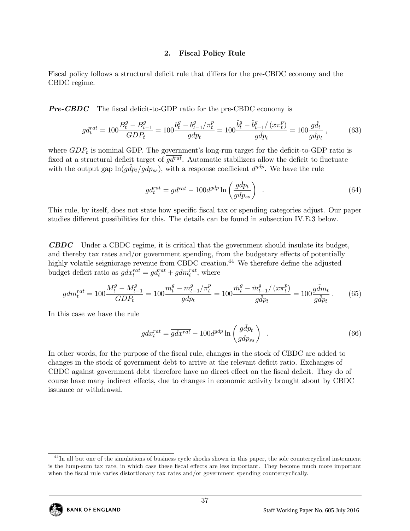#### 2. Fiscal Policy Rule

Fiscal policy follows a structural deficit rule that differs for the pre-CBDC economy and the CBDC regime.

**Pre-CBDC** The fiscal deficit-to-GDP ratio for the pre-CBDC economy is

$$
g d_t^{rat} = 100 \frac{B_t^g - B_{t-1}^g}{GDP_t} = 100 \frac{b_t^g - b_{t-1}^g / \pi_t^p}{g dp_t} = 100 \frac{\check{b}_t^g - \check{b}_{t-1}^g / (x \pi_t^p)}{g \check{d} p_t} = 100 \frac{g \check{d}_t}{g \check{d} p_t} ,\qquad (63)
$$

where  $GDP_t$  is nominal GDP. The government's long-run target for the deficit-to-GDP ratio is fixed at a structural deficit target of  $\overline{g d^{rat}}$ . Automatic stabilizers allow the deficit to fluctuate with the output gap  $\ln(g\check{dp}_t/gdp_{ss})$ , with a response coefficient  $d^{gdp}$ . We have the rule

$$
g d_t^{rat} = \overline{g d^{rat}} - 100 d^{gdp} \ln \left( \frac{g d p_t}{g d p_{ss}} \right) \quad . \tag{64}
$$

This rule, by itself, does not state how specific fiscal tax or spending categories adjust. Our paper studies different possibilities for this. The details can be found in subsection IV.E.3 below.

CBDC Under a CBDC regime, it is critical that the government should insulate its budget, and thereby tax rates and/or government spending, from the budgetary effects of potentially highly volatile seigniorage revenue from CBDC creation.<sup>44</sup> We therefore define the adjusted budget deficit ratio as  $g dx_t^{rat} = g d_t^{rat} + g dm_t^{rat}$ , where

$$
gdm_t^{rat} = 100 \frac{M_t^g - M_{t-1}^g}{GDP_t} = 100 \frac{m_t^g - m_{t-1}^g / \pi_t^p}{gdp_t} = 100 \frac{\tilde{m}_t^g - \tilde{m}_{t-1}^g / (x\pi_t^p)}{g\check{d}p_t} = 100 \frac{g\check{d}m_t}{g\check{d}p_t} \,. \tag{65}
$$

In this case we have the rule

$$
g dx_t^{rat} = \overline{g dx^{rat}} - 100 d^{gdp} \ln \left( \frac{g d p_t}{g d p_{ss}} \right) \quad . \tag{66}
$$

In other words, for the purpose of the fiscal rule, changes in the stock of CBDC are added to changes in the stock of government debt to arrive at the relevant deficit ratio. Exchanges of CBDC against government debt therefore have no direct effect on the fiscal deficit. They do of course have many indirect effects, due to changes in economic activity brought about by CBDC issuance or withdrawal.

 $^{44}$ In all but one of the simulations of business cycle shocks shown in this paper, the sole countercyclical instrument is the lump-sum tax rate, in which case these fiscal effects are less important. They become much more important when the fiscal rule varies distortionary tax rates and/or government spending countercyclically.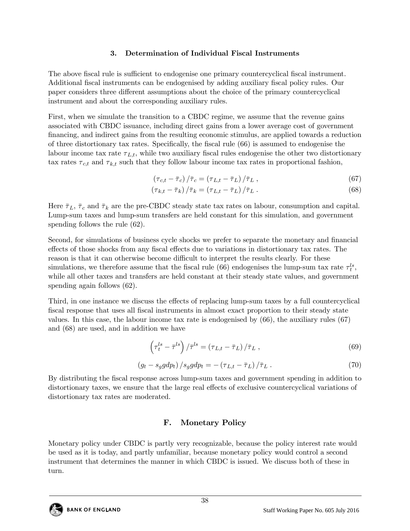### 3. Determination of Individual Fiscal Instruments

The above fiscal rule is sufficient to endogenise one primary countercyclical fiscal instrument. Additional fiscal instruments can be endogenised by adding auxiliary fiscal policy rules. Our paper considers three different assumptions about the choice of the primary countercyclical instrument and about the corresponding auxiliary rules.

First, when we simulate the transition to a CBDC regime, we assume that the revenue gains associated with CBDC issuance, including direct gains from a lower average cost of government financing, and indirect gains from the resulting economic stimulus, are applied towards a reduction of three distortionary tax rates. Specifically, the fiscal rule (66) is assumed to endogenise the labour income tax rate  $\tau_{L,t}$ , while two auxiliary fiscal rules endogenise the other two distortionary tax rates  $\tau_{c,t}$  and  $\tau_{k,t}$  such that they follow labour income tax rates in proportional fashion,

$$
\left(\tau_{c,t} - \bar{\tau}_c\right) / \bar{\tau}_c = \left(\tau_{L,t} - \bar{\tau}_L\right) / \bar{\tau}_L ,\qquad (67)
$$

$$
\left(\tau_{k,t} - \bar{\tau}_k\right) / \bar{\tau}_k = \left(\tau_{L,t} - \bar{\tau}_L\right) / \bar{\tau}_L . \tag{68}
$$

Here  $\bar{\tau}_L$ ,  $\bar{\tau}_c$  and  $\bar{\tau}_k$  are the pre-CBDC steady state tax rates on labour, consumption and capital. Lump-sum taxes and lump-sum transfers are held constant for this simulation, and government spending follows the rule (62).

Second, for simulations of business cycle shocks we prefer to separate the monetary and financial effects of those shocks from any fiscal effects due to variations in distortionary tax rates. The reason is that it can otherwise become difficult to interpret the results clearly. For these simulations, we therefore assume that the fiscal rule (66) endogenises the lump-sum tax rate  $\tau_t^{ls}$ , while all other taxes and transfers are held constant at their steady state values, and government spending again follows (62).

Third, in one instance we discuss the effects of replacing lump-sum taxes by a full countercyclical fiscal response that uses all fiscal instruments in almost exact proportion to their steady state values. In this case, the labour income tax rate is endogenised by (66), the auxiliary rules (67) and (68) are used, and in addition we have

$$
\left(\tau_t^{ls} - \bar{\tau}^{ls}\right) / \bar{\tau}^{ls} = \left(\tau_{L,t} - \bar{\tau}_L\right) / \bar{\tau}_L ,\qquad (69)
$$

$$
\left(g_t - s_g gdp_t\right) / s_g gdp_t = -\left(\tau_{L,t} - \overline{\tau}_L\right) / \overline{\tau}_L \ . \tag{70}
$$

By distributing the fiscal response across lump-sum taxes and government spending in addition to distortionary taxes, we ensure that the large real effects of exclusive countercyclical variations of distortionary tax rates are moderated.

## F. Monetary Policy

Monetary policy under CBDC is partly very recognizable, because the policy interest rate would be used as it is today, and partly unfamiliar, because monetary policy would control a second instrument that determines the manner in which CBDC is issued. We discuss both of these in turn.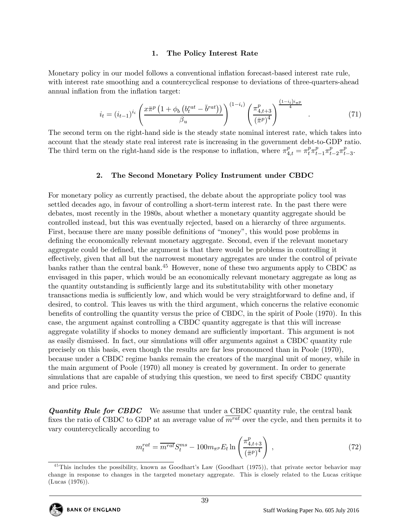#### 1. The Policy Interest Rate

Monetary policy in our model follows a conventional inflation forecast-based interest rate rule, with interest rate smoothing and a countercyclical response to deviations of three-quarters-ahead annual inflation from the inflation target:

$$
i_{t} = (i_{t-1})^{i_{i}} \left( \frac{x \bar{\pi}^{p} \left( 1 + \phi_{b} \left( b_{t}^{rat} - \bar{b}^{rat} \right) \right)}{\beta_{u}} \right)^{(1-i_{i})} \left( \frac{\pi_{4,t+3}^{p}}{(\bar{\pi}^{p})^{4}} \right)^{\frac{(1-i_{i})_{i_{\pi}p}}{4}} . \tag{71}
$$

The second term on the right-hand side is the steady state nominal interest rate, which takes into account that the steady state real interest rate is increasing in the government debt-to-GDP ratio. The third term on the right-hand side is the response to inflation, where  $\pi_{4,t}^p = \pi_t^p \pi_{t-1}^p \pi_{t-2}^p \pi_t^p$ p<br>t−3·

#### 2. The Second Monetary Policy Instrument under CBDC

For monetary policy as currently practised, the debate about the appropriate policy tool was settled decades ago, in favour of controlling a short-term interest rate. In the past there were debates, most recently in the 1980s, about whether a monetary quantity aggregate should be controlled instead, but this was eventually rejected, based on a hierarchy of three arguments. First, because there are many possible definitions of "money", this would pose problems in defining the economically relevant monetary aggregate. Second, even if the relevant monetary aggregate could be defined, the argument is that there would be problems in controlling it effectively, given that all but the narrowest monetary aggregates are under the control of private banks rather than the central bank.<sup>45</sup> However, none of these two arguments apply to CBDC as envisaged in this paper, which would be an economically relevant monetary aggregate as long as the quantity outstanding is sufficiently large and its substitutability with other monetary transactions media is sufficiently low, and which would be very straightforward to define and, if desired, to control. This leaves us with the third argument, which concerns the relative economic benefits of controlling the quantity versus the price of CBDC, in the spirit of Poole (1970). In this case, the argument against controlling a CBDC quantity aggregate is that this will increase aggregate volatility if shocks to money demand are sufficiently important. This argument is not as easily dismissed. In fact, our simulations will offer arguments against a CBDC quantity rule precisely on this basis, even though the results are far less pronounced than in Poole (1970), because under a CBDC regime banks remain the creators of the marginal unit of money, while in the main argument of Poole (1970) all money is created by government. In order to generate simulations that are capable of studying this question, we need to first specify CBDC quantity and price rules.

**Quantity Rule for CBDC** We assume that under a CBDC quantity rule, the central bank fixes the ratio of CBDC to GDP at an average value of  $\overline{m^{rat}}$  over the cycle, and then permits it to vary countercyclically according to

$$
m_t^{rat} = \overline{m^{rat}} S_t^{ms} - 100 m_{\pi^p} E_t \ln\left(\frac{\pi_{4,t+3}^p}{\left(\overline{\pi}^p\right)^4}\right) ,\qquad (72)
$$

 $^{45}$ This includes the possibility, known as Goodhart's Law (Goodhart (1975)), that private sector behavior may change in response to changes in the targeted monetary aggregate. This is closely related to the Lucas critique (Lucas (1976)).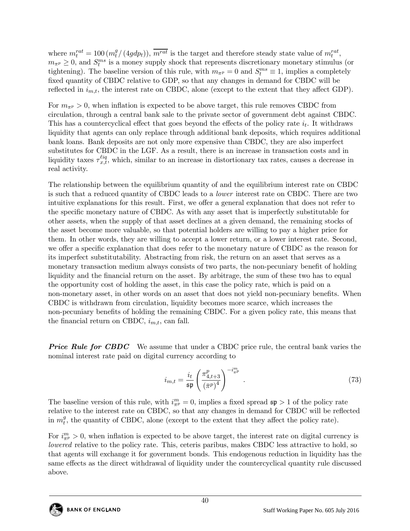where  $m_t^{rat} = 100 (m_t^g)$  $t^g(t/(4gdp_t)), \overline{m^{rat}}$  is the target and therefore steady state value of  $m_t^{rat}$ ,  $m_{\pi P} \geq 0$ , and  $S_t^{ms}$  is a money supply shock that represents discretionary monetary stimulus (or tightening). The baseline version of this rule, with  $m_{\pi^p} = 0$  and  $S_t^{ms} \equiv 1$ , implies a completely fixed quantity of CBDC relative to GDP, so that any changes in demand for CBDC will be reflected in  $i_{m,t}$ , the interest rate on CBDC, alone (except to the extent that they affect GDP).

For  $m_{\pi P} > 0$ , when inflation is expected to be above target, this rule removes CBDC from circulation, through a central bank sale to the private sector of government debt against CBDC. This has a countercyclical effect that goes beyond the effects of the policy rate  $i_t$ . It withdraws liquidity that agents can only replace through additional bank deposits, which requires additional bank loans. Bank deposits are not only more expensive than CBDC, they are also imperfect substitutes for CBDC in the LGF. As a result, there is an increase in transaction costs and in liquidity taxes  $\tau_{x,t}^{liq}$ , which, similar to an increase in distortionary tax rates, causes a decrease in real activity.

The relationship between the equilibrium quantity of and the equilibrium interest rate on CBDC is such that a reduced quantity of CBDC leads to a lower interest rate on CBDC. There are two intuitive explanations for this result. First, we offer a general explanation that does not refer to the specific monetary nature of CBDC. As with any asset that is imperfectly substitutable for other assets, when the supply of that asset declines at a given demand, the remaining stocks of the asset become more valuable, so that potential holders are willing to pay a higher price for them. In other words, they are willing to accept a lower return, or a lower interest rate. Second, we offer a specific explanation that does refer to the monetary nature of CBDC as the reason for its imperfect substitutability. Abstracting from risk, the return on an asset that serves as a monetary transaction medium always consists of two parts, the non-pecuniary benefit of holding liquidity and the financial return on the asset. By arbitrage, the sum of these two has to equal the opportunity cost of holding the asset, in this case the policy rate, which is paid on a non-monetary asset, in other words on an asset that does not yield non-pecuniary benefits. When CBDC is withdrawn from circulation, liquidity becomes more scarce, which increases the non-pecuniary benefits of holding the remaining CBDC. For a given policy rate, this means that the financial return on CBDC,  $i_{m,t}$ , can fall.

**Price Rule for CBDC** We assume that under a CBDC price rule, the central bank varies the nominal interest rate paid on digital currency according to

$$
i_{m,t} = \frac{i_t}{\mathfrak{sp}} \left( \frac{\pi_{4,t+3}^p}{(\bar{\pi}^p)^4} \right)^{-i_{\pi^p}^m} . \tag{73}
$$

The baseline version of this rule, with  $i^m_{\pi^p} = 0$ , implies a fixed spread  $\mathfrak{sp} > 1$  of the policy rate relative to the interest rate on CBDC, so that any changes in demand for CBDC will be reflected in  $m_t^g$  $t<sub>t</sub><sup>g</sup>$ , the quantity of CBDC, alone (except to the extent that they affect the policy rate).

For  $i^m_{\pi p} > 0$ , when inflation is expected to be above target, the interest rate on digital currency is lowered relative to the policy rate. This, ceteris paribus, makes CBDC less attractive to hold, so that agents will exchange it for government bonds. This endogenous reduction in liquidity has the same effects as the direct withdrawal of liquidity under the countercyclical quantity rule discussed above.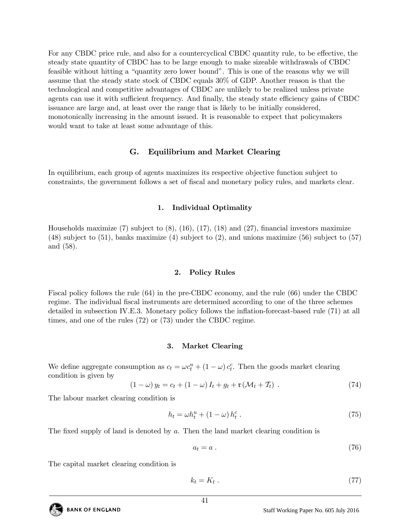For any CBDC price rule, and also for a countercyclical CBDC quantity rule, to be effective, the steady state quantity of CBDC has to be large enough to make sizeable withdrawals of CBDC feasible without hitting a "quantity zero lower bound". This is one of the reasons why we will assume that the steady state stock of CBDC equals 30% of GDP. Another reason is that the technological and competitive advantages of CBDC are unlikely to be realized unless private agents can use it with sufficient frequency. And finally, the steady state efficiency gains of CBDC issuance are large and, at least over the range that is likely to be initially considered, monotonically increasing in the amount issued. It is reasonable to expect that policymakers would want to take at least some advantage of this.

#### G. Equilibrium and Market Clearing

In equilibrium, each group of agents maximizes its respective objective function subject to constraints, the government follows a set of fiscal and monetary policy rules, and markets clear.

#### 1. Individual Optimality

Households maximize  $(7)$  subject to  $(8)$ ,  $(16)$ ,  $(17)$ ,  $(18)$  and  $(27)$ , financial investors maximize (48) subject to (51), banks maximize (4) subject to (2), and unions maximize (56) subject to (57) and (58).

#### 2. Policy Rules

Fiscal policy follows the rule (64) in the pre-CBDC economy, and the rule (66) under the CBDC regime. The individual fiscal instruments are determined according to one of the three schemes detailed in subsection IV.E.3. Monetary policy follows the inflation-forecast-based rule (71) at all times, and one of the rules (72) or (73) under the CBDC regime.

#### 3. Market Clearing

We define aggregate consumption as  $c_t = \omega c_t^u + (1 - \omega) c_t^c$ . Then the goods market clearing condition is given by

$$
(1 - \omega) y_t = c_t + (1 - \omega) I_t + g_t + \mathfrak{r}(\mathcal{M}_t + \mathcal{T}_t) . \tag{74}
$$

The labour market clearing condition is

$$
h_t = \omega h_t^u + (1 - \omega) h_t^c. \tag{75}
$$

The fixed supply of land is denoted by a. Then the land market clearing condition is

$$
a_t = a \tag{76}
$$

The capital market clearing condition is

$$
k_t = K_t \tag{77}
$$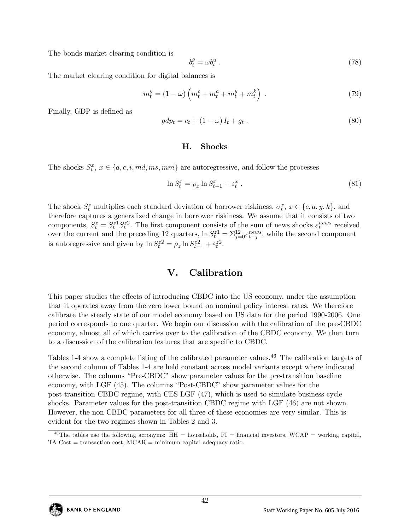The bonds market clearing condition is

$$
b_t^g = \omega b_t^u \tag{78}
$$

The market clearing condition for digital balances is

$$
m_t^g = (1 - \omega) \left( m_t^c + m_t^a + m_t^y + m_t^k \right) \,. \tag{79}
$$

Finally, GDP is defined as

$$
gdp_t = c_t + (1 - \omega) I_t + g_t . \qquad (80)
$$

#### H. Shocks

The shocks  $S_t^x$ ,  $x \in \{a, c, i, md, ms, mm\}$  are autoregressive, and follow the processes

$$
\ln S_t^x = \rho_x \ln S_{t-1}^x + \varepsilon_t^x \,. \tag{81}
$$

The shock  $S_t^z$  multiplies each standard deviation of borrower riskiness,  $\sigma_t^x$ ,  $x \in \{c, a, y, k\}$ , and therefore captures a generalized change in borrower riskiness. We assume that it consists of two components,  $S_t^z = S_t^{z_1} S_t^{z_2}$ . The first component consists of the sum of news shocks  $\varepsilon_t^{news}$  received over the current and the preceding 12 quarters,  $\ln S_t^{z_1} = \sum_{j=0}^{12} \varepsilon_{t-j}^{news}$ , while the second component is autoregressive and given by  $\ln S_t^{z2} = \rho_z \ln S_{t-1}^{z2} + \varepsilon_t^{z2}$ .

## V. Calibration

This paper studies the effects of introducing CBDC into the US economy, under the assumption that it operates away from the zero lower bound on nominal policy interest rates. We therefore calibrate the steady state of our model economy based on US data for the period 1990-2006. One period corresponds to one quarter. We begin our discussion with the calibration of the pre-CBDC economy, almost all of which carries over to the calibration of the CBDC economy. We then turn to a discussion of the calibration features that are specific to CBDC.

Tables 1-4 show a complete listing of the calibrated parameter values.<sup>46</sup> The calibration targets of the second column of Tables 1-4 are held constant across model variants except where indicated otherwise. The columns "Pre-CBDC" show parameter values for the pre-transition baseline economy, with LGF (45). The columns "Post-CBDC" show parameter values for the post-transition CBDC regime, with CES LGF (47), which is used to simulate business cycle shocks. Parameter values for the post-transition CBDC regime with LGF (46) are not shown. However, the non-CBDC parameters for all three of these economies are very similar. This is evident for the two regimes shown in Tables 2 and 3.

<sup>&</sup>lt;sup>46</sup>The tables use the following acronyms:  $HH =$  households,  $FI =$  financial investors, WCAP = working capital, TA  $Cost =$  transaction cost,  $MCAR =$  minimum capital adequacy ratio.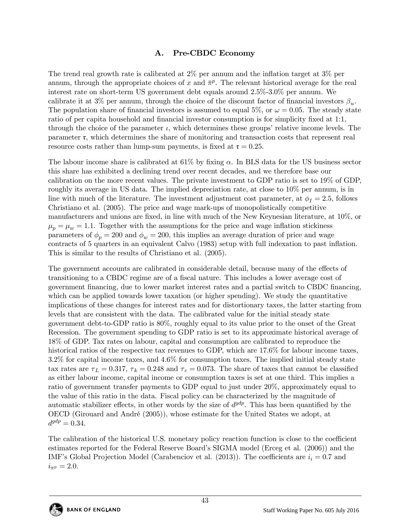## A. Pre-CBDC Economy

The trend real growth rate is calibrated at 2% per annum and the inflation target at 3% per annum, through the appropriate choices of x and  $\bar{\pi}^p$ . The relevant historical average for the real interest rate on short-term US government debt equals around 2.5%-3.0% per annum. We calibrate it at 3% per annum, through the choice of the discount factor of financial investors  $\beta_u$ . The population share of financial investors is assumed to equal 5%, or  $\omega = 0.05$ . The steady state ratio of per capita household and financial investor consumption is for simplicity fixed at 1:1, through the choice of the parameter  $\iota$ , which determines these groups' relative income levels. The parameter r, which determines the share of monitoring and transaction costs that represent real resource costs rather than lump-sum payments, is fixed at  $\mathfrak{r} = 0.25$ .

The labour income share is calibrated at  $61\%$  by fixing  $\alpha$ . In BLS data for the US business sector this share has exhibited a declining trend over recent decades, and we therefore base our calibration on the more recent values. The private investment to GDP ratio is set to 19% of GDP, roughly its average in US data. The implied depreciation rate, at close to 10% per annum, is in line with much of the literature. The investment adjustment cost parameter, at  $\phi_I = 2.5$ , follows Christiano et al. (2005). The price and wage mark-ups of monopolistically competitive manufacturers and unions are fixed, in line with much of the New Keynesian literature, at 10%, or  $\mu_p = \mu_w = 1.1$ . Together with the assumptions for the price and wage inflation stickiness parameters of  $\phi_p = 200$  and  $\phi_w = 200$ , this implies an average duration of price and wage contracts of 5 quarters in an equivalent Calvo (1983) setup with full indexation to past inflation. This is similar to the results of Christiano et al. (2005).

The government accounts are calibrated in considerable detail, because many of the effects of transitioning to a CBDC regime are of a fiscal nature. This includes a lower average cost of government financing, due to lower market interest rates and a partial switch to CBDC financing, which can be applied towards lower taxation (or higher spending). We study the quantitative implications of these changes for interest rates and for distortionary taxes, the latter starting from levels that are consistent with the data. The calibrated value for the initial steady state government debt-to-GDP ratio is 80%, roughly equal to its value prior to the onset of the Great Recession. The government spending to GDP ratio is set to its approximate historical average of 18% of GDP. Tax rates on labour, capital and consumption are calibrated to reproduce the historical ratios of the respective tax revenues to GDP, which are 17.6% for labour income taxes, 3.2% for capital income taxes, and 4.6% for consumption taxes. The implied initial steady state tax rates are  $\tau_L = 0.317$ ,  $\tau_k = 0.248$  and  $\tau_c = 0.073$ . The share of taxes that cannot be classified as either labour income, capital income or consumption taxes is set at one third. This implies a ratio of government transfer payments to GDP equal to just under 20%, approximately equal to the value of this ratio in the data. Fiscal policy can be characterized by the magnitude of automatic stabilizer effects, in other words by the size of  $d^{gdp}$ . This has been quantified by the OECD (Girouard and André (2005)), whose estimate for the United States we adopt, at  $d^{gdp} = 0.34.$ 

The calibration of the historical U.S. monetary policy reaction function is close to the coefficient estimates reported for the Federal Reserve Board's SIGMA model (Erceg et al. (2006)) and the IMF's Global Projection Model (Carabenciov et al. (2013)). The coefficients are  $i_i = 0.7$  and  $i_{\pi^p} = 2.0.$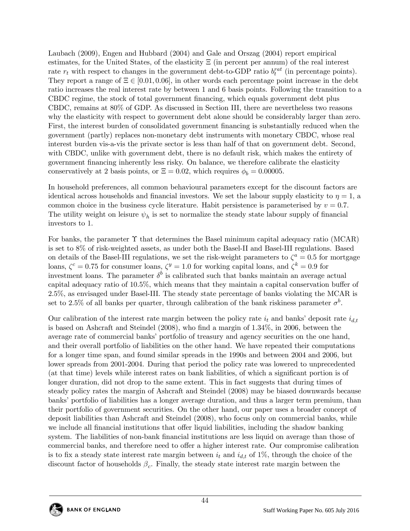Laubach (2009), Engen and Hubbard (2004) and Gale and Orszag (2004) report empirical estimates, for the United States, of the elasticity  $\Xi$  (in percent per annum) of the real interest rate  $r_t$  with respect to changes in the government debt-to-GDP ratio  $b_t^{rat}$  (in percentage points). They report a range of  $\Xi \in [0.01, 0.06]$ , in other words each percentage point increase in the debt ratio increases the real interest rate by between 1 and 6 basis points. Following the transition to a CBDC regime, the stock of total government financing, which equals government debt plus CBDC, remains at 80% of GDP. As discussed in Section III, there are nevertheless two reasons why the elasticity with respect to government debt alone should be considerably larger than zero. First, the interest burden of consolidated government financing is substantially reduced when the government (partly) replaces non-monetary debt instruments with monetary CBDC, whose real interest burden vis-a-vis the private sector is less than half of that on government debt. Second, with CBDC, unlike with government debt, there is no default risk, which makes the entirety of government financing inherently less risky. On balance, we therefore calibrate the elasticity conservatively at 2 basis points, or  $\Xi = 0.02$ , which requires  $\phi_b = 0.00005$ .

In household preferences, all common behavioural parameters except for the discount factors are identical across households and financial investors. We set the labour supply elasticity to  $\eta = 1$ , a common choice in the business cycle literature. Habit persistence is parameterised by  $v = 0.7$ . The utility weight on leisure  $\psi_h$  is set to normalize the steady state labour supply of financial investors to 1.

For banks, the parameter Υ that determines the Basel minimum capital adequacy ratio (MCAR) is set to 8% of risk-weighted assets, as under both the Basel-II and Basel-III regulations. Based on details of the Basel-III regulations, we set the risk-weight parameters to  $\zeta^a = 0.5$  for mortgage loans,  $\zeta^c = 0.75$  for consumer loans,  $\zeta^y = 1.0$  for working capital loans, and  $\zeta^k = 0.9$  for investment loans. The parameter  $\delta^b$  is calibrated such that banks maintain an average actual capital adequacy ratio of 10.5%, which means that they maintain a capital conservation buffer of 2.5%, as envisaged under Basel-III. The steady state percentage of banks violating the MCAR is set to 2.5% of all banks per quarter, through calibration of the bank riskiness parameter  $\sigma^b$ .

Our calibration of the interest rate margin between the policy rate  $i_t$  and banks' deposit rate  $i_{d,t}$ is based on Ashcraft and Steindel (2008), who find a margin of 1.34%, in 2006, between the average rate of commercial banks' portfolio of treasury and agency securities on the one hand, and their overall portfolio of liabilities on the other hand. We have repeated their computations for a longer time span, and found similar spreads in the 1990s and between 2004 and 2006, but lower spreads from 2001-2004. During that period the policy rate was lowered to unprecedented (at that time) levels while interest rates on bank liabilities, of which a significant portion is of longer duration, did not drop to the same extent. This in fact suggests that during times of steady policy rates the margin of Ashcraft and Steindel (2008) may be biased downwards because banks' portfolio of liabilities has a longer average duration, and thus a larger term premium, than their portfolio of government securities. On the other hand, our paper uses a broader concept of deposit liabilities than Ashcraft and Steindel (2008), who focus only on commercial banks, while we include all financial institutions that offer liquid liabilities, including the shadow banking system. The liabilities of non-bank financial institutions are less liquid on average than those of commercial banks, and therefore need to offer a higher interest rate. Our compromise calibration is to fix a steady state interest rate margin between  $i_t$  and  $i_{d,t}$  of 1%, through the choice of the discount factor of households  $\beta_c$ . Finally, the steady state interest rate margin between the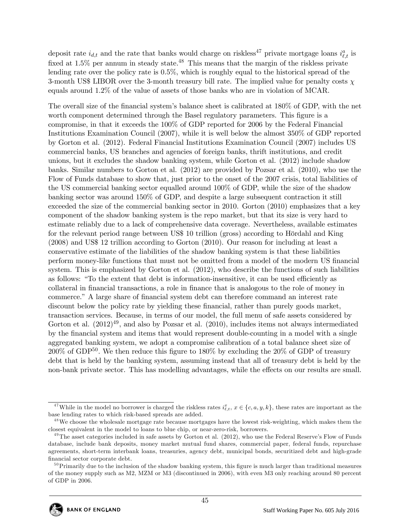deposit rate  $i_{d,t}$  and the rate that banks would charge on riskless<sup>47</sup> private mortgage loans  $i_{\ell,t}^a$  is fixed at  $1.5\%$  per annum in steady state.<sup>48</sup> This means that the margin of the riskless private lending rate over the policy rate is 0.5%, which is roughly equal to the historical spread of the 3-month US\$ LIBOR over the 3-month treasury bill rate. The implied value for penalty costs  $\chi$ equals around 1.2% of the value of assets of those banks who are in violation of MCAR.

The overall size of the financial system's balance sheet is calibrated at 180% of GDP, with the net worth component determined through the Basel regulatory parameters. This figure is a compromise, in that it exceeds the 100% of GDP reported for 2006 by the Federal Financial Institutions Examination Council (2007), while it is well below the almost 350% of GDP reported by Gorton et al. (2012). Federal Financial Institutions Examination Council (2007) includes US commercial banks, US branches and agencies of foreign banks, thrift institutions, and credit unions, but it excludes the shadow banking system, while Gorton et al. (2012) include shadow banks. Similar numbers to Gorton et al. (2012) are provided by Pozsar et al. (2010), who use the Flow of Funds database to show that, just prior to the onset of the 2007 crisis, total liabilities of the US commercial banking sector equalled around 100% of GDP, while the size of the shadow banking sector was around 150% of GDP, and despite a large subsequent contraction it still exceeded the size of the commercial banking sector in 2010. Gorton (2010) emphasizes that a key component of the shadow banking system is the repo market, but that its size is very hard to estimate reliably due to a lack of comprehensive data coverage. Nevertheless, available estimates for the relevant period range between US\$ 10 trillion (gross) according to Hördahl and King (2008) and US\$ 12 trillion according to Gorton (2010). Our reason for including at least a conservative estimate of the liabilities of the shadow banking system is that these liabilities perform money-like functions that must not be omitted from a model of the modern US financial system. This is emphasized by Gorton et al.  $(2012)$ , who describe the functions of such liabilities as follows: "To the extent that debt is information-insensitive, it can be used efficiently as collateral in financial transactions, a role in finance that is analogous to the role of money in commerce." A large share of financial system debt can therefore command an interest rate discount below the policy rate by yielding these financial, rather than purely goods market, transaction services. Because, in terms of our model, the full menu of safe assets considered by Gorton et al.  $(2012)^{49}$ , and also by Pozsar et al.  $(2010)$ , includes items not always intermediated by the financial system and items that would represent double-counting in a model with a single aggregated banking system, we adopt a compromise calibration of a total balance sheet size of  $200\%$  of GDP<sup>50</sup>. We then reduce this figure to 180% by excluding the 20% of GDP of treasury debt that is held by the banking system, assuming instead that all of treasury debt is held by the non-bank private sector. This has modelling advantages, while the effects on our results are small.

<sup>&</sup>lt;sup>47</sup>While in the model no borrower is charged the riskless rates  $i_{\ell,t}^x$ ,  $x \in \{c, a, y, k\}$ , these rates are important as the base lending rates to which risk-based spreads are added.

<sup>&</sup>lt;sup>48</sup>We choose the wholesale mortgage rate because mortgages have the lowest risk-weighting, which makes them the closest equivalent in the model to loans to blue chip, or near-zero-risk, borrowers.

 $^{49}$ The asset categories included in safe assets by Gorton et al. (2012), who use the Federal Reserve's Flow of Funds database, include bank deposits, money market mutual fund shares, commercial paper, federal funds, repurchase agreements, short-term interbank loans, treasuries, agency debt, municipal bonds, securitized debt and high-grade financial sector corporate debt.

 $50$ Primarily due to the inclusion of the shadow banking system, this figure is much larger than traditional measures of the money supply such as M2, MZM or M3 (discontinued in 2006), with even M3 only reaching around 80 percent of GDP in 2006.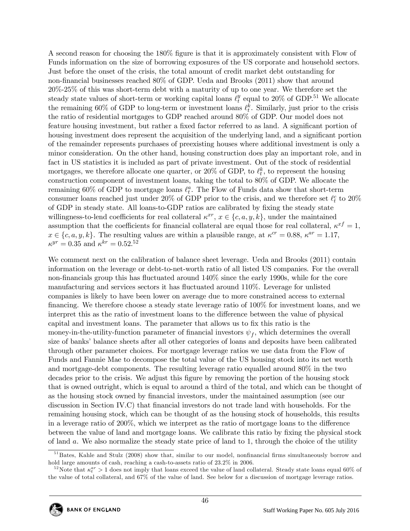A second reason for choosing the 180% figure is that it is approximately consistent with Flow of Funds information on the size of borrowing exposures of the US corporate and household sectors. Just before the onset of the crisis, the total amount of credit market debt outstanding for non-financial businesses reached 80% of GDP. Ueda and Brooks (2011) show that around 20%-25% of this was short-term debt with a maturity of up to one year. We therefore set the steady state values of short-term or working capital loans  $\ell_t^y$  $_t^y$  equal to 20% of GDP.<sup>51</sup> We allocate the remaining 60% of GDP to long-term or investment loans  $\ell_t^k$ . Similarly, just prior to the crisis the ratio of residential mortgages to GDP reached around 80% of GDP. Our model does not feature housing investment, but rather a fixed factor referred to as land. A significant portion of housing investment does represent the acquisition of the underlying land, and a significant portion of the remainder represents purchases of preexisting houses where additional investment is only a minor consideration. On the other hand, housing construction does play an important role, and in fact in US statistics it is included as part of private investment. Out of the stock of residential mortgages, we therefore allocate one quarter, or 20% of GDP, to  $\ell_t^k$ , to represent the housing construction component of investment loans, taking the total to 80% of GDP. We allocate the remaining 60% of GDP to mortgage loans  $\ell_t^a$ . The Flow of Funds data show that short-term consumer loans reached just under 20% of GDP prior to the crisis, and we therefore set  $\ell_t^c$  to 20% of GDP in steady state. All loans-to-GDP ratios are calibrated by fixing the steady state willingness-to-lend coefficients for real collateral  $\kappa^{xr}$ ,  $x \in \{c, a, y, k\}$ , under the maintained assumption that the coefficients for financial collateral are equal those for real collateral,  $\kappa^{xf} = 1$ ,  $x \in \{c, a, y, k\}$ . The resulting values are within a plausible range, at  $\kappa^{cr} = 0.88$ ,  $\kappa^{ar} = 1.17$ ,  $\kappa^{yr} = 0.35$  and  $\kappa^{kr} = 0.52$ .<sup>52</sup>

We comment next on the calibration of balance sheet leverage. Ueda and Brooks (2011) contain information on the leverage or debt-to-net-worth ratio of all listed US companies. For the overall non-financials group this has fluctuated around 140% since the early 1990s, while for the core manufacturing and services sectors it has fluctuated around 110%. Leverage for unlisted companies is likely to have been lower on average due to more constrained access to external financing. We therefore choose a steady state leverage ratio of 100% for investment loans, and we interpret this as the ratio of investment loans to the difference between the value of physical capital and investment loans. The parameter that allows us to fix this ratio is the money-in-the-utility-function parameter of financial investors  $\psi_f$ , which determines the overall size of banks' balance sheets after all other categories of loans and deposits have been calibrated through other parameter choices. For mortgage leverage ratios we use data from the Flow of Funds and Fannie Mae to decompose the total value of the US housing stock into its net worth and mortgage-debt components. The resulting leverage ratio equalled around 80% in the two decades prior to the crisis. We adjust this figure by removing the portion of the housing stock that is owned outright, which is equal to around a third of the total, and which can be thought of as the housing stock owned by financial investors, under the maintained assumption (see our discussion in Section IV.C) that financial investors do not trade land with households. For the remaining housing stock, which can be thought of as the housing stock of households, this results in a leverage ratio of 200%, which we interpret as the ratio of mortgage loans to the difference between the value of land and mortgage loans. We calibrate this ratio by fixing the physical stock of land a. We also normalize the steady state price of land to 1, through the choice of the utility

<sup>&</sup>lt;sup>51</sup> Bates, Kahle and Stulz (2008) show that, similar to our model, nonfinancial firms simultaneously borrow and hold large amounts of cash, reaching a cash-to-assets ratio of  $23.2\%$  in 2006.

<sup>&</sup>lt;sup>52</sup>Note that  $\kappa_t^{ar} > 1$  does not imply that loans exceed the value of land collateral. Steady state loans equal 60% of the value of total collateral, and 67% of the value of land. See below for a discussion of mortgage leverage ratios.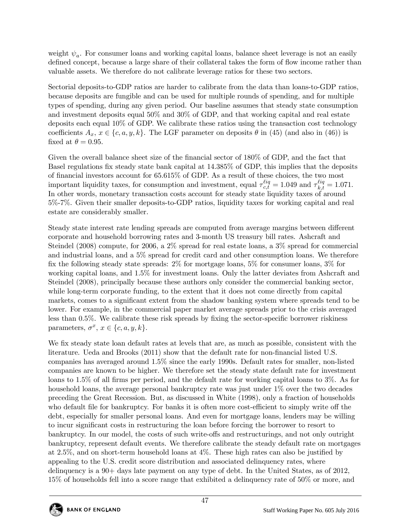weight  $\psi_a$ . For consumer loans and working capital loans, balance sheet leverage is not an easily defined concept, because a large share of their collateral takes the form of flow income rather than valuable assets. We therefore do not calibrate leverage ratios for these two sectors.

Sectorial deposits-to-GDP ratios are harder to calibrate from the data than loans-to-GDP ratios, because deposits are fungible and can be used for multiple rounds of spending, and for multiple types of spending, during any given period. Our baseline assumes that steady state consumption and investment deposits equal 50% and 30% of GDP, and that working capital and real estate deposits each equal 10% of GDP. We calibrate these ratios using the transaction cost technology coefficients  $A_x, x \in \{c, a, y, k\}$ . The LGF parameter on deposits  $\theta$  in (45) (and also in (46)) is fixed at  $\theta = 0.95$ .

Given the overall balance sheet size of the financial sector of 180% of GDP, and the fact that Basel regulations fix steady state bank capital at 14.385% of GDP, this implies that the deposits of financial investors account for 65.615% of GDP. As a result of these choices, the two most important liquidity taxes, for consumption and investment, equal  $\tau_{c,t}^{liq} = 1.049$  and  $\tau_{k,t}^{liq} = 1.071$ . In other words, monetary transaction costs account for steady state liquidity taxes of around 5%-7%. Given their smaller deposits-to-GDP ratios, liquidity taxes for working capital and real estate are considerably smaller.

Steady state interest rate lending spreads are computed from average margins between different corporate and household borrowing rates and 3-month US treasury bill rates. Ashcraft and Steindel (2008) compute, for 2006, a 2% spread for real estate loans, a 3% spread for commercial and industrial loans, and a 5% spread for credit card and other consumption loans. We therefore fix the following steady state spreads: 2% for mortgage loans, 5% for consumer loans, 3% for working capital loans, and 1.5% for investment loans. Only the latter deviates from Ashcraft and Steindel (2008), principally because these authors only consider the commercial banking sector, while long-term corporate funding, to the extent that it does not come directly from capital markets, comes to a significant extent from the shadow banking system where spreads tend to be lower. For example, in the commercial paper market average spreads prior to the crisis averaged less than 0.5%. We calibrate these risk spreads by fixing the sector-specific borrower riskiness parameters,  $\sigma^x$ ,  $x \in \{c, a, y, k\}.$ 

We fix steady state loan default rates at levels that are, as much as possible, consistent with the literature. Ueda and Brooks (2011) show that the default rate for non-financial listed U.S. companies has averaged around 1.5% since the early 1990s. Default rates for smaller, non-listed companies are known to be higher. We therefore set the steady state default rate for investment loans to 1.5% of all firms per period, and the default rate for working capital loans to 3%. As for household loans, the average personal bankruptcy rate was just under 1% over the two decades preceding the Great Recession. But, as discussed in White (1998), only a fraction of households who default file for bankruptcy. For banks it is often more cost-efficient to simply write off the debt, especially for smaller personal loans. And even for mortgage loans, lenders may be willing to incur significant costs in restructuring the loan before forcing the borrower to resort to bankruptcy. In our model, the costs of such write-offs and restructurings, and not only outright bankruptcy, represent default events. We therefore calibrate the steady default rate on mortgages at 2.5%, and on short-term household loans at 4%. These high rates can also be justified by appealing to the U.S. credit score distribution and associated delinquency rates, where delinquency is a 90+ days late payment on any type of debt. In the United States, as of 2012, 15% of households fell into a score range that exhibited a delinquency rate of 50% or more, and

47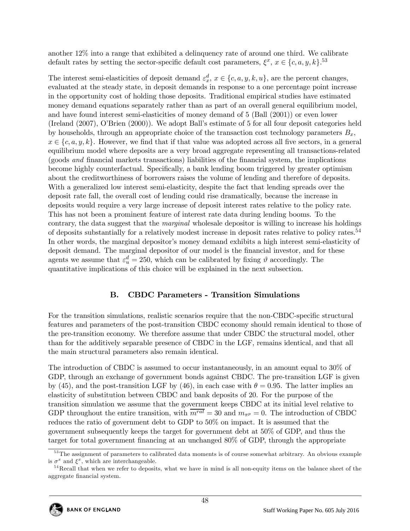another 12% into a range that exhibited a delinquency rate of around one third. We calibrate default rates by setting the sector-specific default cost parameters,  $\xi^x$ ,  $x \in \{c, a, y, k\}$ .<sup>53</sup>

The interest semi-elasticities of deposit demand  $\varepsilon_x^d$ ,  $x \in \{c, a, y, k, u\}$ , are the percent changes, evaluated at the steady state, in deposit demands in response to a one percentage point increase in the opportunity cost of holding those deposits. Traditional empirical studies have estimated money demand equations separately rather than as part of an overall general equilibrium model, and have found interest semi-elasticities of money demand of 5 (Ball (2001)) or even lower (Ireland (2007), O'Brien (2000)). We adopt Ball's estimate of 5 for all four deposit categories held by households, through an appropriate choice of the transaction cost technology parameters  $B_x$ ,  $x \in \{c, a, y, k\}$ . However, we find that if that value was adopted across all five sectors, in a general equilibrium model where deposits are a very broad aggregate representing all transactions-related (goods and financial markets transactions) liabilities of the financial system, the implications become highly counterfactual. Specifically, a bank lending boom triggered by greater optimism about the creditworthiness of borrowers raises the volume of lending and therefore of deposits. With a generalized low interest semi-elasticity, despite the fact that lending spreads over the deposit rate fall, the overall cost of lending could rise dramatically, because the increase in deposits would require a very large increase of deposit interest rates relative to the policy rate. This has not been a prominent feature of interest rate data during lending booms. To the contrary, the data suggest that the *marginal* wholesale depositor is willing to increase his holdings of deposits substantially for a relatively modest increase in deposit rates relative to policy rates.<sup>54</sup> In other words, the marginal depositor's money demand exhibits a high interest semi-elasticity of deposit demand. The marginal depositor of our model is the financial investor, and for these agents we assume that  $\varepsilon_u^d = 250$ , which can be calibrated by fixing  $\vartheta$  accordingly. The quantitative implications of this choice will be explained in the next subsection.

### B. CBDC Parameters - Transition Simulations

For the transition simulations, realistic scenarios require that the non-CBDC-specific structural features and parameters of the post-transition CBDC economy should remain identical to those of the pre-transition economy. We therefore assume that under CBDC the structural model, other than for the additively separable presence of CBDC in the LGF, remains identical, and that all the main structural parameters also remain identical.

The introduction of CBDC is assumed to occur instantaneously, in an amount equal to 30% of GDP, through an exchange of government bonds against CBDC. The pre-transition LGF is given by (45), and the post-transition LGF by (46), in each case with  $\theta = 0.95$ . The latter implies an elasticity of substitution between CBDC and bank deposits of 20. For the purpose of the transition simulation we assume that the government keeps CBDC at its initial level relative to GDP throughout the entire transition, with  $\overline{m^{rat}} = 30$  and  $m_{\pi^p} = 0$ . The introduction of CBDC reduces the ratio of government debt to GDP to 50% on impact. It is assumed that the government subsequently keeps the target for government debt at 50% of GDP, and thus the target for total government financing at an unchanged 80% of GDP, through the appropriate

<sup>&</sup>lt;sup>53</sup>The assignment of parameters to calibrated data moments is of course somewhat arbitrary. An obvious example is  $\sigma^x$  and  $\xi^x$ , which are interchangeable.

 $54$ Recall that when we refer to deposits, what we have in mind is all non-equity items on the balance sheet of the aggregate financial system.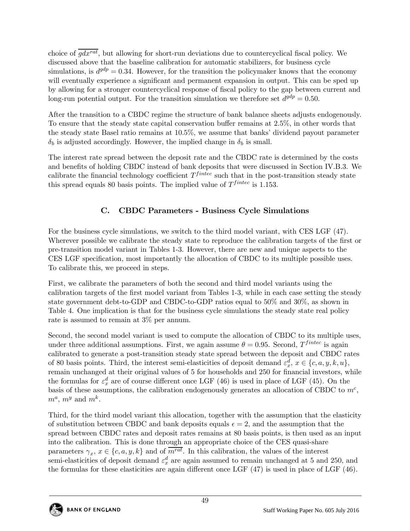choice of  $\overline{gdx^{rat}}$ , but allowing for short-run deviations due to countercyclical fiscal policy. We discussed above that the baseline calibration for automatic stabilizers, for business cycle simulations, is  $d^{gdp} = 0.34$ . However, for the transition the policymaker knows that the economy will eventually experience a significant and permanent expansion in output. This can be sped up by allowing for a stronger countercyclical response of fiscal policy to the gap between current and long-run potential output. For the transition simulation we therefore set  $d^{gdp} = 0.50$ .

After the transition to a CBDC regime the structure of bank balance sheets adjusts endogenously. To ensure that the steady state capital conservation buffer remains at 2.5%, in other words that the steady state Basel ratio remains at 10.5%, we assume that banks' dividend payout parameter  $\delta_b$  is adjusted accordingly. However, the implied change in  $\delta_b$  is small.

The interest rate spread between the deposit rate and the CBDC rate is determined by the costs and benefits of holding CBDC instead of bank deposits that were discussed in Section IV.B.3. We calibrate the financial technology coefficient  $T^{finter}$  such that in the post-transition steady state this spread equals 80 basis points. The implied value of  $T^{finter}$  is 1.153.

## C. CBDC Parameters - Business Cycle Simulations

For the business cycle simulations, we switch to the third model variant, with CES LGF (47). Wherever possible we calibrate the steady state to reproduce the calibration targets of the first or pre-transition model variant in Tables 1-3. However, there are new and unique aspects to the CES LGF specification, most importantly the allocation of CBDC to its multiple possible uses. To calibrate this, we proceed in steps.

First, we calibrate the parameters of both the second and third model variants using the calibration targets of the first model variant from Tables 1-3, while in each case setting the steady state government debt-to-GDP and CBDC-to-GDP ratios equal to 50% and 30%, as shown in Table 4. One implication is that for the business cycle simulations the steady state real policy rate is assumed to remain at 3% per annum.

Second, the second model variant is used to compute the allocation of CBDC to its multiple uses, under three additional assumptions. First, we again assume  $\theta = 0.95$ . Second,  $T^{finite}$  is again calibrated to generate a post-transition steady state spread between the deposit and CBDC rates of 80 basis points. Third, the interest semi-elasticities of deposit demand  $\varepsilon_x^d$ ,  $x \in \{c, a, y, k, u\}$ , remain unchanged at their original values of 5 for households and 250 for financial investors, while the formulas for  $\varepsilon_x^d$  are of course different once LGF (46) is used in place of LGF (45). On the basis of these assumptions, the calibration endogenously generates an allocation of CBDC to  $m<sup>c</sup>$ ,  $m^a$ ,  $m^y$  and  $m^k$ .

Third, for the third model variant this allocation, together with the assumption that the elasticity of substitution between CBDC and bank deposits equals  $\epsilon = 2$ , and the assumption that the spread between CBDC rates and deposit rates remains at 80 basis points, is then used as an input into the calibration. This is done through an appropriate choice of the CES quasi-share parameters  $\gamma_x, x \in \{c, a, y, k\}$  and of  $\overline{m^{rat}}$ . In this calibration, the values of the interest semi-elasticities of deposit demand  $\varepsilon_x^d$  are again assumed to remain unchanged at 5 and 250, and the formulas for these elasticities are again different once LGF (47) is used in place of LGF (46).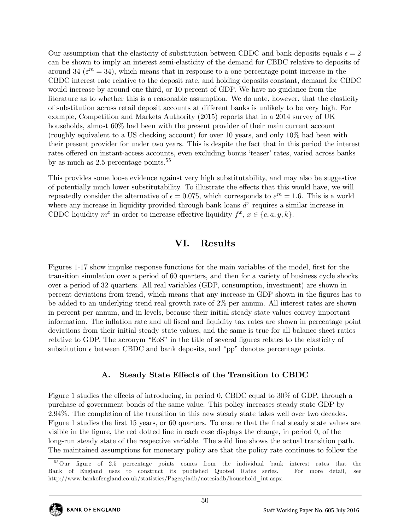Our assumption that the elasticity of substitution between CBDC and bank deposits equals  $\epsilon = 2$ can be shown to imply an interest semi-elasticity of the demand for CBDC relative to deposits of around 34 ( $\varepsilon^{m} = 34$ ), which means that in response to a one percentage point increase in the CBDC interest rate relative to the deposit rate, and holding deposits constant, demand for CBDC would increase by around one third, or 10 percent of GDP. We have no guidance from the literature as to whether this is a reasonable assumption. We do note, however, that the elasticity of substitution across retail deposit accounts at different banks is unlikely to be very high. For example, Competition and Markets Authority (2015) reports that in a 2014 survey of UK households, almost  $60\%$  had been with the present provider of their main current account (roughly equivalent to a US checking account) for over 10 years, and only 10% had been with their present provider for under two years. This is despite the fact that in this period the interest rates offered on instant-access accounts, even excluding bonus 'teaser' rates, varied across banks by as much as  $2.5$  percentage points.<sup>55</sup>

This provides some loose evidence against very high substitutability, and may also be suggestive of potentially much lower substitutability. To illustrate the effects that this would have, we will repeatedly consider the alternative of  $\epsilon = 0.075$ , which corresponds to  $\varepsilon^m = 1.6$ . This is a world where any increase in liquidity provided through bank loans  $d<sup>x</sup>$  requires a similar increase in CBDC liquidity  $m^x$  in order to increase effective liquidity  $f^x$ ,  $x \in \{c, a, y, k\}$ .

## VI. Results

Figures 1-17 show impulse response functions for the main variables of the model, first for the transition simulation over a period of 60 quarters, and then for a variety of business cycle shocks over a period of 32 quarters. All real variables (GDP, consumption, investment) are shown in percent deviations from trend, which means that any increase in GDP shown in the figures has to be added to an underlying trend real growth rate of 2% per annum. All interest rates are shown in percent per annum, and in levels, because their initial steady state values convey important information. The inflation rate and all fiscal and liquidity tax rates are shown in percentage point deviations from their initial steady state values, and the same is true for all balance sheet ratios relative to GDP. The acronym "EoS" in the title of several figures relates to the elasticity of substitution  $\epsilon$  between CBDC and bank deposits, and "pp" denotes percentage points.

### A. Steady State Effects of the Transition to CBDC

Figure 1 studies the effects of introducing, in period 0, CBDC equal to 30% of GDP, through a purchase of government bonds of the same value. This policy increases steady state GDP by 2.94%. The completion of the transition to this new steady state takes well over two decades. Figure 1 studies the first 15 years, or 60 quarters. To ensure that the final steady state values are visible in the figure, the red dotted line in each case displays the change, in period 0, of the long-run steady state of the respective variable. The solid line shows the actual transition path. The maintained assumptions for monetary policy are that the policy rate continues to follow the

<sup>&</sup>lt;sup>55</sup>Our figure of 2.5 percentage points comes from the individual bank interest rates that the Bank of England uses to construct its published Quoted Rates series. For more detail, see http://www.bankofengland.co.uk/statistics/Pages/iadb/notesiadb/household\_int.aspx.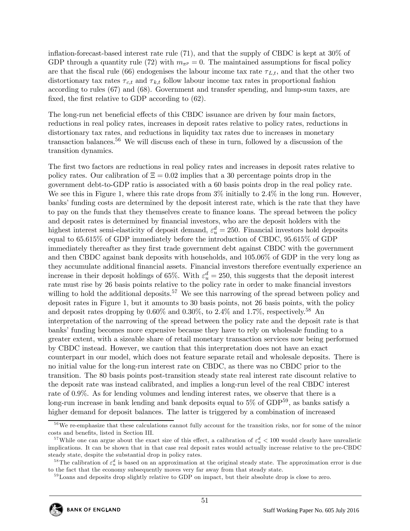inflation-forecast-based interest rate rule (71), and that the supply of CBDC is kept at 30% of GDP through a quantity rule (72) with  $m_{\pi^p} = 0$ . The maintained assumptions for fiscal policy are that the fiscal rule (66) endogenises the labour income tax rate  $\tau_{L,t}$ , and that the other two distortionary tax rates  $\tau_{c,t}$  and  $\tau_{k,t}$  follow labour income tax rates in proportional fashion according to rules (67) and (68). Government and transfer spending, and lump-sum taxes, are fixed, the first relative to GDP according to (62).

The long-run net beneficial effects of this CBDC issuance are driven by four main factors, reductions in real policy rates, increases in deposit rates relative to policy rates, reductions in distortionary tax rates, and reductions in liquidity tax rates due to increases in monetary transaction balances.<sup>56</sup> We will discuss each of these in turn, followed by a discussion of the transition dynamics.

The first two factors are reductions in real policy rates and increases in deposit rates relative to policy rates. Our calibration of  $\Xi = 0.02$  implies that a 30 percentage points drop in the government debt-to-GDP ratio is associated with a 60 basis points drop in the real policy rate. We see this in Figure 1, where this rate drops from 3% initially to 2.4% in the long run. However, banks' funding costs are determined by the deposit interest rate, which is the rate that they have to pay on the funds that they themselves create to finance loans. The spread between the policy and deposit rates is determined by financial investors, who are the deposit holders with the highest interest semi-elasticity of deposit demand,  $\varepsilon_u^d = 250$ . Financial investors hold deposits equal to 65.615% of GDP immediately before the introduction of CBDC, 95.615% of GDP immediately thereafter as they first trade government debt against CBDC with the government and then CBDC against bank deposits with households, and 105.06% of GDP in the very long as they accumulate additional financial assets. Financial investors therefore eventually experience an increase in their deposit holdings of 65%. With  $\varepsilon_u^d = 250$ , this suggests that the deposit interest rate must rise by 26 basis points relative to the policy rate in order to make financial investors willing to hold the additional deposits.<sup>57</sup> We see this narrowing of the spread between policy and deposit rates in Figure 1, but it amounts to 30 basis points, not 26 basis points, with the policy and deposit rates dropping by  $0.60\%$  and  $0.30\%$ , to  $2.4\%$  and  $1.7\%$ , respectively.<sup>58</sup> An interpretation of the narrowing of the spread between the policy rate and the deposit rate is that banks' funding becomes more expensive because they have to rely on wholesale funding to a greater extent, with a sizeable share of retail monetary transaction services now being performed by CBDC instead. However, we caution that this interpretation does not have an exact counterpart in our model, which does not feature separate retail and wholesale deposits. There is no initial value for the long-run interest rate on CBDC, as there was no CBDC prior to the transition. The 80 basis points post-transition steady state real interest rate discount relative to the deposit rate was instead calibrated, and implies a long-run level of the real CBDC interest rate of 0.9%. As for lending volumes and lending interest rates, we observe that there is a long-run increase in bank lending and bank deposits equal to  $5\%$  of GDP<sup>59</sup>, as banks satisfy a higher demand for deposit balances. The latter is triggered by a combination of increased

 $56$ We re-emphasize that these calculations cannot fully account for the transition risks, nor for some of the minor costs and benefits, listed in Section III.

<sup>&</sup>lt;sup>57</sup>While one can argue about the exact size of this effect, a calibration of  $\varepsilon_u^d < 100$  would clearly have unrealistic implications. It can be shown that in that case real deposit rates would actually increase relative to the pre-CBDC steady state, despite the substantial drop in policy rates.

<sup>&</sup>lt;sup>58</sup>The calibration of  $\varepsilon_u^d$  is based on an approximation at the original steady state. The approximation error is due to the fact that the economy subsequently moves very far away from that steady state.

<sup>&</sup>lt;sup>59</sup> Loans and deposits drop slightly relative to GDP on impact, but their absolute drop is close to zero.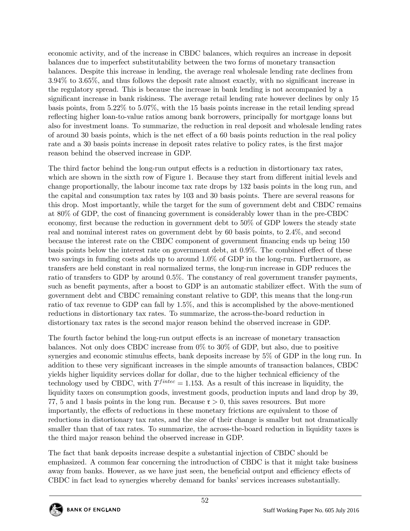economic activity, and of the increase in CBDC balances, which requires an increase in deposit balances due to imperfect substitutability between the two forms of monetary transaction balances. Despite this increase in lending, the average real wholesale lending rate declines from 3.94% to 3.65%, and thus follows the deposit rate almost exactly, with no significant increase in the regulatory spread. This is because the increase in bank lending is not accompanied by a significant increase in bank riskiness. The average retail lending rate however declines by only 15 basis points, from 5.22% to 5.07%, with the 15 basis points increase in the retail lending spread reflecting higher loan-to-value ratios among bank borrowers, principally for mortgage loans but also for investment loans. To summarize, the reduction in real deposit and wholesale lending rates of around 30 basis points, which is the net effect of a 60 basis points reduction in the real policy rate and a 30 basis points increase in deposit rates relative to policy rates, is the first major reason behind the observed increase in GDP.

The third factor behind the long-run output effects is a reduction in distortionary tax rates, which are shown in the sixth row of Figure 1. Because they start from different initial levels and change proportionally, the labour income tax rate drops by 132 basis points in the long run, and the capital and consumption tax rates by 103 and 30 basis points. There are several reasons for this drop. Most importantly, while the target for the sum of government debt and CBDC remains at 80% of GDP, the cost of financing government is considerably lower than in the pre-CBDC economy, first because the reduction in government debt to 50% of GDP lowers the steady state real and nominal interest rates on government debt by 60 basis points, to 2.4%, and second because the interest rate on the CBDC component of government financing ends up being 150 basis points below the interest rate on government debt, at 0.9%. The combined effect of these two savings in funding costs adds up to around 1.0% of GDP in the long-run. Furthermore, as transfers are held constant in real normalized terms, the long-run increase in GDP reduces the ratio of transfers to GDP by around 0.5%. The constancy of real government transfer payments, such as benefit payments, after a boost to GDP is an automatic stabilizer effect. With the sum of government debt and CBDC remaining constant relative to GDP, this means that the long-run ratio of tax revenue to GDP can fall by 1.5%, and this is accomplished by the above-mentioned reductions in distortionary tax rates. To summarize, the across-the-board reduction in distortionary tax rates is the second major reason behind the observed increase in GDP.

The fourth factor behind the long-run output effects is an increase of monetary transaction balances. Not only does CBDC increase from 0% to 30% of GDP, but also, due to positive synergies and economic stimulus effects, bank deposits increase by 5% of GDP in the long run. In addition to these very significant increases in the simple amounts of transaction balances, CBDC yields higher liquidity services dollar for dollar, due to the higher technical efficiency of the technology used by CBDC, with  $T^{finite} = 1.153$ . As a result of this increase in liquidity, the liquidity taxes on consumption goods, investment goods, production inputs and land drop by 39, 77, 5 and 1 basis points in the long run. Because  $\mathfrak{r} > 0$ , this saves resources. But more importantly, the effects of reductions in these monetary frictions are equivalent to those of reductions in distortionary tax rates, and the size of their change is smaller but not dramatically smaller than that of tax rates. To summarize, the across-the-board reduction in liquidity taxes is the third major reason behind the observed increase in GDP.

The fact that bank deposits increase despite a substantial injection of CBDC should be emphasized. A common fear concerning the introduction of CBDC is that it might take business away from banks. However, as we have just seen, the beneficial output and efficiency effects of CBDC in fact lead to synergies whereby demand for banks' services increases substantially.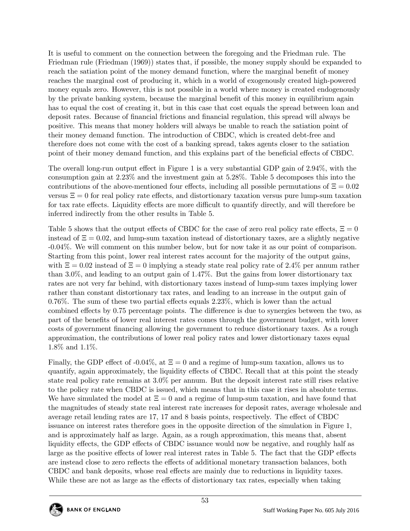It is useful to comment on the connection between the foregoing and the Friedman rule. The Friedman rule (Friedman (1969)) states that, if possible, the money supply should be expanded to reach the satiation point of the money demand function, where the marginal benefit of money reaches the marginal cost of producing it, which in a world of exogenously created high-powered money equals zero. However, this is not possible in a world where money is created endogenously by the private banking system, because the marginal benefit of this money in equilibrium again has to equal the cost of creating it, but in this case that cost equals the spread between loan and deposit rates. Because of financial frictions and financial regulation, this spread will always be positive. This means that money holders will always be unable to reach the satiation point of their money demand function. The introduction of CBDC, which is created debt-free and therefore does not come with the cost of a banking spread, takes agents closer to the satiation point of their money demand function, and this explains part of the beneficial effects of CBDC.

The overall long-run output effect in Figure 1 is a very substantial GDP gain of 2.94%, with the consumption gain at 2.23% and the investment gain at 5.28%. Table 5 decomposes this into the contributions of the above-mentioned four effects, including all possible permutations of  $\Xi = 0.02$ versus  $\Xi = 0$  for real policy rate effects, and distortionary taxation versus pure lump-sum taxation for tax rate effects. Liquidity effects are more difficult to quantify directly, and will therefore be inferred indirectly from the other results in Table 5.

Table 5 shows that the output effects of CBDC for the case of zero real policy rate effects,  $\Xi = 0$ instead of  $\Xi = 0.02$ , and lump-sum taxation instead of distortionary taxes, are a slightly negative -0.04%. We will comment on this number below, but for now take it as our point of comparison. Starting from this point, lower real interest rates account for the majority of the output gains, with  $\Xi = 0.02$  instead of  $\Xi = 0$  implying a steady state real policy rate of 2.4% per annum rather than 3.0%, and leading to an output gain of 1.47%. But the gains from lower distortionary tax rates are not very far behind, with distortionary taxes instead of lump-sum taxes implying lower rather than constant distortionary tax rates, and leading to an increase in the output gain of 0.76%. The sum of these two partial effects equals 2.23%, which is lower than the actual combined effects by 0.75 percentage points. The difference is due to synergies between the two, as part of the benefits of lower real interest rates comes through the government budget, with lower costs of government financing allowing the government to reduce distortionary taxes. As a rough approximation, the contributions of lower real policy rates and lower distortionary taxes equal 1.8% and 1.1%.

Finally, the GDP effect of -0.04%, at  $\Xi = 0$  and a regime of lump-sum taxation, allows us to quantify, again approximately, the liquidity effects of CBDC. Recall that at this point the steady state real policy rate remains at 3.0% per annum. But the deposit interest rate still rises relative to the policy rate when CBDC is issued, which means that in this case it rises in absolute terms. We have simulated the model at  $\Xi = 0$  and a regime of lump-sum taxation, and have found that the magnitudes of steady state real interest rate increases for deposit rates, average wholesale and average retail lending rates are 17, 17 and 8 basis points, respectively. The effect of CBDC issuance on interest rates therefore goes in the opposite direction of the simulation in Figure 1, and is approximately half as large. Again, as a rough approximation, this means that, absent liquidity effects, the GDP effects of CBDC issuance would now be negative, and roughly half as large as the positive effects of lower real interest rates in Table 5. The fact that the GDP effects are instead close to zero reflects the effects of additional monetary transaction balances, both CBDC and bank deposits, whose real effects are mainly due to reductions in liquidity taxes. While these are not as large as the effects of distortionary tax rates, especially when taking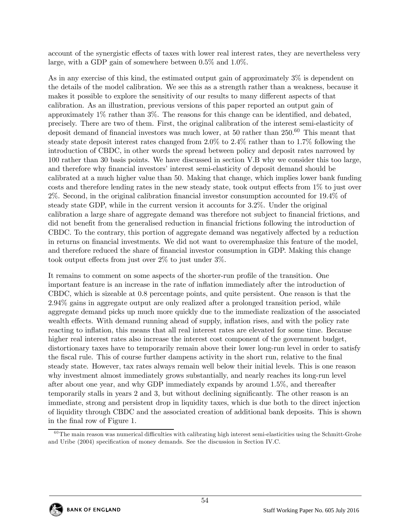account of the synergistic effects of taxes with lower real interest rates, they are nevertheless very large, with a GDP gain of somewhere between 0.5% and 1.0%.

As in any exercise of this kind, the estimated output gain of approximately 3% is dependent on the details of the model calibration. We see this as a strength rather than a weakness, because it makes it possible to explore the sensitivity of our results to many different aspects of that calibration. As an illustration, previous versions of this paper reported an output gain of approximately 1% rather than 3%. The reasons for this change can be identified, and debated, precisely. There are two of them. First, the original calibration of the interest semi-elasticity of deposit demand of financial investors was much lower, at 50 rather than  $250^{60}$  This meant that steady state deposit interest rates changed from 2.0% to 2.4% rather than to 1.7% following the introduction of CBDC, in other words the spread between policy and deposit rates narrowed by 100 rather than 30 basis points. We have discussed in section V.B why we consider this too large, and therefore why financial investors' interest semi-elasticity of deposit demand should be calibrated at a much higher value than 50. Making that change, which implies lower bank funding costs and therefore lending rates in the new steady state, took output effects from 1% to just over 2%. Second, in the original calibration financial investor consumption accounted for 19.4% of steady state GDP, while in the current version it accounts for 3.2%. Under the original calibration a large share of aggregate demand was therefore not subject to financial frictions, and did not benefit from the generalised reduction in financial frictions following the introduction of CBDC. To the contrary, this portion of aggregate demand was negatively affected by a reduction in returns on financial investments. We did not want to overemphasize this feature of the model, and therefore reduced the share of financial investor consumption in GDP. Making this change took output effects from just over 2% to just under 3%.

It remains to comment on some aspects of the shorter-run profile of the transition. One important feature is an increase in the rate of inflation immediately after the introduction of CBDC, which is sizeable at 0.8 percentage points, and quite persistent. One reason is that the 2.94% gains in aggregate output are only realized after a prolonged transition period, while aggregate demand picks up much more quickly due to the immediate realization of the associated wealth effects. With demand running ahead of supply, inflation rises, and with the policy rate reacting to inflation, this means that all real interest rates are elevated for some time. Because higher real interest rates also increase the interest cost component of the government budget, distortionary taxes have to temporarily remain above their lower long-run level in order to satisfy the fiscal rule. This of course further dampens activity in the short run, relative to the final steady state. However, tax rates always remain well below their initial levels. This is one reason why investment almost immediately grows substantially, and nearly reaches its long-run level after about one year, and why GDP immediately expands by around 1.5%, and thereafter temporarily stalls in years 2 and 3, but without declining significantly. The other reason is an immediate, strong and persistent drop in liquidity taxes, which is due both to the direct injection of liquidity through CBDC and the associated creation of additional bank deposits. This is shown in the final row of Figure 1.

 $60$ The main reason was numerical difficulties with calibrating high interest semi-elasticities using the Schmitt-Grohe and Uribe (2004) specification of money demands. See the discussion in Section IV.C.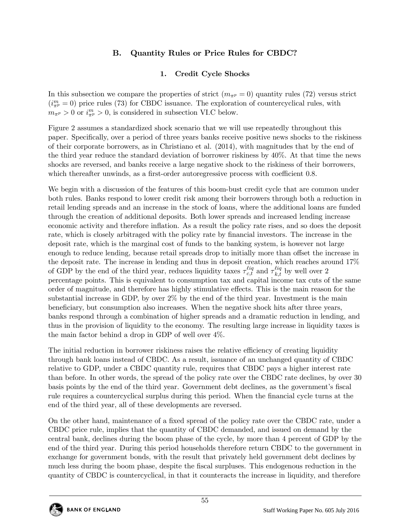## B. Quantity Rules or Price Rules for CBDC?

## 1. Credit Cycle Shocks

In this subsection we compare the properties of strict  $(m_{\pi^p} = 0)$  quantity rules (72) versus strict  $(i_{\pi^p}^m = 0)$  price rules (73) for CBDC issuance. The exploration of countercyclical rules, with  $m_{\pi^p} > 0$  or  $i^m_{\pi^p} > 0$ , is considered in subsection VI.C below.

Figure 2 assumes a standardized shock scenario that we will use repeatedly throughout this paper. Specifically, over a period of three years banks receive positive news shocks to the riskiness of their corporate borrowers, as in Christiano et al. (2014), with magnitudes that by the end of the third year reduce the standard deviation of borrower riskiness by 40%. At that time the news shocks are reversed, and banks receive a large negative shock to the riskiness of their borrowers, which thereafter unwinds, as a first-order autoregressive process with coefficient 0.8.

We begin with a discussion of the features of this boom-bust credit cycle that are common under both rules. Banks respond to lower credit risk among their borrowers through both a reduction in retail lending spreads and an increase in the stock of loans, where the additional loans are funded through the creation of additional deposits. Both lower spreads and increased lending increase economic activity and therefore inflation. As a result the policy rate rises, and so does the deposit rate, which is closely arbitraged with the policy rate by financial investors. The increase in the deposit rate, which is the marginal cost of funds to the banking system, is however not large enough to reduce lending, because retail spreads drop to initially more than offset the increase in the deposit rate. The increase in lending and thus in deposit creation, which reaches around 17% of GDP by the end of the third year, reduces liquidity taxes  $\tau_{c,t}^{liq}$  and  $\tau_{k,t}^{liq}$  by well over 2 percentage points. This is equivalent to consumption tax and capital income tax cuts of the same order of magnitude, and therefore has highly stimulative effects. This is the main reason for the substantial increase in GDP, by over 2% by the end of the third year. Investment is the main beneficiary, but consumption also increases. When the negative shock hits after three years, banks respond through a combination of higher spreads and a dramatic reduction in lending, and thus in the provision of liquidity to the economy. The resulting large increase in liquidity taxes is the main factor behind a drop in GDP of well over 4%.

The initial reduction in borrower riskiness raises the relative efficiency of creating liquidity through bank loans instead of CBDC. As a result, issuance of an unchanged quantity of CBDC relative to GDP, under a CBDC quantity rule, requires that CBDC pays a higher interest rate than before. In other words, the spread of the policy rate over the CBDC rate declines, by over 30 basis points by the end of the third year. Government debt declines, as the government's fiscal rule requires a countercyclical surplus during this period. When the financial cycle turns at the end of the third year, all of these developments are reversed.

On the other hand, maintenance of a fixed spread of the policy rate over the CBDC rate, under a CBDC price rule, implies that the quantity of CBDC demanded, and issued on demand by the central bank, declines during the boom phase of the cycle, by more than 4 percent of GDP by the end of the third year. During this period households therefore return CBDC to the government in exchange for government bonds, with the result that privately held government debt declines by much less during the boom phase, despite the fiscal surpluses. This endogenous reduction in the quantity of CBDC is countercyclical, in that it counteracts the increase in liquidity, and therefore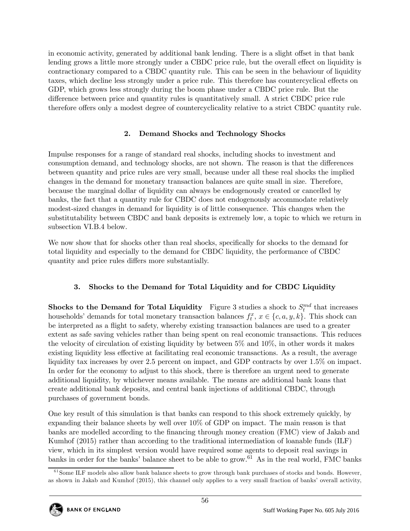in economic activity, generated by additional bank lending. There is a slight offset in that bank lending grows a little more strongly under a CBDC price rule, but the overall effect on liquidity is contractionary compared to a CBDC quantity rule. This can be seen in the behaviour of liquidity taxes, which decline less strongly under a price rule. This therefore has countercyclical effects on GDP, which grows less strongly during the boom phase under a CBDC price rule. But the difference between price and quantity rules is quantitatively small. A strict CBDC price rule therefore offers only a modest degree of countercyclicality relative to a strict CBDC quantity rule.

### 2. Demand Shocks and Technology Shocks

Impulse responses for a range of standard real shocks, including shocks to investment and consumption demand, and technology shocks, are not shown. The reason is that the differences between quantity and price rules are very small, because under all these real shocks the implied changes in the demand for monetary transaction balances are quite small in size. Therefore, because the marginal dollar of liquidity can always be endogenously created or cancelled by banks, the fact that a quantity rule for CBDC does not endogenously accommodate relatively modest-sized changes in demand for liquidity is of little consequence. This changes when the substitutability between CBDC and bank deposits is extremely low, a topic to which we return in subsection VI.B.4 below.

We now show that for shocks other than real shocks, specifically for shocks to the demand for total liquidity and especially to the demand for CBDC liquidity, the performance of CBDC quantity and price rules differs more substantially.

### 3. Shocks to the Demand for Total Liquidity and for CBDC Liquidity

**Shocks to the Demand for Total Liquidity** Figure 3 studies a shock to  $S_t^{md}$  that increases households' demands for total monetary transaction balances  $f_t^x$ ,  $x \in \{c, a, y, k\}$ . This shock can be interpreted as a flight to safety, whereby existing transaction balances are used to a greater extent as safe saving vehicles rather than being spent on real economic transactions. This reduces the velocity of circulation of existing liquidity by between 5% and 10%, in other words it makes existing liquidity less effective at facilitating real economic transactions. As a result, the average liquidity tax increases by over 2.5 percent on impact, and GDP contracts by over 1.5% on impact. In order for the economy to adjust to this shock, there is therefore an urgent need to generate additional liquidity, by whichever means available. The means are additional bank loans that create additional bank deposits, and central bank injections of additional CBDC, through purchases of government bonds.

One key result of this simulation is that banks can respond to this shock extremely quickly, by expanding their balance sheets by well over 10% of GDP on impact. The main reason is that banks are modelled according to the financing through money creation (FMC) view of Jakab and Kumhof (2015) rather than according to the traditional intermediation of loanable funds (ILF) view, which in its simplest version would have required some agents to deposit real savings in banks in order for the banks' balance sheet to be able to grow.<sup>61</sup> As in the real world, FMC banks

 $61$  Some ILF models also allow bank balance sheets to grow through bank purchases of stocks and bonds. However, as shown in Jakab and Kumhof (2015), this channel only applies to a very small fraction of banks' overall activity,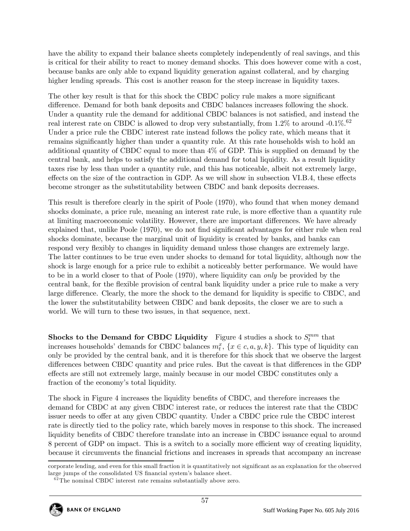have the ability to expand their balance sheets completely independently of real savings, and this is critical for their ability to react to money demand shocks. This does however come with a cost, because banks are only able to expand liquidity generation against collateral, and by charging higher lending spreads. This cost is another reason for the steep increase in liquidity taxes.

The other key result is that for this shock the CBDC policy rule makes a more significant difference. Demand for both bank deposits and CBDC balances increases following the shock. Under a quantity rule the demand for additional CBDC balances is not satisfied, and instead the real interest rate on CBDC is allowed to drop very substantially, from 1.2% to around -0.1%.<sup>62</sup> Under a price rule the CBDC interest rate instead follows the policy rate, which means that it remains significantly higher than under a quantity rule. At this rate households wish to hold an additional quantity of CBDC equal to more than 4% of GDP. This is supplied on demand by the central bank, and helps to satisfy the additional demand for total liquidity. As a result liquidity taxes rise by less than under a quantity rule, and this has noticeable, albeit not extremely large, effects on the size of the contraction in GDP. As we will show in subsection VI.B.4, these effects become stronger as the substitutability between CBDC and bank deposits decreases.

This result is therefore clearly in the spirit of Poole (1970), who found that when money demand shocks dominate, a price rule, meaning an interest rate rule, is more effective than a quantity rule at limiting macroeconomic volatility. However, there are important differences. We have already explained that, unlike Poole (1970), we do not find significant advantages for either rule when real shocks dominate, because the marginal unit of liquidity is created by banks, and banks can respond very flexibly to changes in liquidity demand unless those changes are extremely large. The latter continues to be true even under shocks to demand for total liquidity, although now the shock is large enough for a price rule to exhibit a noticeably better performance. We would have to be in a world closer to that of Poole (1970), where liquidity can only be provided by the central bank, for the flexible provision of central bank liquidity under a price rule to make a very large difference. Clearly, the more the shock to the demand for liquidity is specific to CBDC, and the lower the substitutability between CBDC and bank deposits, the closer we are to such a world. We will turn to these two issues, in that sequence, next.

**Shocks to the Demand for CBDC Liquidity** Figure 4 studies a shock to  $S_t^{mm}$  that increases households' demands for CBDC balances  $m_t^x$ ,  $\{x \in c, a, y, k\}$ . This type of liquidity can only be provided by the central bank, and it is therefore for this shock that we observe the largest differences between CBDC quantity and price rules. But the caveat is that differences in the GDP effects are still not extremely large, mainly because in our model CBDC constitutes only a fraction of the economy's total liquidity.

The shock in Figure 4 increases the liquidity benefits of CBDC, and therefore increases the demand for CBDC at any given CBDC interest rate, or reduces the interest rate that the CBDC issuer needs to offer at any given CBDC quantity. Under a CBDC price rule the CBDC interest rate is directly tied to the policy rate, which barely moves in response to this shock. The increased liquidity benefits of CBDC therefore translate into an increase in CBDC issuance equal to around 8 percent of GDP on impact. This is a switch to a socially more efficient way of creating liquidity, because it circumvents the financial frictions and increases in spreads that accompany an increase

corporate lending, and even for this small fraction it is quantitatively not significant as an explanation for the observed large jumps of the consolidated US financial system's balance sheet.

 $62$ The nominal CBDC interest rate remains substantially above zero.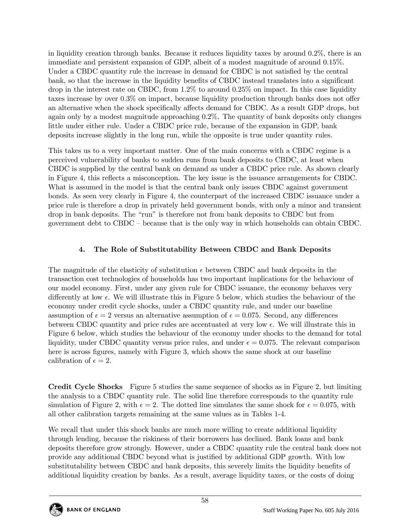in liquidity creation through banks. Because it reduces liquidity taxes by around 0.2%, there is an immediate and persistent expansion of GDP, albeit of a modest magnitude of around 0.15%. Under a CBDC quantity rule the increase in demand for CBDC is not satisfied by the central bank, so that the increase in the liquidity benefits of CBDC instead translates into a significant drop in the interest rate on CBDC, from 1.2% to around 0.25% on impact. In this case liquidity taxes increase by over 0.3% on impact, because liquidity production through banks does not offer an alternative when the shock specifically affects demand for CBDC. As a result GDP drops, but again only by a modest magnitude approaching 0.2%. The quantity of bank deposits only changes little under either rule. Under a CBDC price rule, because of the expansion in GDP, bank deposits increase slightly in the long run, while the opposite is true under quantity rules.

This takes us to a very important matter. One of the main concerns with a CBDC regime is a perceived vulnerability of banks to sudden runs from bank deposits to CBDC, at least when CBDC is supplied by the central bank on demand as under a CBDC price rule. As shown clearly in Figure 4, this reflects a misconception. The key issue is the issuance arrangements for CBDC. What is assumed in the model is that the central bank only issues CBDC against government bonds. As seen very clearly in Figure 4, the counterpart of the increased CBDC issuance under a price rule is therefore a drop in privately held government bonds, with only a minor and transient drop in bank deposits. The "run" is therefore not from bank deposits to CBDC but from government debt to CBDC — because that is the only way in which households can obtain CBDC.

## 4. The Role of Substitutability Between CBDC and Bank Deposits

The magnitude of the elasticity of substitution  $\epsilon$  between CBDC and bank deposits in the transaction cost technologies of households has two important implications for the behaviour of our model economy. First, under any given rule for CBDC issuance, the economy behaves very differently at low  $\epsilon$ . We will illustrate this in Figure 5 below, which studies the behaviour of the economy under credit cycle shocks, under a CBDC quantity rule, and under our baseline assumption of  $\epsilon = 2$  versus an alternative assumption of  $\epsilon = 0.075$ . Second, any differences between CBDC quantity and price rules are accentuated at very low  $\epsilon$ . We will illustrate this in Figure 6 below, which studies the behaviour of the economy under shocks to the demand for total liquidity, under CBDC quantity versus price rules, and under  $\epsilon = 0.075$ . The relevant comparison here is across figures, namely with Figure 3, which shows the same shock at our baseline calibration of  $\epsilon = 2$ .

Credit Cycle Shocks Figure 5 studies the same sequence of shocks as in Figure 2, but limiting the analysis to a CBDC quantity rule. The solid line therefore corresponds to the quantity rule simulation of Figure 2, with  $\epsilon = 2$ . The dotted line simulates the same shock for  $\epsilon = 0.075$ , with all other calibration targets remaining at the same values as in Tables 1-4.

We recall that under this shock banks are much more willing to create additional liquidity through lending, because the riskiness of their borrowers has declined. Bank loans and bank deposits therefore grow strongly. However, under a CBDC quantity rule the central bank does not provide any additional CBDC beyond what is justified by additional GDP growth. With low substitutability between CBDC and bank deposits, this severely limits the liquidity benefits of additional liquidity creation by banks. As a result, average liquidity taxes, or the costs of doing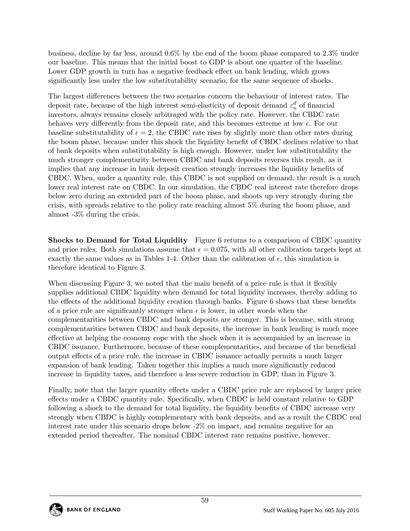business, decline by far less, around 0.6% by the end of the boom phase compared to 2.3% under our baseline. This means that the initial boost to GDP is about one quarter of the baseline. Lower GDP growth in turn has a negative feedback effect on bank lending, which grows significantly less under the low substitutability scenario, for the same sequence of shocks.

The largest differences between the two scenarios concern the behaviour of interest rates. The deposit rate, because of the high interest semi-elasticity of deposit demand  $\varepsilon_u^d$  of financial investors, always remains closely arbitraged with the policy rate. However, the CBDC rate behaves very differently from the deposit rate, and this becomes extreme at low  $\epsilon$ . For our baseline substitutability of  $\epsilon = 2$ , the CBDC rate rises by slightly more than other rates during the boom phase, because under this shock the liquidity benefit of CBDC declines relative to that of bank deposits when substitutability is high enough. However, under low substitutability the much stronger complementarity between CBDC and bank deposits reverses this result, as it implies that any increase in bank deposit creation strongly increases the liquidity benefits of CBDC. When, under a quantity rule, this CBDC is not supplied on demand, the result is a much lower real interest rate on CBDC. In our simulation, the CBDC real interest rate therefore drops below zero during an extended part of the boom phase, and shoots up very strongly during the crisis, with spreads relative to the policy rate reaching almost 5% during the boom phase, and almost -3% during the crisis.

Shocks to Demand for Total Liquidity Figure 6 returns to a comparison of CBDC quantity and price rules. Both simulations assume that  $\epsilon = 0.075$ , with all other calibration targets kept at exactly the same values as in Tables 1-4. Other than the calibration of  $\epsilon$ , this simulation is therefore identical to Figure 3.

When discussing Figure 3, we noted that the main benefit of a price rule is that it flexibly supplies additional CBDC liquidity when demand for total liquidity increases, thereby adding to the effects of the additional liquidity creation through banks. Figure 6 shows that these benefits of a price rule are significantly stronger when  $\epsilon$  is lower, in other words when the complementarities between CBDC and bank deposits are stronger. This is because, with strong complementarities between CBDC and bank deposits, the increase in bank lending is much more effective at helping the economy cope with the shock when it is accompanied by an increase in CBDC issuance. Furthermore, because of these complementarities, and because of the beneficial output effects of a price rule, the increase in CBDC issuance actually permits a much larger expansion of bank lending. Taken together this implies a much more significantly reduced increase in liquidity taxes, and therefore a less severe reduction in GDP, than in Figure 3.

Finally, note that the larger quantity effects under a CBDC price rule are replaced by larger price effects under a CBDC quantity rule. Specifically, when CBDC is held constant relative to GDP following a shock to the demand for total liquidity, the liquidity benefits of CBDC increase very strongly when CBDC is highly complementary with bank deposits, and as a result the CBDC real interest rate under this scenario drops below -2% on impact, and remains negative for an extended period thereafter. The nominal CBDC interest rate remains positive, however.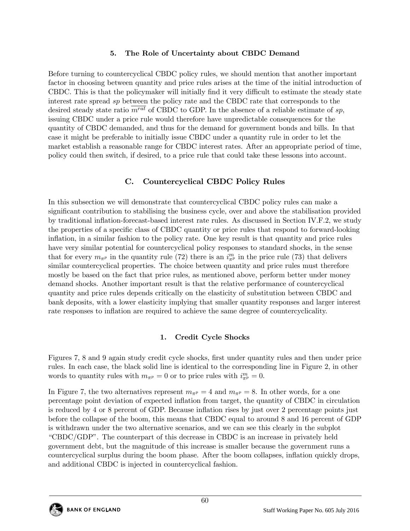### 5. The Role of Uncertainty about CBDC Demand

Before turning to countercyclical CBDC policy rules, we should mention that another important factor in choosing between quantity and price rules arises at the time of the initial introduction of CBDC. This is that the policymaker will initially find it very difficult to estimate the steady state interest rate spread sp between the policy rate and the CBDC rate that corresponds to the desired steady state ratio  $\overline{m^{rat}}$  of CBDC to GDP. In the absence of a reliable estimate of sp, issuing CBDC under a price rule would therefore have unpredictable consequences for the quantity of CBDC demanded, and thus for the demand for government bonds and bills. In that case it might be preferable to initially issue CBDC under a quantity rule in order to let the market establish a reasonable range for CBDC interest rates. After an appropriate period of time, policy could then switch, if desired, to a price rule that could take these lessons into account.

## C. Countercyclical CBDC Policy Rules

In this subsection we will demonstrate that countercyclical CBDC policy rules can make a significant contribution to stabilising the business cycle, over and above the stabilisation provided by traditional inflation-forecast-based interest rate rules. As discussed in Section IV.F.2, we study the properties of a specific class of CBDC quantity or price rules that respond to forward-looking inflation, in a similar fashion to the policy rate. One key result is that quantity and price rules have very similar potential for countercyclical policy responses to standard shocks, in the sense that for every  $m_{\pi^p}$  in the quantity rule (72) there is an  $i^m_{\pi^p}$  in the price rule (73) that delivers similar countercyclical properties. The choice between quantity and price rules must therefore mostly be based on the fact that price rules, as mentioned above, perform better under money demand shocks. Another important result is that the relative performance of countercyclical quantity and price rules depends critically on the elasticity of substitution between CBDC and bank deposits, with a lower elasticity implying that smaller quantity responses and larger interest rate responses to inflation are required to achieve the same degree of countercyclicality.

### 1. Credit Cycle Shocks

Figures 7, 8 and 9 again study credit cycle shocks, first under quantity rules and then under price rules. In each case, the black solid line is identical to the corresponding line in Figure 2, in other words to quantity rules with  $m_{\pi^p} = 0$  or to price rules with  $i_{\pi^p}^m = 0$ .

In Figure 7, the two alternatives represent  $m_{\pi P} = 4$  and  $m_{\pi P} = 8$ . In other words, for a one percentage point deviation of expected inflation from target, the quantity of CBDC in circulation is reduced by 4 or 8 percent of GDP. Because inflation rises by just over 2 percentage points just before the collapse of the boom, this means that CBDC equal to around 8 and 16 percent of GDP is withdrawn under the two alternative scenarios, and we can see this clearly in the subplot "CBDC/GDP". The counterpart of this decrease in CBDC is an increase in privately held government debt, but the magnitude of this increase is smaller because the government runs a countercyclical surplus during the boom phase. After the boom collapses, inflation quickly drops, and additional CBDC is injected in countercyclical fashion.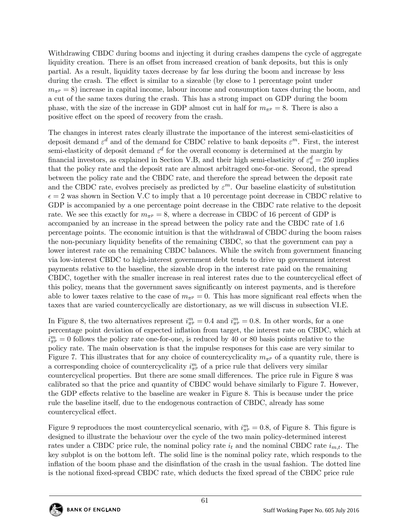Withdrawing CBDC during booms and injecting it during crashes dampens the cycle of aggregate liquidity creation. There is an offset from increased creation of bank deposits, but this is only partial. As a result, liquidity taxes decrease by far less during the boom and increase by less during the crash. The effect is similar to a sizeable (by close to 1 percentage point under  $m_{\pi P} = 8$ ) increase in capital income, labour income and consumption taxes during the boom, and a cut of the same taxes during the crash. This has a strong impact on GDP during the boom phase, with the size of the increase in GDP almost cut in half for  $m_{\pi^p} = 8$ . There is also a positive effect on the speed of recovery from the crash.

The changes in interest rates clearly illustrate the importance of the interest semi-elasticities of deposit demand  $\varepsilon^d$  and of the demand for CBDC relative to bank deposits  $\varepsilon^m$ . First, the interest semi-elasticity of deposit demand  $\varepsilon^d$  for the overall economy is determined at the margin by financial investors, as explained in Section V.B, and their high semi-elasticity of  $\varepsilon_u^d = 250$  implies that the policy rate and the deposit rate are almost arbitraged one-for-one. Second, the spread between the policy rate and the CBDC rate, and therefore the spread between the deposit rate and the CBDC rate, evolves precisely as predicted by  $\varepsilon^m$ . Our baseline elasticity of substitution  $\epsilon = 2$  was shown in Section V.C to imply that a 10 percentage point decrease in CBDC relative to GDP is accompanied by a one percentage point decrease in the CBDC rate relative to the deposit rate. We see this exactly for  $m_{\pi^p} = 8$ , where a decrease in CBDC of 16 percent of GDP is accompanied by an increase in the spread between the policy rate and the CBDC rate of 1.6 percentage points. The economic intuition is that the withdrawal of CBDC during the boom raises the non-pecuniary liquidity benefits of the remaining CBDC, so that the government can pay a lower interest rate on the remaining CBDC balances. While the switch from government financing via low-interest CBDC to high-interest government debt tends to drive up government interest payments relative to the baseline, the sizeable drop in the interest rate paid on the remaining CBDC, together with the smaller increase in real interest rates due to the countercyclical effect of this policy, means that the government saves significantly on interest payments, and is therefore able to lower taxes relative to the case of  $m_{\pi^p} = 0$ . This has more significant real effects when the taxes that are varied countercyclically are distortionary, as we will discuss in subsection VI.E.

In Figure 8, the two alternatives represent  $i_{\pi p}^m = 0.4$  and  $i_{\pi p}^m = 0.8$ . In other words, for a one percentage point deviation of expected inflation from target, the interest rate on CBDC, which at  $i_{\pi p}^m = 0$  follows the policy rate one-for-one, is reduced by 40 or 80 basis points relative to the policy rate. The main observation is that the impulse responses for this case are very similar to Figure 7. This illustrates that for any choice of countercyclicality  $m_{\pi^p}$  of a quantity rule, there is a corresponding choice of countercyclicality  $i_{\pi^p}^m$  of a price rule that delivers very similar countercyclical properties. But there are some small differences. The price rule in Figure 8 was calibrated so that the price and quantity of CBDC would behave similarly to Figure 7. However, the GDP effects relative to the baseline are weaker in Figure 8. This is because under the price rule the baseline itself, due to the endogenous contraction of CBDC, already has some countercyclical effect.

Figure 9 reproduces the most countercyclical scenario, with  $i^m_{\pi^p} = 0.8$ , of Figure 8. This figure is designed to illustrate the behaviour over the cycle of the two main policy-determined interest rates under a CBDC price rule, the nominal policy rate  $i_t$  and the nominal CBDC rate  $i_{m,t}$ . The key subplot is on the bottom left. The solid line is the nominal policy rate, which responds to the inflation of the boom phase and the disinflation of the crash in the usual fashion. The dotted line is the notional fixed-spread CBDC rate, which deducts the fixed spread of the CBDC price rule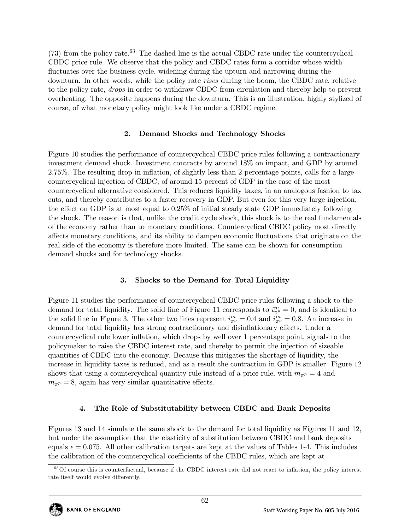$(73)$  from the policy rate.<sup>63</sup> The dashed line is the actual CBDC rate under the countercyclical CBDC price rule. We observe that the policy and CBDC rates form a corridor whose width fluctuates over the business cycle, widening during the upturn and narrowing during the downturn. In other words, while the policy rate rises during the boom, the CBDC rate, relative to the policy rate, drops in order to withdraw CBDC from circulation and thereby help to prevent overheating. The opposite happens during the downturn. This is an illustration, highly stylized of course, of what monetary policy might look like under a CBDC regime.

### 2. Demand Shocks and Technology Shocks

Figure 10 studies the performance of countercyclical CBDC price rules following a contractionary investment demand shock. Investment contracts by around 18% on impact, and GDP by around 2.75%. The resulting drop in inflation, of slightly less than 2 percentage points, calls for a large countercyclical injection of CBDC, of around 15 percent of GDP in the case of the most countercyclical alternative considered. This reduces liquidity taxes, in an analogous fashion to tax cuts, and thereby contributes to a faster recovery in GDP. But even for this very large injection, the effect on GDP is at most equal to 0.25% of initial steady state GDP immediately following the shock. The reason is that, unlike the credit cycle shock, this shock is to the real fundamentals of the economy rather than to monetary conditions. Countercyclical CBDC policy most directly affects monetary conditions, and its ability to dampen economic fluctuations that originate on the real side of the economy is therefore more limited. The same can be shown for consumption demand shocks and for technology shocks.

### 3. Shocks to the Demand for Total Liquidity

Figure 11 studies the performance of countercyclical CBDC price rules following a shock to the demand for total liquidity. The solid line of Figure 11 corresponds to  $i^m_{\pi^p} = 0$ , and is identical to the solid line in Figure 3. The other two lines represent  $i_{\pi p}^m = 0.4$  and  $i_{\pi p}^m = 0.8$ . An increase in demand for total liquidity has strong contractionary and disinflationary effects. Under a countercyclical rule lower inflation, which drops by well over 1 percentage point, signals to the policymaker to raise the CBDC interest rate, and thereby to permit the injection of sizeable quantities of CBDC into the economy. Because this mitigates the shortage of liquidity, the increase in liquidity taxes is reduced, and as a result the contraction in GDP is smaller. Figure 12 shows that using a countercyclical quantity rule instead of a price rule, with  $m_{\pi} = 4$  and  $m_{\pi^p} = 8$ , again has very similar quantitative effects.

### 4. The Role of Substitutability between CBDC and Bank Deposits

Figures 13 and 14 simulate the same shock to the demand for total liquidity as Figures 11 and 12, but under the assumption that the elasticity of substitution between CBDC and bank deposits equals  $\epsilon = 0.075$ . All other calibration targets are kept at the values of Tables 1-4. This includes the calibration of the countercyclical coefficients of the CBDC rules, which are kept at

 $63$  Of course this is counterfactual, because if the CBDC interest rate did not react to inflation, the policy interest rate itself would evolve differently.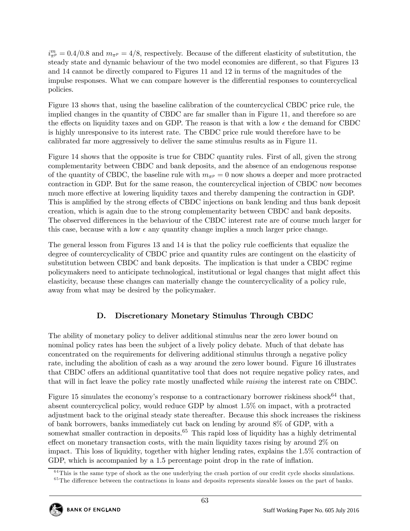$i^m_{\pi^p} = 0.4/0.8$  and  $m_{\pi^p} = 4/8$ , respectively. Because of the different elasticity of substitution, the steady state and dynamic behaviour of the two model economies are different, so that Figures 13 and 14 cannot be directly compared to Figures 11 and 12 in terms of the magnitudes of the impulse responses. What we can compare however is the differential responses to countercyclical policies.

Figure 13 shows that, using the baseline calibration of the countercyclical CBDC price rule, the implied changes in the quantity of CBDC are far smaller than in Figure 11, and therefore so are the effects on liquidity taxes and on GDP. The reason is that with a low  $\epsilon$  the demand for CBDC is highly unresponsive to its interest rate. The CBDC price rule would therefore have to be calibrated far more aggressively to deliver the same stimulus results as in Figure 11.

Figure 14 shows that the opposite is true for CBDC quantity rules. First of all, given the strong complementarity between CBDC and bank deposits, and the absence of an endogenous response of the quantity of CBDC, the baseline rule with  $m_{\pi P} = 0$  now shows a deeper and more protracted contraction in GDP. But for the same reason, the countercyclical injection of CBDC now becomes much more effective at lowering liquidity taxes and thereby dampening the contraction in GDP. This is amplified by the strong effects of CBDC injections on bank lending and thus bank deposit creation, which is again due to the strong complementarity between CBDC and bank deposits. The observed differences in the behaviour of the CBDC interest rate are of course much larger for this case, because with a low  $\epsilon$  any quantity change implies a much larger price change.

The general lesson from Figures 13 and 14 is that the policy rule coefficients that equalize the degree of countercyclicality of CBDC price and quantity rules are contingent on the elasticity of substitution between CBDC and bank deposits. The implication is that under a CBDC regime policymakers need to anticipate technological, institutional or legal changes that might affect this elasticity, because these changes can materially change the countercyclicality of a policy rule, away from what may be desired by the policymaker.

## D. Discretionary Monetary Stimulus Through CBDC

The ability of monetary policy to deliver additional stimulus near the zero lower bound on nominal policy rates has been the subject of a lively policy debate. Much of that debate has concentrated on the requirements for delivering additional stimulus through a negative policy rate, including the abolition of cash as a way around the zero lower bound. Figure 16 illustrates that CBDC offers an additional quantitative tool that does not require negative policy rates, and that will in fact leave the policy rate mostly unaffected while raising the interest rate on CBDC.

Figure 15 simulates the economy's response to a contractionary borrower riskiness shock $^{64}$  that, absent countercyclical policy, would reduce GDP by almost 1.5% on impact, with a protracted adjustment back to the original steady state thereafter. Because this shock increases the riskiness of bank borrowers, banks immediately cut back on lending by around 8% of GDP, with a somewhat smaller contraction in deposits.<sup>65</sup> This rapid loss of liquidity has a highly detrimental effect on monetary transaction costs, with the main liquidity taxes rising by around 2% on impact. This loss of liquidity, together with higher lending rates, explains the 1.5% contraction of GDP, which is accompanied by a 1.5 percentage point drop in the rate of inflation.

 $64$ This is the same type of shock as the one underlying the crash portion of our credit cycle shocks simulations.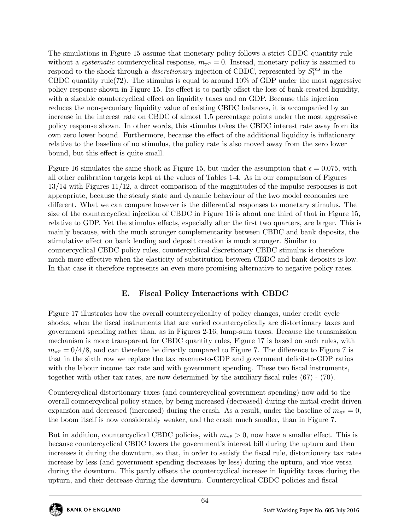The simulations in Figure 15 assume that monetary policy follows a strict CBDC quantity rule without a *systematic* countercyclical response,  $m_{\pi^p} = 0$ . Instead, monetary policy is assumed to respond to the shock through a *discretionary* injection of CBDC, represented by  $S_t^{ms}$  in the CBDC quantity rule(72). The stimulus is equal to around 10% of GDP under the most aggressive policy response shown in Figure 15. Its effect is to partly offset the loss of bank-created liquidity, with a sizeable countercyclical effect on liquidity taxes and on GDP. Because this injection reduces the non-pecuniary liquidity value of existing CBDC balances, it is accompanied by an increase in the interest rate on CBDC of almost 1.5 percentage points under the most aggressive policy response shown. In other words, this stimulus takes the CBDC interest rate away from its own zero lower bound. Furthermore, because the effect of the additional liquidity is inflationary relative to the baseline of no stimulus, the policy rate is also moved away from the zero lower bound, but this effect is quite small.

Figure 16 simulates the same shock as Figure 15, but under the assumption that  $\epsilon = 0.075$ , with all other calibration targets kept at the values of Tables 1-4. As in our comparison of Figures 13/14 with Figures 11/12, a direct comparison of the magnitudes of the impulse responses is not appropriate, because the steady state and dynamic behaviour of the two model economies are different. What we can compare however is the differential responses to monetary stimulus. The size of the countercyclical injection of CBDC in Figure 16 is about one third of that in Figure 15, relative to GDP. Yet the stimulus effects, especially after the first two quarters, are larger. This is mainly because, with the much stronger complementarity between CBDC and bank deposits, the stimulative effect on bank lending and deposit creation is much stronger. Similar to countercyclical CBDC policy rules, countercyclical discretionary CBDC stimulus is therefore much more effective when the elasticity of substitution between CBDC and bank deposits is low. In that case it therefore represents an even more promising alternative to negative policy rates.

## E. Fiscal Policy Interactions with CBDC

Figure 17 illustrates how the overall countercyclicality of policy changes, under credit cycle shocks, when the fiscal instruments that are varied countercyclically are distortionary taxes and government spending rather than, as in Figures 2-16, lump-sum taxes. Because the transmission mechanism is more transparent for CBDC quantity rules, Figure 17 is based on such rules, with  $m_{\pi^p} = 0/4/8$ , and can therefore be directly compared to Figure 7. The difference to Figure 7 is that in the sixth row we replace the tax revenue-to-GDP and government deficit-to-GDP ratios with the labour income tax rate and with government spending. These two fiscal instruments, together with other tax rates, are now determined by the auxiliary fiscal rules (67) - (70).

Countercyclical distortionary taxes (and countercyclical government spending) now add to the overall countercyclical policy stance, by being increased (decreased) during the initial credit-driven expansion and decreased (increased) during the crash. As a result, under the baseline of  $m_{\pi^p} = 0$ , the boom itself is now considerably weaker, and the crash much smaller, than in Figure 7.

But in addition, countercyclical CBDC policies, with  $m_{\pi P} > 0$ , now have a smaller effect. This is because countercyclical CBDC lowers the government's interest bill during the upturn and then increases it during the downturn, so that, in order to satisfy the fiscal rule, distortionary tax rates increase by less (and government spending decreases by less) during the upturn, and vice versa during the downturn. This partly offsets the countercyclical increase in liquidity taxes during the upturn, and their decrease during the downturn. Countercyclical CBDC policies and fiscal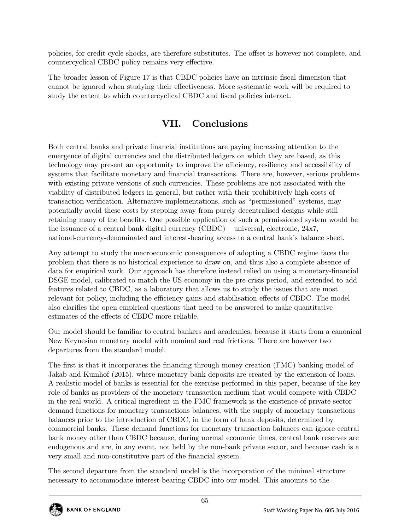policies, for credit cycle shocks, are therefore substitutes. The offset is however not complete, and countercyclical CBDC policy remains very effective.

The broader lesson of Figure 17 is that CBDC policies have an intrinsic fiscal dimension that cannot be ignored when studying their effectiveness. More systematic work will be required to study the extent to which countercyclical CBDC and fiscal policies interact.

# VII. Conclusions

Both central banks and private financial institutions are paying increasing attention to the emergence of digital currencies and the distributed ledgers on which they are based, as this technology may present an opportunity to improve the efficiency, resiliency and accessibility of systems that facilitate monetary and financial transactions. There are, however, serious problems with existing private versions of such currencies. These problems are not associated with the viability of distributed ledgers in general, but rather with their prohibitively high costs of transaction verification. Alternative implementations, such as "permissioned" systems, may potentially avoid these costs by stepping away from purely decentralised designs while still retaining many of the benefits. One possible application of such a permissioned system would be the issuance of a central bank digital currency (CBDC) — universal, electronic, 24x7, national-currency-denominated and interest-bearing access to a central bank's balance sheet.

Any attempt to study the macroeconomic consequences of adopting a CBDC regime faces the problem that there is no historical experience to draw on, and thus also a complete absence of data for empirical work. Our approach has therefore instead relied on using a monetary-financial DSGE model, calibrated to match the US economy in the pre-crisis period, and extended to add features related to CBDC, as a laboratory that allows us to study the issues that are most relevant for policy, including the efficiency gains and stabilisation effects of CBDC. The model also clarifies the open empirical questions that need to be answered to make quantitative estimates of the effects of CBDC more reliable.

Our model should be familiar to central bankers and academics, because it starts from a canonical New Keynesian monetary model with nominal and real frictions. There are however two departures from the standard model.

The first is that it incorporates the financing through money creation (FMC) banking model of Jakab and Kumhof (2015), where monetary bank deposits are created by the extension of loans. A realistic model of banks is essential for the exercise performed in this paper, because of the key role of banks as providers of the monetary transaction medium that would compete with CBDC in the real world. A critical ingredient in the FMC framework is the existence of private-sector demand functions for monetary transactions balances, with the supply of monetary transactions balances prior to the introduction of CBDC, in the form of bank deposits, determined by commercial banks. These demand functions for monetary transaction balances can ignore central bank money other than CBDC because, during normal economic times, central bank reserves are endogenous and are, in any event, not held by the non-bank private sector, and because cash is a very small and non-constitutive part of the financial system.

The second departure from the standard model is the incorporation of the minimal structure necessary to accommodate interest-bearing CBDC into our model. This amounts to the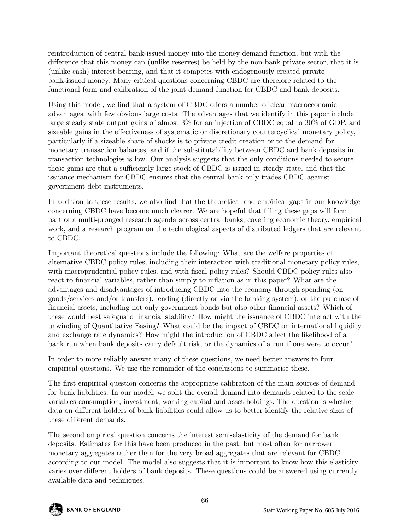reintroduction of central bank-issued money into the money demand function, but with the difference that this money can (unlike reserves) be held by the non-bank private sector, that it is (unlike cash) interest-bearing, and that it competes with endogenously created private bank-issued money. Many critical questions concerning CBDC are therefore related to the functional form and calibration of the joint demand function for CBDC and bank deposits.

Using this model, we find that a system of CBDC offers a number of clear macroeconomic advantages, with few obvious large costs. The advantages that we identify in this paper include large steady state output gains of almost 3% for an injection of CBDC equal to 30% of GDP, and sizeable gains in the effectiveness of systematic or discretionary countercyclical monetary policy, particularly if a sizeable share of shocks is to private credit creation or to the demand for monetary transaction balances, and if the substitutability between CBDC and bank deposits in transaction technologies is low. Our analysis suggests that the only conditions needed to secure these gains are that a sufficiently large stock of CBDC is issued in steady state, and that the issuance mechanism for CBDC ensures that the central bank only trades CBDC against government debt instruments.

In addition to these results, we also find that the theoretical and empirical gaps in our knowledge concerning CBDC have become much clearer. We are hopeful that filling these gaps will form part of a multi-pronged research agenda across central banks, covering economic theory, empirical work, and a research program on the technological aspects of distributed ledgers that are relevant to CBDC.

Important theoretical questions include the following: What are the welfare properties of alternative CBDC policy rules, including their interaction with traditional monetary policy rules, with macroprudential policy rules, and with fiscal policy rules? Should CBDC policy rules also react to financial variables, rather than simply to inflation as in this paper? What are the advantages and disadvantages of introducing CBDC into the economy through spending (on goods/services and/or transfers), lending (directly or via the banking system), or the purchase of financial assets, including not only government bonds but also other financial assets? Which of these would best safeguard financial stability? How might the issuance of CBDC interact with the unwinding of Quantitative Easing? What could be the impact of CBDC on international liquidity and exchange rate dynamics? How might the introduction of CBDC affect the likelihood of a bank run when bank deposits carry default risk, or the dynamics of a run if one were to occur?

In order to more reliably answer many of these questions, we need better answers to four empirical questions. We use the remainder of the conclusions to summarise these.

The first empirical question concerns the appropriate calibration of the main sources of demand for bank liabilities. In our model, we split the overall demand into demands related to the scale variables consumption, investment, working capital and asset holdings. The question is whether data on different holders of bank liabilities could allow us to better identify the relative sizes of these different demands.

The second empirical question concerns the interest semi-elasticity of the demand for bank deposits. Estimates for this have been produced in the past, but most often for narrower monetary aggregates rather than for the very broad aggregates that are relevant for CBDC according to our model. The model also suggests that it is important to know how this elasticity varies over different holders of bank deposits. These questions could be answered using currently available data and techniques.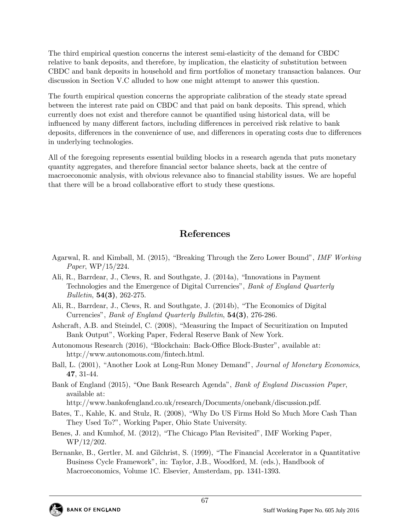The third empirical question concerns the interest semi-elasticity of the demand for CBDC relative to bank deposits, and therefore, by implication, the elasticity of substitution between CBDC and bank deposits in household and firm portfolios of monetary transaction balances. Our discussion in Section V.C alluded to how one might attempt to answer this question.

The fourth empirical question concerns the appropriate calibration of the steady state spread between the interest rate paid on CBDC and that paid on bank deposits. This spread, which currently does not exist and therefore cannot be quantified using historical data, will be influenced by many different factors, including differences in perceived risk relative to bank deposits, differences in the convenience of use, and differences in operating costs due to differences in underlying technologies.

All of the foregoing represents essential building blocks in a research agenda that puts monetary quantity aggregates, and therefore financial sector balance sheets, back at the centre of macroeconomic analysis, with obvious relevance also to financial stability issues. We are hopeful that there will be a broad collaborative effort to study these questions.

# References

- Agarwal, R. and Kimball, M. (2015), "Breaking Through the Zero Lower Bound", IMF Working Paper, WP/15/224.
- Ali, R., Barrdear, J., Clews, R. and Southgate, J. (2014a), "Innovations in Payment Technologies and the Emergence of Digital Currencies", Bank of England Quarterly Bulletin,  $54(3)$ , 262-275.
- Ali, R., Barrdear, J., Clews, R. and Southgate, J. (2014b), "The Economics of Digital Currencies", Bank of England Quarterly Bulletin, 54(3), 276-286.
- Ashcraft, A.B. and Steindel, C. (2008), "Measuring the Impact of Securitization on Imputed Bank Output", Working Paper, Federal Reserve Bank of New York.
- Autonomous Research (2016), "Blockchain: Back-Office Block-Buster", available at: http://www.autonomous.com/fintech.html.
- Ball, L. (2001), "Another Look at Long-Run Money Demand", Journal of Monetary Economics, 47, 31-44.
- Bank of England (2015), "One Bank Research Agenda", Bank of England Discussion Paper, available at:

http://www.bankofengland.co.uk/research/Documents/onebank/discussion.pdf.

- Bates, T., Kahle, K. and Stulz, R. (2008), "Why Do US Firms Hold So Much More Cash Than They Used To?", Working Paper, Ohio State University.
- Benes, J. and Kumhof, M. (2012), "The Chicago Plan Revisited", IMF Working Paper, WP/12/202.
- Bernanke, B., Gertler, M. and Gilchrist, S. (1999), "The Financial Accelerator in a Quantitative Business Cycle Framework", in: Taylor, J.B., Woodford, M. (eds.), Handbook of Macroeconomics, Volume 1C. Elsevier, Amsterdam, pp. 1341-1393.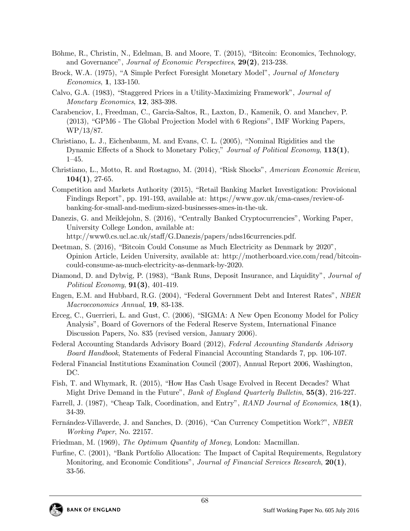- Böhme, R., Christin, N., Edelman, B. and Moore, T. (2015), "Bitcoin: Economics, Technology, and Governance", Journal of Economic Perspectives, 29(2), 213-238.
- Brock, W.A. (1975), "A Simple Perfect Foresight Monetary Model", Journal of Monetary Economics, 1, 133-150.
- Calvo, G.A. (1983), "Staggered Prices in a Utility-Maximizing Framework", Journal of Monetary Economics, **12**, 383-398.
- Carabenciov, I., Freedman, C., Garcia-Saltos, R., Laxton, D., Kamenik, O. and Manchev, P. (2013), "GPM6 - The Global Projection Model with 6 Regions", IMF Working Papers, WP/13/87.
- Christiano, L. J., Eichenbaum, M. and Evans, C. L. (2005), "Nominal Rigidities and the Dynamic Effects of a Shock to Monetary Policy," Journal of Political Economy, 113(1), 1—45.
- Christiano, L., Motto, R. and Rostagno, M. (2014), "Risk Shocks", American Economic Review,  $104(1), 27-65.$
- Competition and Markets Authority (2015), "Retail Banking Market Investigation: Provisional Findings Report", pp. 191-193, available at: https://www.gov.uk/cma-cases/review-ofbanking-for-small-and-medium-sized-businesses-smes-in-the-uk.
- Danezis, G. and Meiklejohn, S. (2016), "Centrally Banked Cryptocurrencies", Working Paper, University College London, available at: http://www0.cs.ucl.ac.uk/staff/G.Danezis/papers/ndss16currencies.pdf.
- Deetman, S. (2016), "Bitcoin Could Consume as Much Electricity as Denmark by 2020", Opinion Article, Leiden University, available at: http://motherboard.vice.com/read/bitcoincould-consume-as-much-electricity-as-denmark-by-2020.
- Diamond, D. and Dybvig, P. (1983), "Bank Runs, Deposit Insurance, and Liquidity", *Journal of* Political Economy, 91(3), 401-419.
- Engen, E.M. and Hubbard, R.G. (2004), "Federal Government Debt and Interest Rates", NBER Macroeconomics Annual, 19, 83-138.
- Erceg, C., Guerrieri, L. and Gust, C. (2006), "SIGMA: A New Open Economy Model for Policy Analysis", Board of Governors of the Federal Reserve System, International Finance Discussion Papers, No. 835 (revised version, January 2006).
- Federal Accounting Standards Advisory Board (2012), Federal Accounting Standards Advisory Board Handbook, Statements of Federal Financial Accounting Standards 7, pp. 106-107.
- Federal Financial Institutions Examination Council (2007), Annual Report 2006, Washington, DC.
- Fish, T. and Whymark, R. (2015), "How Has Cash Usage Evolved in Recent Decades? What Might Drive Demand in the Future", Bank of England Quarterly Bulletin, 55(3), 216-227.
- Farrell, J. (1987), "Cheap Talk, Coordination, and Entry", RAND Journal of Economics, 18(1), 34-39.
- Fernández-Villaverde, J. and Sanches, D. (2016), "Can Currency Competition Work?", NBER Working Paper, No. 22157.
- Friedman, M. (1969), The Optimum Quantity of Money, London: Macmillan.
- Furfine, C. (2001), "Bank Portfolio Allocation: The Impact of Capital Requirements, Regulatory Monitoring, and Economic Conditions", Journal of Financial Services Research, 20(1), 33-56.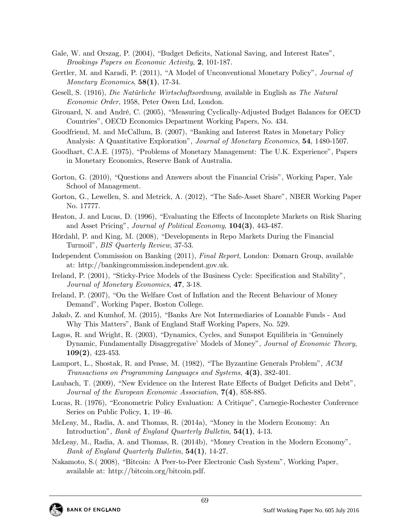- Gale, W. and Orszag, P. (2004), "Budget Deficits, National Saving, and Interest Rates", Brookings Papers on Economic Activity, 2, 101-187.
- Gertler, M. and Karadi, P. (2011), "A Model of Unconventional Monetary Policy", Journal of Monetary Economics,  $58(1)$ , 17-34.
- Gesell, S. (1916), Die Natürliche Wirtschaftsordnung, available in English as The Natural Economic Order, 1958, Peter Owen Ltd, London.
- Girouard, N. and André, C. (2005), "Measuring Cyclically-Adjusted Budget Balances for OECD Countries", OECD Economics Department Working Papers, No. 434.
- Goodfriend, M. and McCallum, B. (2007), "Banking and Interest Rates in Monetary Policy Analysis: A Quantitative Exploration", Journal of Monetary Economics, 54, 1480-1507.
- Goodhart, C.A.E. (1975), "Problems of Monetary Management: The U.K. Experience", Papers in Monetary Economics, Reserve Bank of Australia.
- Gorton, G. (2010), "Questions and Answers about the Financial Crisis", Working Paper, Yale School of Management.
- Gorton, G., Lewellen, S. and Metrick, A. (2012), "The Safe-Asset Share", NBER Working Paper No. 17777.
- Heaton, J. and Lucas, D. (1996), "Evaluating the Effects of Incomplete Markets on Risk Sharing and Asset Pricing", Journal of Political Economy, 104(3), 443-487.
- Hördahl, P. and King, M. (2008), "Developments in Repo Markets During the Financial Turmoil", BIS Quarterly Review, 37-53.
- Independent Commission on Banking (2011), Final Report, London: Domarn Group, available at: http://bankingcommission.independent.gov.uk.
- Ireland, P. (2001), "Sticky-Price Models of the Business Cycle: Specification and Stability", Journal of Monetary Economics, 47, 3-18.
- Ireland, P. (2007), "On the Welfare Cost of Inflation and the Recent Behaviour of Money Demand", Working Paper, Boston College.
- Jakab, Z. and Kumhof, M. (2015), "Banks Are Not Intermediaries of Loanable Funds And Why This Matters", Bank of England Staff Working Papers, No. 529.
- Lagos, R. and Wright, R. (2003), "Dynamics, Cycles, and Sunspot Equilibria in 'Genuinely Dynamic, Fundamentally Disaggregative' Models of Money", Journal of Economic Theory, 109(2), 423-453.
- Lamport, L., Shostak, R. and Pease, M. (1982), "The Byzantine Generals Problem", ACM Transactions on Programming Languages and Systems, 4(3), 382-401.
- Laubach, T. (2009), "New Evidence on the Interest Rate Effects of Budget Deficits and Debt", Journal of the European Economic Association, 7(4), 858-885.
- Lucas, R. (1976), "Econometric Policy Evaluation: A Critique", Carnegie-Rochester Conference Series on Public Policy, 1, 19—46.
- McLeay, M., Radia, A. and Thomas, R. (2014a), "Money in the Modern Economy: An Introduction", Bank of England Quarterly Bulletin, 54(1), 4-13.
- McLeay, M., Radia, A. and Thomas, R. (2014b), "Money Creation in the Modern Economy", Bank of England Quarterly Bulletin,  $54(1)$ , 14-27.
- Nakamoto, S.( 2008), "Bitcoin: A Peer-to-Peer Electronic Cash System", Working Paper, available at: http://bitcoin.org/bitcoin.pdf.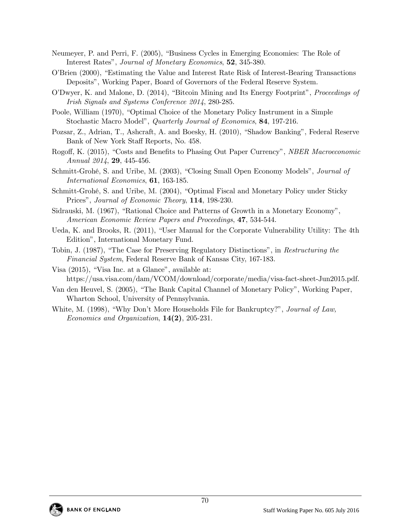- Neumeyer, P. and Perri, F. (2005), "Business Cycles in Emerging Economies: The Role of Interest Rates", Journal of Monetary Economics, 52, 345-380.
- O'Brien (2000), "Estimating the Value and Interest Rate Risk of Interest-Bearing Transactions Deposits", Working Paper, Board of Governors of the Federal Reserve System.
- O'Dwyer, K. and Malone, D. (2014), "Bitcoin Mining and Its Energy Footprint", Proceedings of Irish Signals and Systems Conference 2014, 280-285.
- Poole, William (1970), "Optimal Choice of the Monetary Policy Instrument in a Simple Stochastic Macro Model", Quarterly Journal of Economics, 84, 197-216.
- Pozsar, Z., Adrian, T., Ashcraft, A. and Boesky, H. (2010), "Shadow Banking", Federal Reserve Bank of New York Staff Reports, No. 458.
- Rogoff, K. (2015), "Costs and Benefits to Phasing Out Paper Currency", NBER Macroeconomic Annual 2014, 29, 445-456.
- Schmitt-Grohé, S. and Uribe, M. (2003), "Closing Small Open Economy Models", *Journal of* International Economics, 61, 163-185.
- Schmitt-Grohé, S. and Uribe, M. (2004), "Optimal Fiscal and Monetary Policy under Sticky Prices", Journal of Economic Theory, 114, 198-230.
- Sidrauski, M. (1967), "Rational Choice and Patterns of Growth in a Monetary Economy", American Economic Review Papers and Proceedings, 47, 534-544.
- Ueda, K. and Brooks, R. (2011), "User Manual for the Corporate Vulnerability Utility: The 4th Edition", International Monetary Fund.
- Tobin, J. (1987), "The Case for Preserving Regulatory Distinctions", in Restructuring the Financial System, Federal Reserve Bank of Kansas City, 167-183.
- Visa (2015), "Visa Inc. at a Glance", available at: https://usa.visa.com/dam/VCOM/download/corporate/media/visa-fact-sheet-Jun2015.pdf.
- Van den Heuvel, S. (2005), "The Bank Capital Channel of Monetary Policy", Working Paper, Wharton School, University of Pennsylvania.
- White, M. (1998), "Why Don't More Households File for Bankruptcy?", Journal of Law, Economics and Organization,  $14(2)$ , 205-231.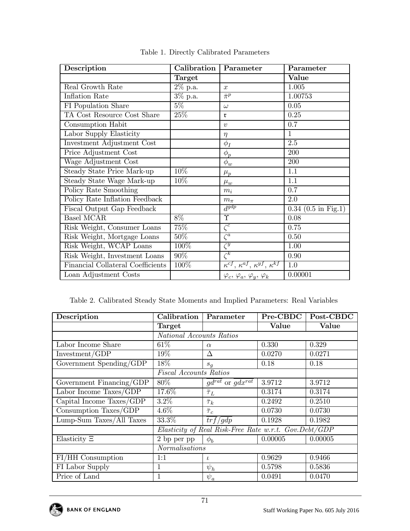| <b>Description</b>                | Calibration | Parameter                                             | Parameter             |
|-----------------------------------|-------------|-------------------------------------------------------|-----------------------|
|                                   | Target      |                                                       | Value                 |
| Real Growth Rate                  | $2\%$ p.a.  | $\boldsymbol{x}$                                      | 1.005                 |
| Inflation Rate                    | $3\%$ p.a.  | $\bar{\pi}^p$                                         | 1.00753               |
| FI Population Share               | $5\%$       | $\omega$                                              | 0.05                  |
| TA Cost Resource Cost Share       | $25\%$      | $\mathfrak{r}$                                        | 0.25                  |
| Consumption Habit                 |             | $\boldsymbol{v}$                                      | 0.7                   |
| Labor Supply Elasticity           |             | $\eta$                                                | 1                     |
| Investment Adjustment Cost        |             | $\phi_I$                                              | 2.5                   |
| Price Adjustment Cost             |             | $\phi_p$                                              | 200                   |
| Wage Adjustment Cost              |             | $\phi_w$                                              | 200                   |
| Steady State Price Mark-up        | 10%         | $\mu_p$                                               | 1.1                   |
| Steady State Wage Mark-up         | $10\%$      | $\mu_w$                                               | 1.1                   |
| Policy Rate Smoothing             |             | $m_i$                                                 | 0.7                   |
| Policy Rate Inflation Feedback    |             | $m_{\pi}$                                             | 2.0                   |
| Fiscal Output Gap Feedback        |             | $\overline{d^{gdp}}$                                  | $0.34$ (0.5 in Fig.1) |
| Basel MCAR                        | $8\%$       | $\overline{\Upsilon}$                                 | 0.08                  |
| Risk Weight, Consumer Loans       | $75\%$      | $\overline{\zeta^c}$                                  | 0.75                  |
| Risk Weight, Mortgage Loans       | $50\%$      | $\overline{\zeta^a}$                                  | 0.50                  |
| Risk Weight, WCAP Loans           | 100%        | $\zeta^y$                                             | 1.00                  |
| Risk Weight, Investment Loans     | 90%         | $\zeta^k$                                             | 0.90                  |
| Financial Collateral Coefficients | 100%        | $\kappa^{cf}, \kappa^{af}, \kappa^{yf}, \kappa^{kf}$  | 1.0                   |
| Loan Adjustment Costs             |             | $\varphi_c$ , $\varphi_a$ , $\varphi_y$ , $\varphi_k$ | 0.00001               |

Table 1. Directly Calibrated Parameters

Table 2. Calibrated Steady State Moments and Implied Parameters: Real Variables

| Description              | Calibration                                           | Parameter                    | $\overline{\mathrm{Pre}\text{-}\mathrm{CBDC}}$ | Post-CBDC |
|--------------------------|-------------------------------------------------------|------------------------------|------------------------------------------------|-----------|
|                          | Target                                                |                              | Value                                          | Value     |
|                          | National Accounts Ratios                              |                              |                                                |           |
| Labor Income Share       | $61\%$                                                | $\alpha$                     | 0.330                                          | 0.329     |
| Investment/GDP           | 19%                                                   | Δ                            | 0.0270                                         | 0.0271    |
| Government Spending/GDP  | 18%                                                   | $s_{g}$                      | 0.18                                           | 0.18      |
|                          | <b>Fiscal Accounts Ratios</b>                         |                              |                                                |           |
| Government Financing/GDP | 80\%                                                  | $q d^{rat}$ or $q d x^{rat}$ | 3.9712                                         | 3.9712    |
| Labor Income Taxes/GDP   | 17.6%                                                 | $\bar{\tau}_L$               | 0.3174                                         | 0.3174    |
| Capital Income Taxes/GDP | $3.2\%$                                               | $\bar{\tau}_k$               | 0.2492                                         | 0.2510    |
| Consumption Taxes/GDP    | $4.6\%$                                               | $\bar{\tau}_c$               | 0.0730                                         | 0.0730    |
| Lump-Sum Taxes/All Taxes | 33.3%                                                 | trf/gdp                      | 0.1928                                         | 0.1982    |
|                          | Elasticity of Real Risk-Free Rate w.r.t. Gov.Debt/GDP |                              |                                                |           |
| Elasticity E             | $2$ bp per pp                                         | $\phi_b$                     | 0.00005                                        | 0.00005   |
|                          | <b>Normalisations</b>                                 |                              |                                                |           |
| FI/HH Consumption        | 1:1                                                   | L                            | 0.9629                                         | 0.9466    |
| FI Labor Supply          | 1                                                     | $\psi_h$                     | 0.5798                                         | 0.5836    |
| Price of Land            | 1                                                     | $\psi_a$                     | 0.0491                                         | 0.0470    |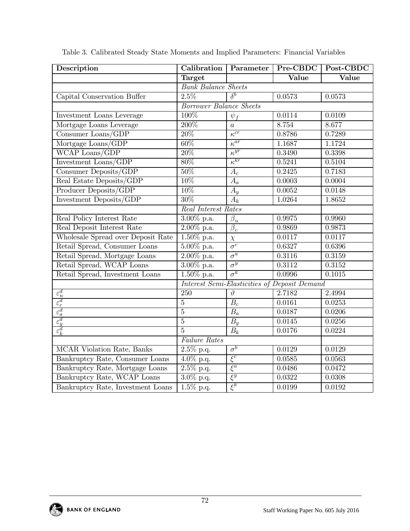| Description                                                                                                                                                 | Calibration $ $                              | Parameter                | Pre-CBDC | Post-CBDC |
|-------------------------------------------------------------------------------------------------------------------------------------------------------------|----------------------------------------------|--------------------------|----------|-----------|
|                                                                                                                                                             | Target                                       |                          | Value    | Value     |
|                                                                                                                                                             | <b>Bank Balance Sheets</b>                   |                          |          |           |
| Capital Conservation Buffer                                                                                                                                 | $\overline{2.5\%}$                           | $\delta^b$               | 0.0573   | 0.0573    |
|                                                                                                                                                             | <b>Borrower Balance Sheets</b>               |                          |          |           |
| Investment Loans Leverage                                                                                                                                   | 100%                                         | $\psi_f$                 | 0.0114   | 0.0109    |
| Mortgage Loans Leverage                                                                                                                                     | 200%                                         | $\overline{a}$           | 8.754    | 8.677     |
| Consumer Loans/GDP                                                                                                                                          | 20%                                          | $\overline{\kappa^{cr}}$ | 0.8786   | 0.7289    |
| Mortgage Loans/GDP                                                                                                                                          | 60%                                          | $\overline{\kappa^{ar}}$ | 1.1687   | 1.1724    |
| WCAP Loans/GDP                                                                                                                                              | $\overline{20\%}$                            | $\overline{\kappa^{yr}}$ | 0.3490   | 0.3398    |
| Investment Loans/GDP                                                                                                                                        | 80%                                          | $\kappa^{kr}$            | 0.5241   | 0.5104    |
| Consumer Deposits/GDP                                                                                                                                       | $50\%$                                       | $\overline{A_c}$         | 0.2425   | 0.7183    |
| Real Estate Deposits/GDP                                                                                                                                    | 10%                                          | $A_a$                    | 0.0003   | 0.0004    |
| Producer Deposits/GDP                                                                                                                                       | 10%                                          | $A_y$                    | 0.0052   | 0.0148    |
| <b>Investment Deposits/GDP</b>                                                                                                                              | 30%                                          | $A_k$                    | 1.0264   | 1.8652    |
|                                                                                                                                                             | Real Interest Rates                          |                          |          |           |
| Real Policy Interest Rate                                                                                                                                   | $3.00\%$ p.a.                                | $\beta_u$                | 0.9975   | 0.9960    |
| Real Deposit Interest Rate                                                                                                                                  | $2.00\%$ p.a.                                | $\overline{\beta_c}$     | 0.9869   | 0.9873    |
| Wholesale Spread over Deposit Rate                                                                                                                          | $1.50\%$ p.a.                                | $\chi$                   | 0.0117   | 0.0117    |
| Retail Spread, Consumer Loans                                                                                                                               | $5.00\%$ p.a.                                | $\sigma^c$               | 0.6327   | 0.6396    |
| Retail Spread, Mortgage Loans                                                                                                                               | $2.00\%$ p.a.                                | $\overline{\sigma^a}$    | 0.3116   | 0.3159    |
| Retail Spread, WCAP Loans                                                                                                                                   | $3.00\%$ p.a.                                | $\overline{\sigma^y}$    | 0.3112   | 0.3152    |
| Retail Spread, Investment Loans                                                                                                                             | $1.50\%$ p.a.                                | $\overline{\sigma^k}$    | 0.0996   | 0.1015    |
|                                                                                                                                                             | Interest Semi-Elasticities of Deposit Demand |                          |          |           |
|                                                                                                                                                             | 250                                          | $\vartheta$              | 2.7182   | 2.4994    |
|                                                                                                                                                             | $\overline{5}$                               | $\overline{B_c}$         | 0.0161   | 0.0253    |
|                                                                                                                                                             | $\overline{5}$                               | $\overline{B_a}$         | 0.0187   | 0.0206    |
| $\frac{\varepsilon_{u}^{d}}{\varepsilon_{u}^{d}}$<br>$\frac{\varepsilon_{u}^{d}}{\varepsilon_{u}^{d}}$<br>$\frac{\varepsilon_{u}^{d}}{\varepsilon_{k}^{d}}$ | $\overline{5}$                               | $\overline{B_y}$         | 0.0145   | 0.0256    |
|                                                                                                                                                             | 5                                            | $B_k$                    | 0.0176   | 0.0224    |
|                                                                                                                                                             | <b>Failure Rates</b>                         |                          |          |           |
| MCAR Violation Rate, Banks                                                                                                                                  | $2.5\%$ p.q.                                 | $\sigma^b$               | 0.0129   | 0.0129    |
| Bankruptcy Rate, Consumer Loans                                                                                                                             | $4.0\%$ p.q.                                 | $\xi^c$                  | 0.0585   | 0.0563    |
| Bankruptcy Rate, Mortgage Loans                                                                                                                             | $\overline{2.5\%}$ p.q.                      | $\overline{\xi^a}$       | 0.0486   | 0.0472    |
| Bankruptcy Rate, WCAP Loans                                                                                                                                 | $\overline{3.0\%}$ p.q.                      | $\overline{\xi^y}$       | 0.0322   | 0.0308    |
| Bankruptcy Rate, Investment Loans                                                                                                                           | $1.5\%$ p.q.                                 | $\xi^k$                  | 0.0199   | 0.0192    |

Table 3. Calibrated Steady State Moments and Implied Parameters: Financial Variables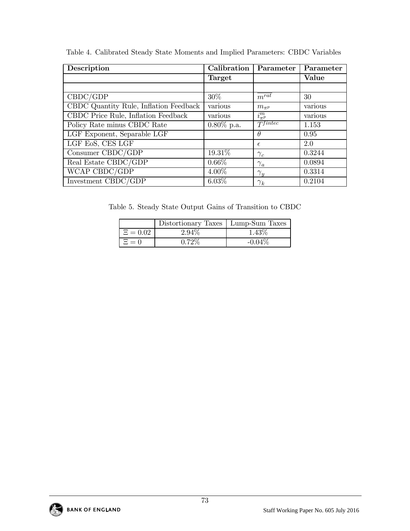| Description                            | Calibration   | Parameter     | Parameter |
|----------------------------------------|---------------|---------------|-----------|
|                                        | Target        |               | Value     |
|                                        |               |               |           |
| CBDC/GDP                               | $30\%$        | $m^{rat}$     | 30        |
| CBDC Quantity Rule, Inflation Feedback | various       | $m_{\pi P}$   | various   |
| CBDC Price Rule, Inflation Feedback    | various       | $i_{\pi p}^m$ | various   |
| Policy Rate minus CBDC Rate            | $0.80\%$ p.a. | $T$ fintec    | 1.153     |
| LGF Exponent, Separable LGF            |               | $\theta$      | 0.95      |
| LGF EoS, CES LGF                       |               | $\epsilon$    | 2.0       |
| Consumer CBDC/GDP                      | 19.31%        | $\gamma_c$    | 0.3244    |
| Real Estate CBDC/GDP                   | $0.66\%$      | $\gamma_a$    | 0.0894    |
| WCAP CBDC/GDP                          | $4.00\%$      | $\gamma_y$    | 0.3314    |
| Investment CBDC/GDP                    | $6.03\%$      | $\gamma_k$    | 0.2104    |

Table 4. Calibrated Steady State Moments and Implied Parameters: CBDC Variables

Table 5. Steady State Output Gains of Transition to CBDC

|            | Distortionary Taxes   Lump-Sum Taxes |           |
|------------|--------------------------------------|-----------|
| $\Xi=0.02$ | $2.94\%$                             | $1.43\%$  |
| $E = 0$    | በ 79%                                | $-0.04\%$ |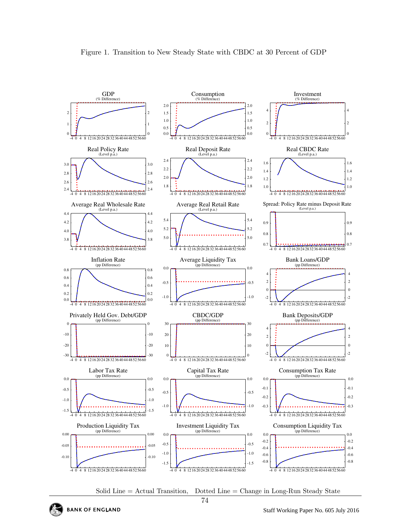

Solid Line = Actual Transition, Dotted Line = Change in Long-Run Steady State

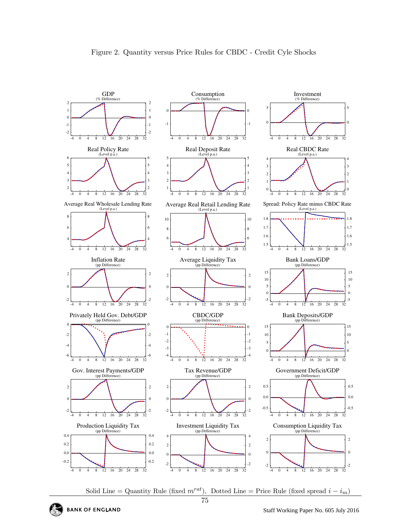

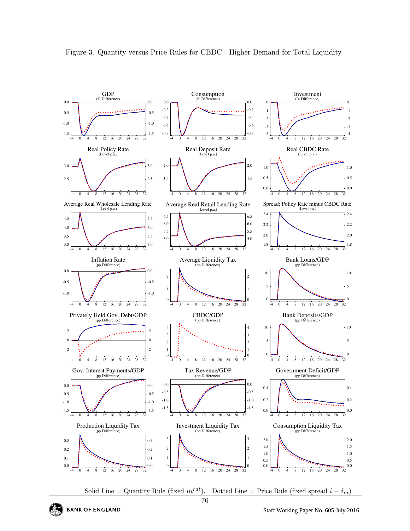

76

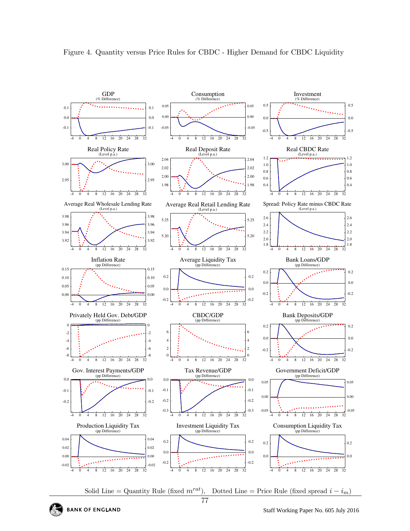

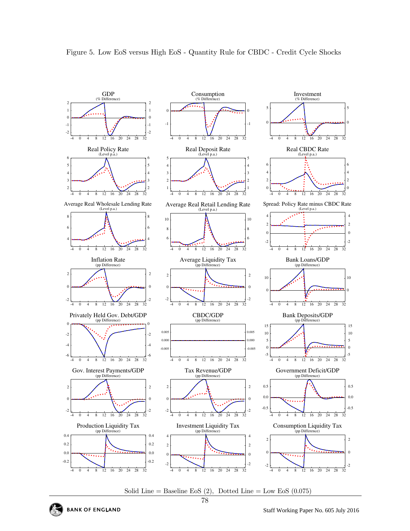

Solid Line = Baseline EoS  $(2)$ , Dotted Line = Low EoS  $(0.075)$ 

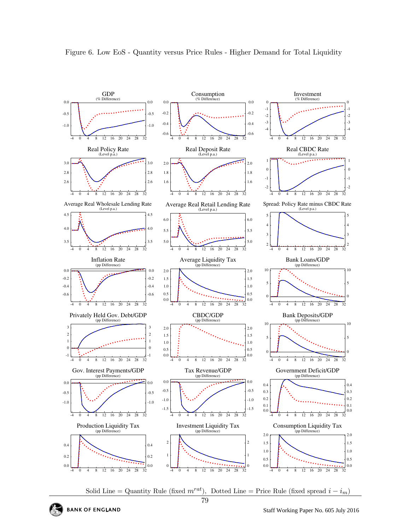

79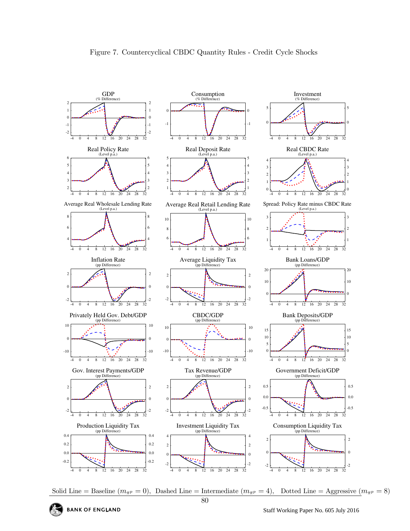

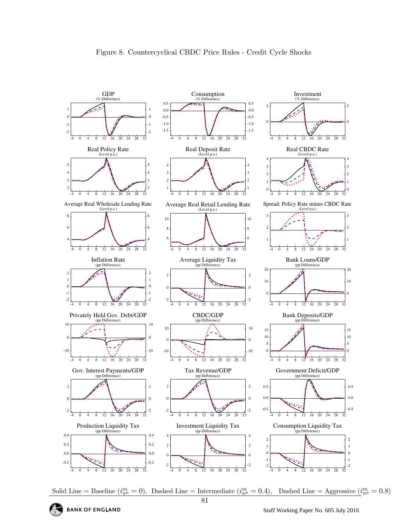

Solid Line = Baseline  $(i_{\pi^p}^m = 0)$ , Dashed Line = Intermediate  $(i_{\pi^p}^m$  $\frac{m}{\pi^p} = 0.4$ ), Dashed Line = Aggressive  $(i^m_{\pi^p} = 0.8)$ 

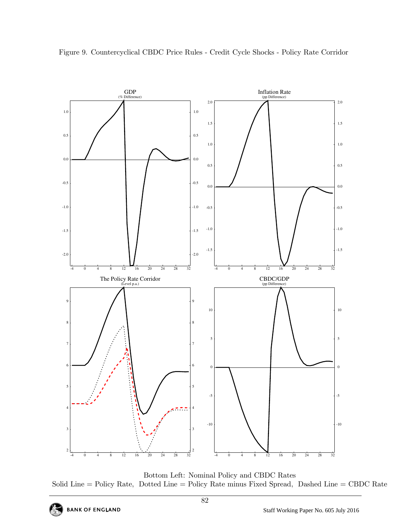

Figure 9. Countercyclical CBDC Price Rules - Credit Cycle Shocks - Policy Rate Corridor

Bottom Left: Nominal Policy and CBDC Rates Solid Line = Policy Rate, Dotted Line = Policy Rate minus Fixed Spread, Dashed Line = CBDC Rate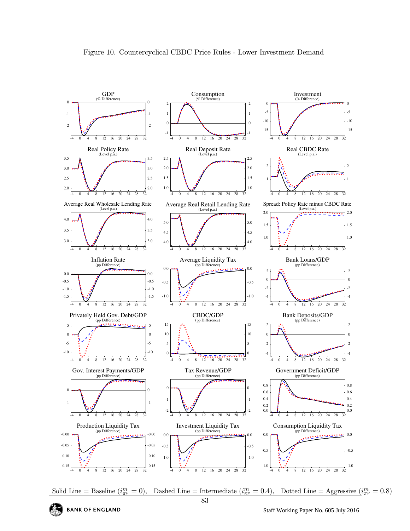

Solid Line = Baseline  $(i^m_{\pi^p})$  $\frac{m}{\pi^p} = 0$ ), Dashed Line = Intermediate  $(i^m_{\pi^p})$  $\frac{m}{\pi^p} = 0.4$ ), Dotted Line = Aggressive  $(i^m_{\pi^p} = 0.8)$ 

83

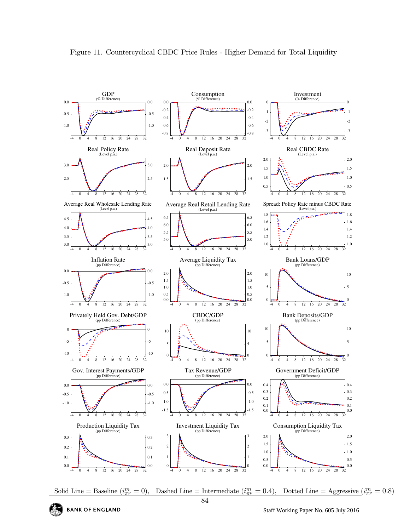

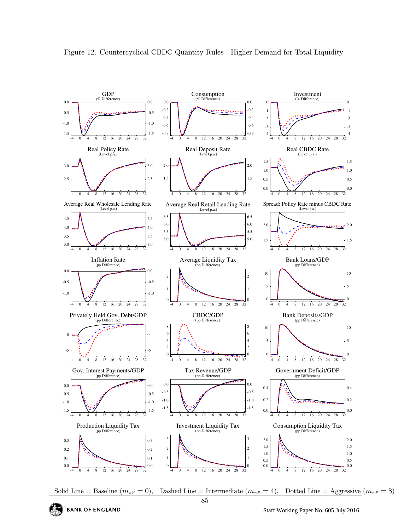

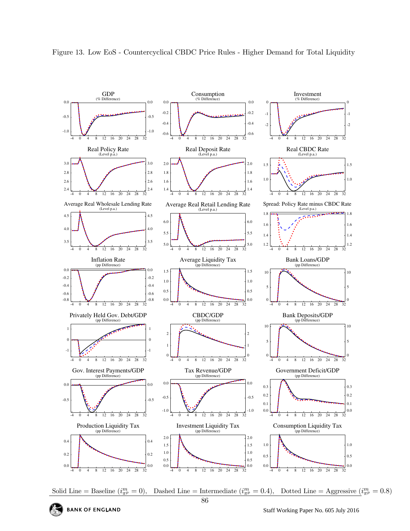

Solid Line = Baseline  $(i^m_{\pi^p})$  $\frac{m}{\pi^p} = 0$ ), Dashed Line = Intermediate  $(i^m_{\pi^p})$  $\frac{m}{\pi^p} = 0.4$ ), Dotted Line = Aggressive  $(i^m_{\pi^p} = 0.8)$ 

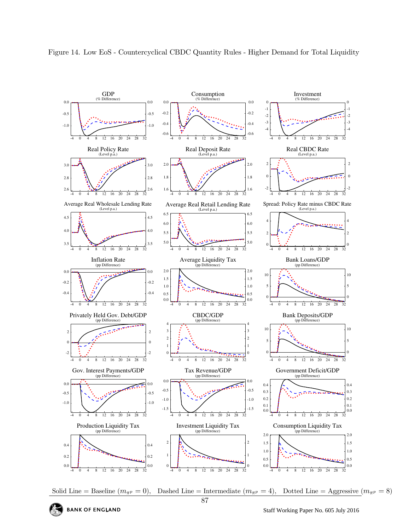

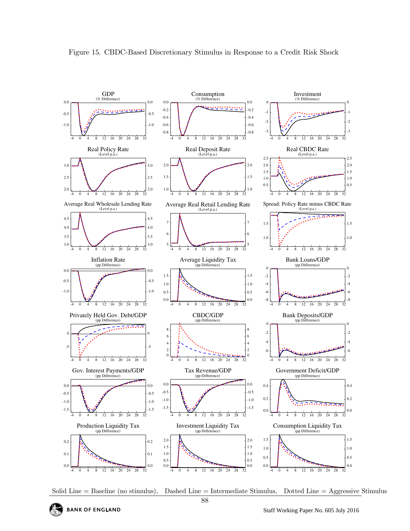

Solid Line = Baseline (no stimulus), Dashed Line = Intermediate Stimulus, Dotted Line = Aggressive Stimulus

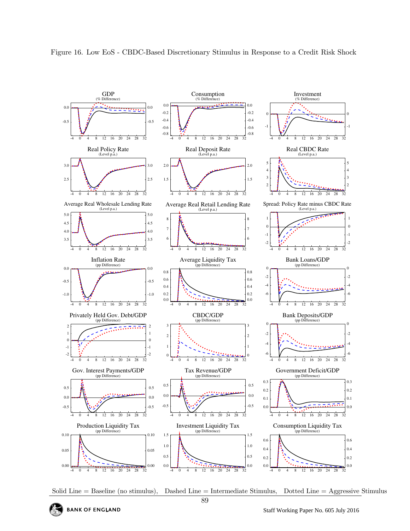

Solid Line = Baseline (no stimulus), Dashed Line = Intermediate Stimulus, Dotted Line = Aggressive Stimulus